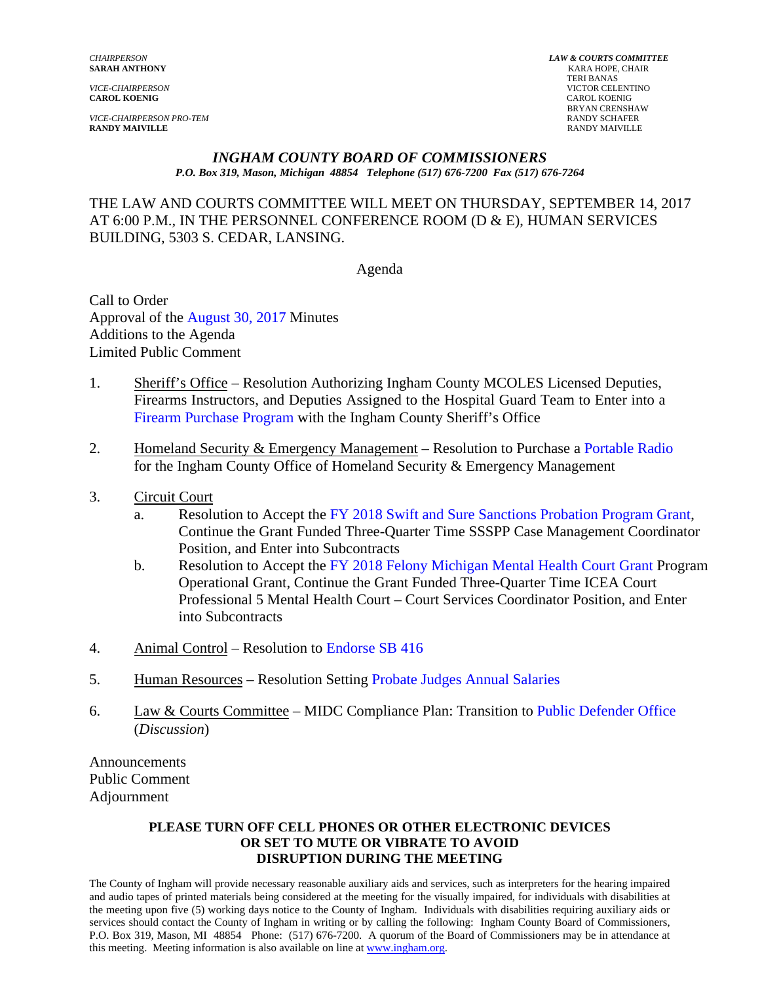**CAROL KOENIG** CAROL KOENIG

*VICE-CHAIRPERSON PRO-TEM* RANDY SCHAFER **RANDY MAIVILLE** RANDY MAIVILLE

*CHAIRPERSON LAW & COURTS COMMITTEE* **KARA HOPE, CHAIR**  TERI BANAS *VICE-CHAIRPERSON* VICTOR CELENTINO BRYAN CRENSHAW<br>RANDY SCHAFER

#### *INGHAM COUNTY BOARD OF COMMISSIONERS*

*P.O. Box 319, Mason, Michigan 48854 Telephone (517) 676-7200 Fax (517) 676-7264*

THE LAW AND COURTS COMMITTEE WILL MEET ON THURSDAY, SEPTEMBER 14, 2017 AT 6:00 P.M., IN THE PERSONNEL CONFERENCE ROOM (D & E), HUMAN SERVICES BUILDING, 5303 S. CEDAR, LANSING.

Agenda

Call to Order Approval of [the August 30, 2017 Minutes](#page-1-0)  Additions to the Agenda Limited Public Comment

- 1. Sheriff's Office Resolution Authorizing Ingham County MCOLES Licensed Deputies, Firearms Instructors, and Deputies Assigned to the Hospital Guard Team to Enter into a [Firearm Purchase Program with the Ingham C](#page-25-0)ounty Sheriff's Office
- 2. Homeland Security & Emergency Management Resolution to Purch[ase a Portable Radio](#page-28-0) for the Ingham County Office of Homeland Security & Emergency Management
- 3. Circuit Court
	- a. Resolution to Accept t[he FY 2018 Swift and Sure Sanctions](#page-30-0) Probation Program Grant, Continue the Grant Funded Three-Quarter Time SSSPP Case Management Coordinator Position, and Enter into Subcontracts
	- b. Resolution to Accept th[e FY 2018 Felony Michigan Mental Health Court Grant Program](#page-33-0) Operational Grant, Continue the Grant Funded Three-Quarter Time ICEA Court Professional 5 Mental Health Court – Court Services Coordinator Position, and Enter into Subcontracts
- 4. Animal Control Resolu[tion to Endorse SB 416](#page-36-0)
- 5. Human Resources Resolution Setti[ng Probate Judges Annual Salaries](#page-52-0)
- 6. Law & Courts Committee MIDC Compliance Plan: Transition [to Public Defender Office](#page-55-0) (*Discussion*)

Announcements Public Comment Adjournment

#### **PLEASE TURN OFF CELL PHONES OR OTHER ELECTRONIC DEVICES OR SET TO MUTE OR VIBRATE TO AVOID DISRUPTION DURING THE MEETING**

The County of Ingham will provide necessary reasonable auxiliary aids and services, such as interpreters for the hearing impaired and audio tapes of printed materials being considered at the meeting for the visually impaired, for individuals with disabilities at the meeting upon five (5) working days notice to the County of Ingham. Individuals with disabilities requiring auxiliary aids or services should contact the County of Ingham in writing or by calling the following: Ingham County Board of Commissioners, P.O. Box 319, Mason, MI 48854 Phone: (517) 676-7200. A quorum of the Board of Commissioners may be in attendance at this meeting. Meeting information is also available on line at www.ingham.org.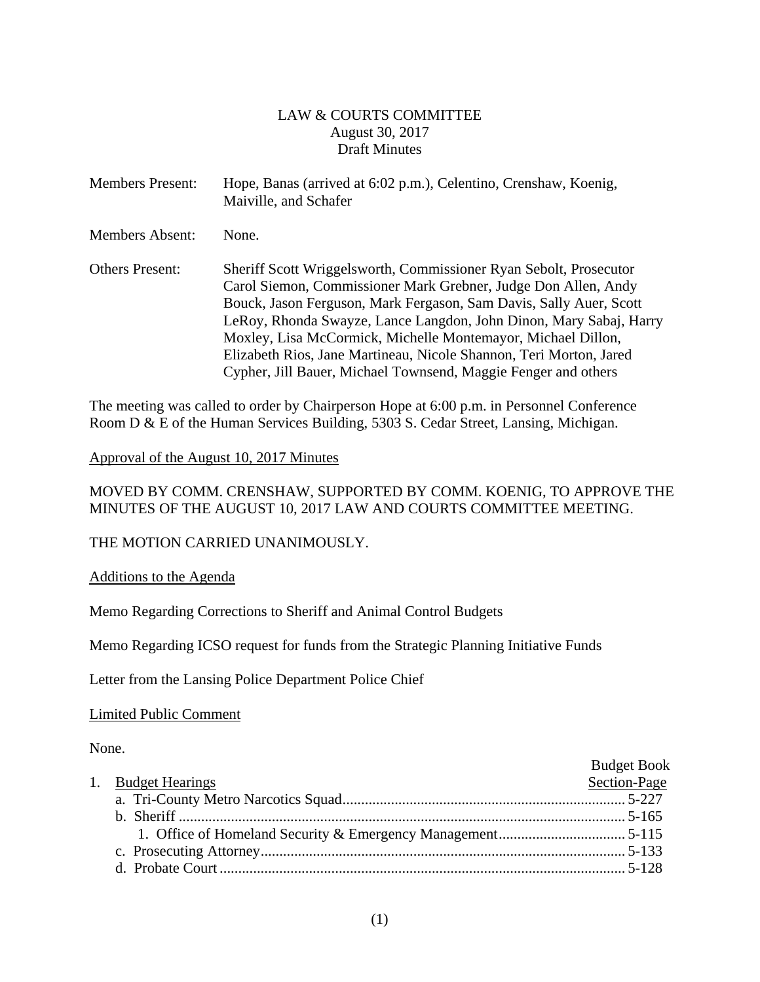#### LAW & COURTS COMMITTEE August 30, 2017 Draft Minutes

<span id="page-1-0"></span>

| <b>Members Present:</b> | Hope, Banas (arrived at 6:02 p.m.), Celentino, Crenshaw, Koenig,<br>Maiville, and Schafer                                                                                                                                                                                                                                                                                                                                                                                               |
|-------------------------|-----------------------------------------------------------------------------------------------------------------------------------------------------------------------------------------------------------------------------------------------------------------------------------------------------------------------------------------------------------------------------------------------------------------------------------------------------------------------------------------|
| <b>Members Absent:</b>  | None.                                                                                                                                                                                                                                                                                                                                                                                                                                                                                   |
| <b>Others Present:</b>  | Sheriff Scott Wriggelsworth, Commissioner Ryan Sebolt, Prosecutor<br>Carol Siemon, Commissioner Mark Grebner, Judge Don Allen, Andy<br>Bouck, Jason Ferguson, Mark Fergason, Sam Davis, Sally Auer, Scott<br>LeRoy, Rhonda Swayze, Lance Langdon, John Dinon, Mary Sabaj, Harry<br>Moxley, Lisa McCormick, Michelle Montemayor, Michael Dillon,<br>Elizabeth Rios, Jane Martineau, Nicole Shannon, Teri Morton, Jared<br>Cypher, Jill Bauer, Michael Townsend, Maggie Fenger and others |

The meeting was called to order by Chairperson Hope at 6:00 p.m. in Personnel Conference Room D & E of the Human Services Building, 5303 S. Cedar Street, Lansing, Michigan.

#### Approval of the August 10, 2017 Minutes

MOVED BY COMM. CRENSHAW, SUPPORTED BY COMM. KOENIG, TO APPROVE THE MINUTES OF THE AUGUST 10, 2017 LAW AND COURTS COMMITTEE MEETING.

#### THE MOTION CARRIED UNANIMOUSLY.

Additions to the Agenda

Memo Regarding Corrections to Sheriff and Animal Control Budgets

Memo Regarding ICSO request for funds from the Strategic Planning Initiative Funds

Letter from the Lansing Police Department Police Chief

Limited Public Comment

None.

|                    | <b>Budget Book</b> |
|--------------------|--------------------|
| 1. Budget Hearings | Section-Page       |
|                    |                    |
|                    |                    |
|                    |                    |
|                    |                    |
|                    |                    |
|                    |                    |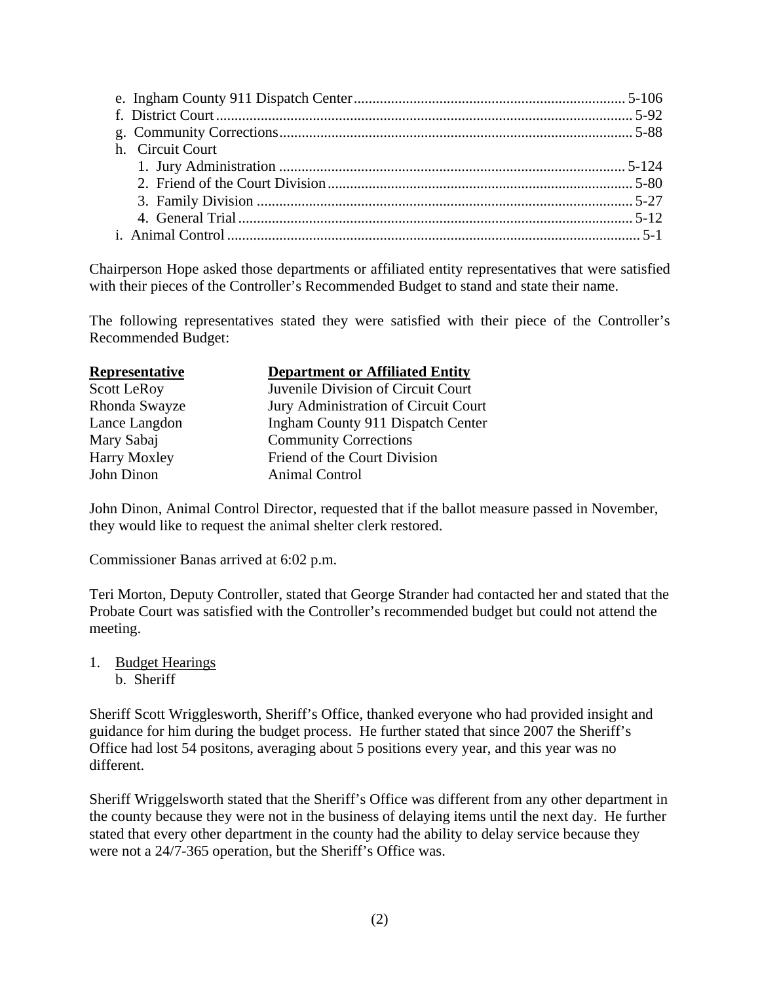| h. Circuit Court |  |
|------------------|--|
|                  |  |
|                  |  |
|                  |  |
|                  |  |
|                  |  |
|                  |  |

Chairperson Hope asked those departments or affiliated entity representatives that were satisfied with their pieces of the Controller's Recommended Budget to stand and state their name.

The following representatives stated they were satisfied with their piece of the Controller's Recommended Budget:

| Representative     | <b>Department or Affiliated Entity</b> |
|--------------------|----------------------------------------|
| <b>Scott LeRoy</b> | Juvenile Division of Circuit Court     |
| Rhonda Swayze      | Jury Administration of Circuit Court   |
| Lance Langdon      | Ingham County 911 Dispatch Center      |
| Mary Sabaj         | <b>Community Corrections</b>           |
| Harry Moxley       | Friend of the Court Division           |
| John Dinon         | <b>Animal Control</b>                  |
|                    |                                        |

John Dinon, Animal Control Director, requested that if the ballot measure passed in November, they would like to request the animal shelter clerk restored.

Commissioner Banas arrived at 6:02 p.m.

Teri Morton, Deputy Controller, stated that George Strander had contacted her and stated that the Probate Court was satisfied with the Controller's recommended budget but could not attend the meeting.

1. Budget Hearings b. Sheriff

Sheriff Scott Wrigglesworth, Sheriff's Office, thanked everyone who had provided insight and guidance for him during the budget process. He further stated that since 2007 the Sheriff's Office had lost 54 positons, averaging about 5 positions every year, and this year was no different.

Sheriff Wriggelsworth stated that the Sheriff's Office was different from any other department in the county because they were not in the business of delaying items until the next day. He further stated that every other department in the county had the ability to delay service because they were not a 24/7-365 operation, but the Sheriff's Office was.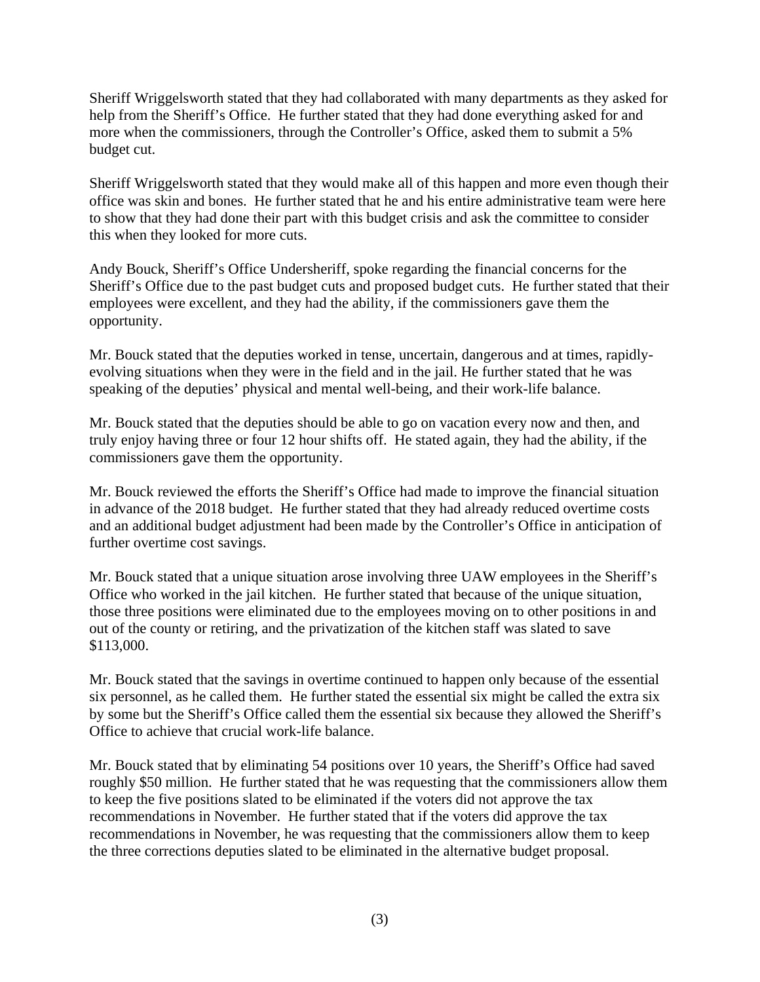Sheriff Wriggelsworth stated that they had collaborated with many departments as they asked for help from the Sheriff's Office. He further stated that they had done everything asked for and more when the commissioners, through the Controller's Office, asked them to submit a 5% budget cut.

Sheriff Wriggelsworth stated that they would make all of this happen and more even though their office was skin and bones. He further stated that he and his entire administrative team were here to show that they had done their part with this budget crisis and ask the committee to consider this when they looked for more cuts.

Andy Bouck, Sheriff's Office Undersheriff, spoke regarding the financial concerns for the Sheriff's Office due to the past budget cuts and proposed budget cuts. He further stated that their employees were excellent, and they had the ability, if the commissioners gave them the opportunity.

Mr. Bouck stated that the deputies worked in tense, uncertain, dangerous and at times, rapidlyevolving situations when they were in the field and in the jail. He further stated that he was speaking of the deputies' physical and mental well-being, and their work-life balance.

Mr. Bouck stated that the deputies should be able to go on vacation every now and then, and truly enjoy having three or four 12 hour shifts off. He stated again, they had the ability, if the commissioners gave them the opportunity.

Mr. Bouck reviewed the efforts the Sheriff's Office had made to improve the financial situation in advance of the 2018 budget. He further stated that they had already reduced overtime costs and an additional budget adjustment had been made by the Controller's Office in anticipation of further overtime cost savings.

Mr. Bouck stated that a unique situation arose involving three UAW employees in the Sheriff's Office who worked in the jail kitchen. He further stated that because of the unique situation, those three positions were eliminated due to the employees moving on to other positions in and out of the county or retiring, and the privatization of the kitchen staff was slated to save \$113,000.

Mr. Bouck stated that the savings in overtime continued to happen only because of the essential six personnel, as he called them. He further stated the essential six might be called the extra six by some but the Sheriff's Office called them the essential six because they allowed the Sheriff's Office to achieve that crucial work-life balance.

Mr. Bouck stated that by eliminating 54 positions over 10 years, the Sheriff's Office had saved roughly \$50 million. He further stated that he was requesting that the commissioners allow them to keep the five positions slated to be eliminated if the voters did not approve the tax recommendations in November. He further stated that if the voters did approve the tax recommendations in November, he was requesting that the commissioners allow them to keep the three corrections deputies slated to be eliminated in the alternative budget proposal.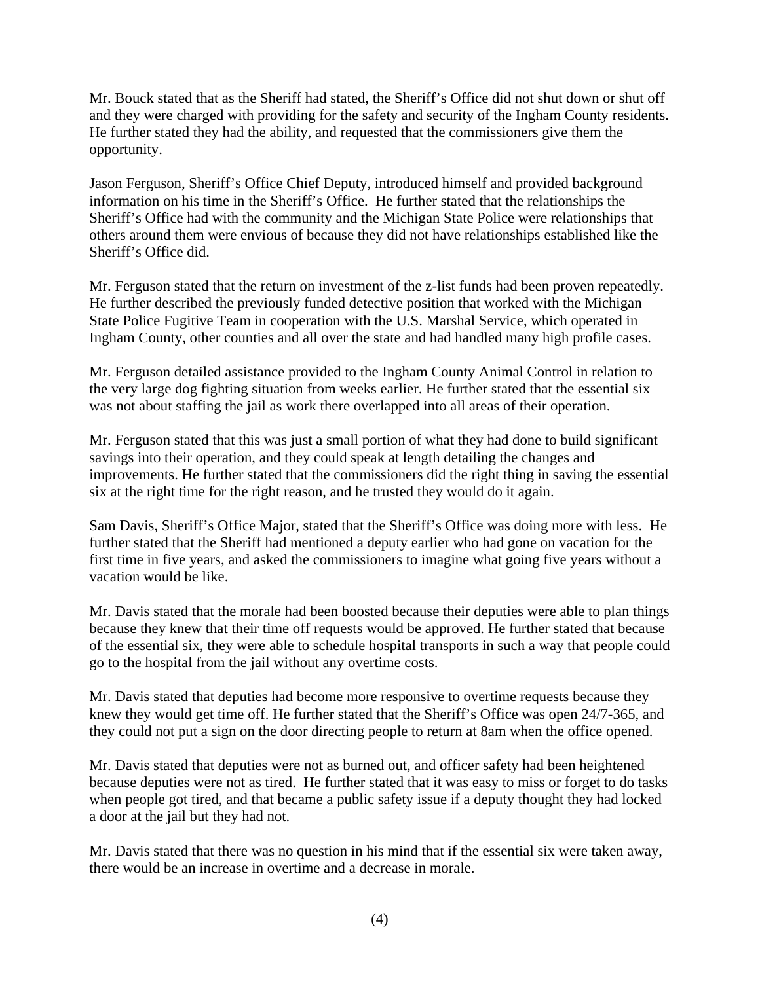Mr. Bouck stated that as the Sheriff had stated, the Sheriff's Office did not shut down or shut off and they were charged with providing for the safety and security of the Ingham County residents. He further stated they had the ability, and requested that the commissioners give them the opportunity.

Jason Ferguson, Sheriff's Office Chief Deputy, introduced himself and provided background information on his time in the Sheriff's Office. He further stated that the relationships the Sheriff's Office had with the community and the Michigan State Police were relationships that others around them were envious of because they did not have relationships established like the Sheriff's Office did.

Mr. Ferguson stated that the return on investment of the z-list funds had been proven repeatedly. He further described the previously funded detective position that worked with the Michigan State Police Fugitive Team in cooperation with the U.S. Marshal Service, which operated in Ingham County, other counties and all over the state and had handled many high profile cases.

Mr. Ferguson detailed assistance provided to the Ingham County Animal Control in relation to the very large dog fighting situation from weeks earlier. He further stated that the essential six was not about staffing the jail as work there overlapped into all areas of their operation.

Mr. Ferguson stated that this was just a small portion of what they had done to build significant savings into their operation, and they could speak at length detailing the changes and improvements. He further stated that the commissioners did the right thing in saving the essential six at the right time for the right reason, and he trusted they would do it again.

Sam Davis, Sheriff's Office Major, stated that the Sheriff's Office was doing more with less. He further stated that the Sheriff had mentioned a deputy earlier who had gone on vacation for the first time in five years, and asked the commissioners to imagine what going five years without a vacation would be like.

Mr. Davis stated that the morale had been boosted because their deputies were able to plan things because they knew that their time off requests would be approved. He further stated that because of the essential six, they were able to schedule hospital transports in such a way that people could go to the hospital from the jail without any overtime costs.

Mr. Davis stated that deputies had become more responsive to overtime requests because they knew they would get time off. He further stated that the Sheriff's Office was open 24/7-365, and they could not put a sign on the door directing people to return at 8am when the office opened.

Mr. Davis stated that deputies were not as burned out, and officer safety had been heightened because deputies were not as tired. He further stated that it was easy to miss or forget to do tasks when people got tired, and that became a public safety issue if a deputy thought they had locked a door at the jail but they had not.

Mr. Davis stated that there was no question in his mind that if the essential six were taken away, there would be an increase in overtime and a decrease in morale.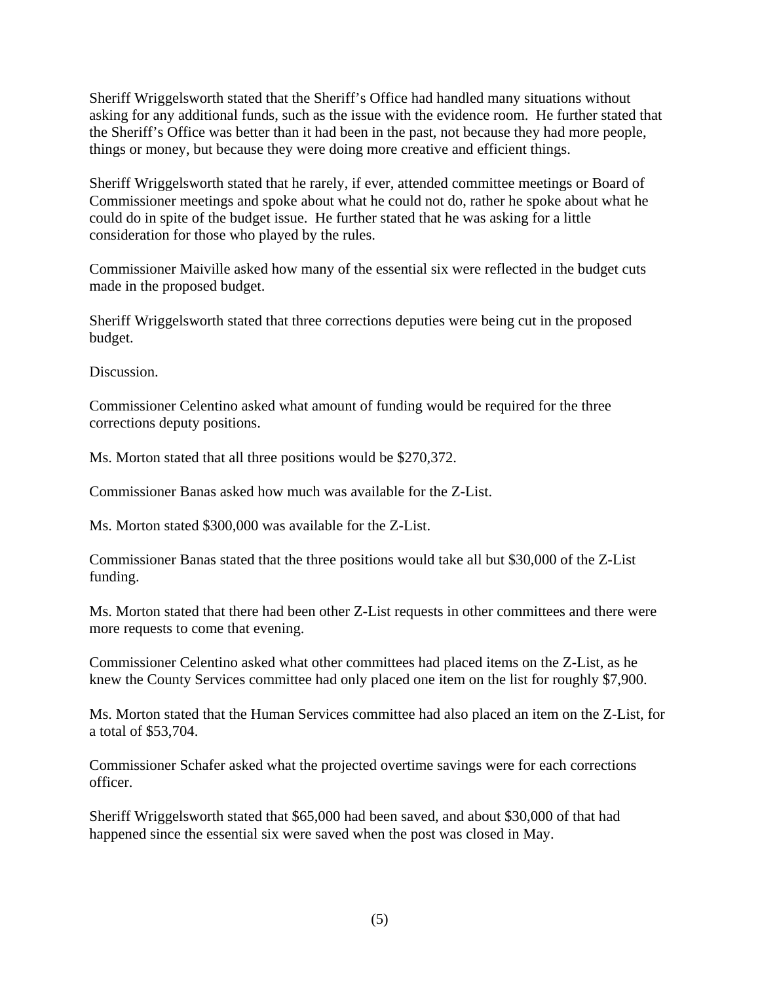Sheriff Wriggelsworth stated that the Sheriff's Office had handled many situations without asking for any additional funds, such as the issue with the evidence room. He further stated that the Sheriff's Office was better than it had been in the past, not because they had more people, things or money, but because they were doing more creative and efficient things.

Sheriff Wriggelsworth stated that he rarely, if ever, attended committee meetings or Board of Commissioner meetings and spoke about what he could not do, rather he spoke about what he could do in spite of the budget issue. He further stated that he was asking for a little consideration for those who played by the rules.

Commissioner Maiville asked how many of the essential six were reflected in the budget cuts made in the proposed budget.

Sheriff Wriggelsworth stated that three corrections deputies were being cut in the proposed budget.

Discussion.

Commissioner Celentino asked what amount of funding would be required for the three corrections deputy positions.

Ms. Morton stated that all three positions would be \$270,372.

Commissioner Banas asked how much was available for the Z-List.

Ms. Morton stated \$300,000 was available for the Z-List.

Commissioner Banas stated that the three positions would take all but \$30,000 of the Z-List funding.

Ms. Morton stated that there had been other Z-List requests in other committees and there were more requests to come that evening.

Commissioner Celentino asked what other committees had placed items on the Z-List, as he knew the County Services committee had only placed one item on the list for roughly \$7,900.

Ms. Morton stated that the Human Services committee had also placed an item on the Z-List, for a total of \$53,704.

Commissioner Schafer asked what the projected overtime savings were for each corrections officer.

Sheriff Wriggelsworth stated that \$65,000 had been saved, and about \$30,000 of that had happened since the essential six were saved when the post was closed in May.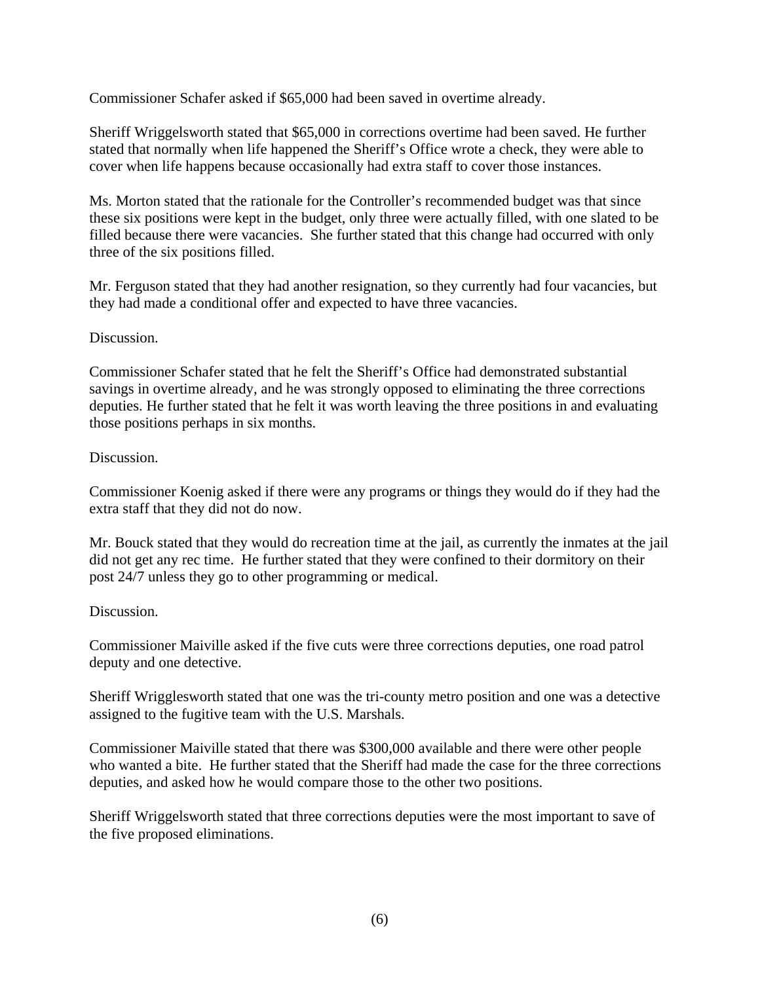Commissioner Schafer asked if \$65,000 had been saved in overtime already.

Sheriff Wriggelsworth stated that \$65,000 in corrections overtime had been saved. He further stated that normally when life happened the Sheriff's Office wrote a check, they were able to cover when life happens because occasionally had extra staff to cover those instances.

Ms. Morton stated that the rationale for the Controller's recommended budget was that since these six positions were kept in the budget, only three were actually filled, with one slated to be filled because there were vacancies. She further stated that this change had occurred with only three of the six positions filled.

Mr. Ferguson stated that they had another resignation, so they currently had four vacancies, but they had made a conditional offer and expected to have three vacancies.

#### Discussion.

Commissioner Schafer stated that he felt the Sheriff's Office had demonstrated substantial savings in overtime already, and he was strongly opposed to eliminating the three corrections deputies. He further stated that he felt it was worth leaving the three positions in and evaluating those positions perhaps in six months.

#### Discussion.

Commissioner Koenig asked if there were any programs or things they would do if they had the extra staff that they did not do now.

Mr. Bouck stated that they would do recreation time at the jail, as currently the inmates at the jail did not get any rec time. He further stated that they were confined to their dormitory on their post 24/7 unless they go to other programming or medical.

#### Discussion.

Commissioner Maiville asked if the five cuts were three corrections deputies, one road patrol deputy and one detective.

Sheriff Wrigglesworth stated that one was the tri-county metro position and one was a detective assigned to the fugitive team with the U.S. Marshals.

Commissioner Maiville stated that there was \$300,000 available and there were other people who wanted a bite. He further stated that the Sheriff had made the case for the three corrections deputies, and asked how he would compare those to the other two positions.

Sheriff Wriggelsworth stated that three corrections deputies were the most important to save of the five proposed eliminations.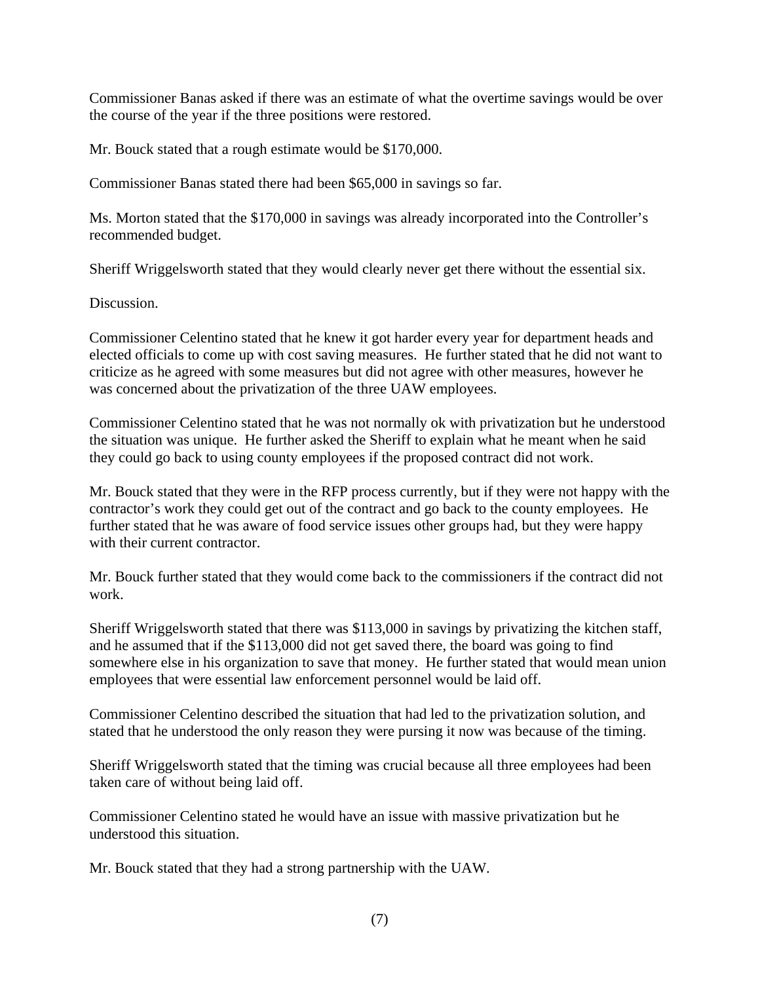Commissioner Banas asked if there was an estimate of what the overtime savings would be over the course of the year if the three positions were restored.

Mr. Bouck stated that a rough estimate would be \$170,000.

Commissioner Banas stated there had been \$65,000 in savings so far.

Ms. Morton stated that the \$170,000 in savings was already incorporated into the Controller's recommended budget.

Sheriff Wriggelsworth stated that they would clearly never get there without the essential six.

Discussion.

Commissioner Celentino stated that he knew it got harder every year for department heads and elected officials to come up with cost saving measures. He further stated that he did not want to criticize as he agreed with some measures but did not agree with other measures, however he was concerned about the privatization of the three UAW employees.

Commissioner Celentino stated that he was not normally ok with privatization but he understood the situation was unique. He further asked the Sheriff to explain what he meant when he said they could go back to using county employees if the proposed contract did not work.

Mr. Bouck stated that they were in the RFP process currently, but if they were not happy with the contractor's work they could get out of the contract and go back to the county employees. He further stated that he was aware of food service issues other groups had, but they were happy with their current contractor.

Mr. Bouck further stated that they would come back to the commissioners if the contract did not work.

Sheriff Wriggelsworth stated that there was \$113,000 in savings by privatizing the kitchen staff, and he assumed that if the \$113,000 did not get saved there, the board was going to find somewhere else in his organization to save that money. He further stated that would mean union employees that were essential law enforcement personnel would be laid off.

Commissioner Celentino described the situation that had led to the privatization solution, and stated that he understood the only reason they were pursing it now was because of the timing.

Sheriff Wriggelsworth stated that the timing was crucial because all three employees had been taken care of without being laid off.

Commissioner Celentino stated he would have an issue with massive privatization but he understood this situation.

Mr. Bouck stated that they had a strong partnership with the UAW.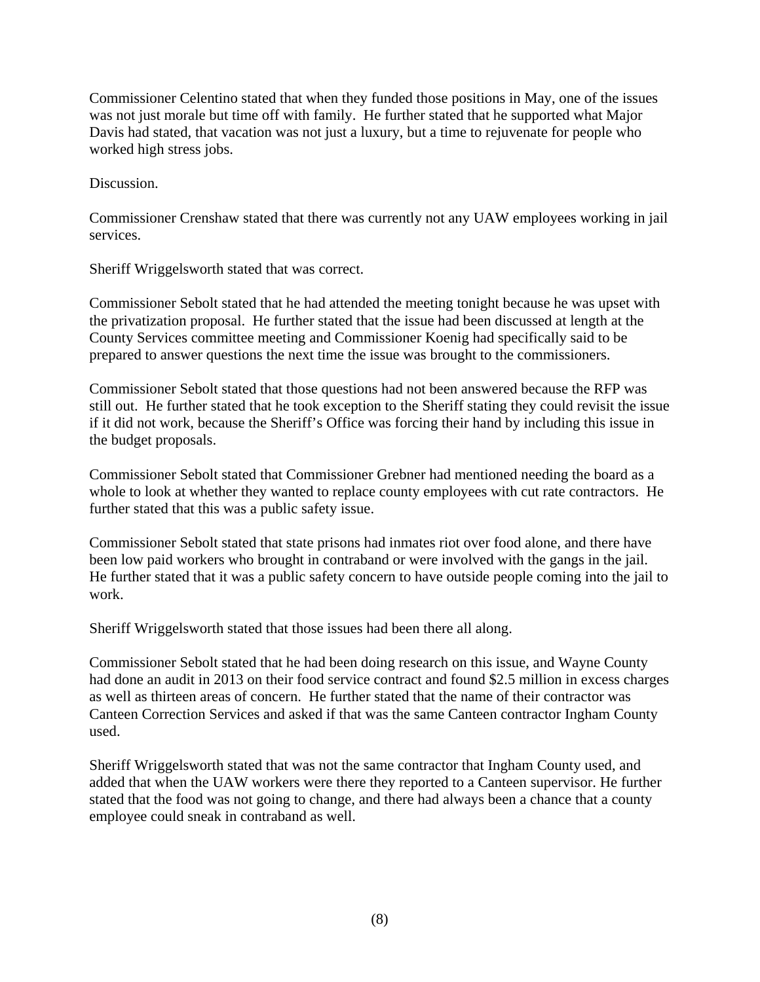Commissioner Celentino stated that when they funded those positions in May, one of the issues was not just morale but time off with family. He further stated that he supported what Major Davis had stated, that vacation was not just a luxury, but a time to rejuvenate for people who worked high stress jobs.

Discussion.

Commissioner Crenshaw stated that there was currently not any UAW employees working in jail services.

Sheriff Wriggelsworth stated that was correct.

Commissioner Sebolt stated that he had attended the meeting tonight because he was upset with the privatization proposal. He further stated that the issue had been discussed at length at the County Services committee meeting and Commissioner Koenig had specifically said to be prepared to answer questions the next time the issue was brought to the commissioners.

Commissioner Sebolt stated that those questions had not been answered because the RFP was still out. He further stated that he took exception to the Sheriff stating they could revisit the issue if it did not work, because the Sheriff's Office was forcing their hand by including this issue in the budget proposals.

Commissioner Sebolt stated that Commissioner Grebner had mentioned needing the board as a whole to look at whether they wanted to replace county employees with cut rate contractors. He further stated that this was a public safety issue.

Commissioner Sebolt stated that state prisons had inmates riot over food alone, and there have been low paid workers who brought in contraband or were involved with the gangs in the jail. He further stated that it was a public safety concern to have outside people coming into the jail to work.

Sheriff Wriggelsworth stated that those issues had been there all along.

Commissioner Sebolt stated that he had been doing research on this issue, and Wayne County had done an audit in 2013 on their food service contract and found \$2.5 million in excess charges as well as thirteen areas of concern. He further stated that the name of their contractor was Canteen Correction Services and asked if that was the same Canteen contractor Ingham County used.

Sheriff Wriggelsworth stated that was not the same contractor that Ingham County used, and added that when the UAW workers were there they reported to a Canteen supervisor. He further stated that the food was not going to change, and there had always been a chance that a county employee could sneak in contraband as well.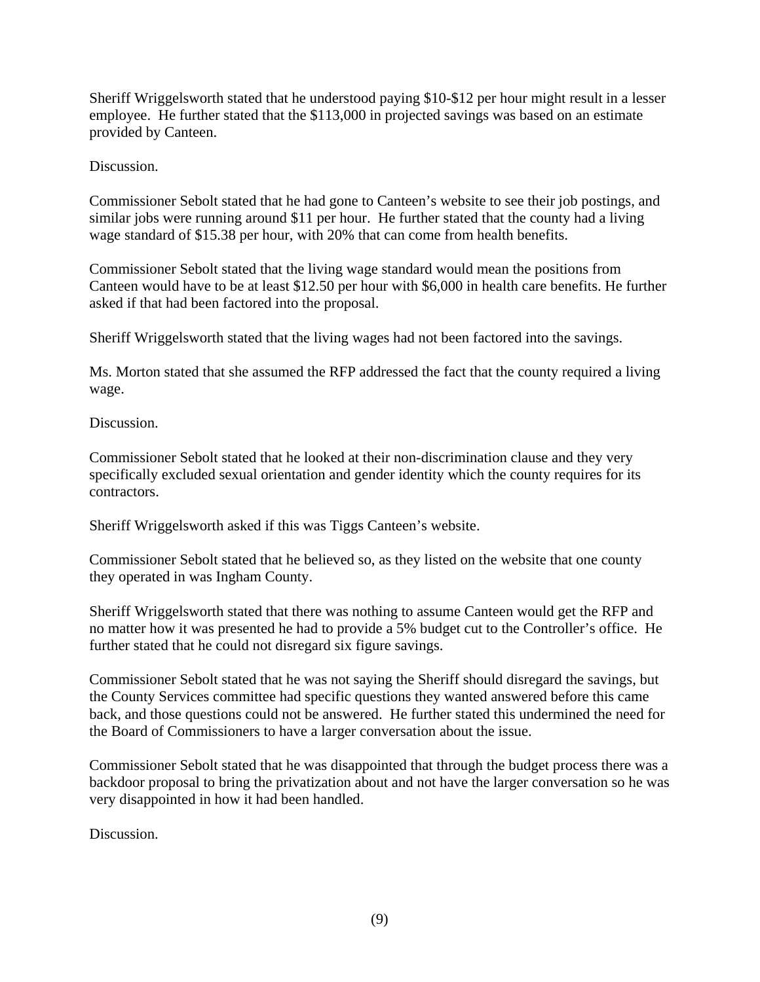Sheriff Wriggelsworth stated that he understood paying \$10-\$12 per hour might result in a lesser employee. He further stated that the \$113,000 in projected savings was based on an estimate provided by Canteen.

Discussion.

Commissioner Sebolt stated that he had gone to Canteen's website to see their job postings, and similar jobs were running around \$11 per hour. He further stated that the county had a living wage standard of \$15.38 per hour, with 20% that can come from health benefits.

Commissioner Sebolt stated that the living wage standard would mean the positions from Canteen would have to be at least \$12.50 per hour with \$6,000 in health care benefits. He further asked if that had been factored into the proposal.

Sheriff Wriggelsworth stated that the living wages had not been factored into the savings.

Ms. Morton stated that she assumed the RFP addressed the fact that the county required a living wage.

Discussion.

Commissioner Sebolt stated that he looked at their non-discrimination clause and they very specifically excluded sexual orientation and gender identity which the county requires for its contractors.

Sheriff Wriggelsworth asked if this was Tiggs Canteen's website.

Commissioner Sebolt stated that he believed so, as they listed on the website that one county they operated in was Ingham County.

Sheriff Wriggelsworth stated that there was nothing to assume Canteen would get the RFP and no matter how it was presented he had to provide a 5% budget cut to the Controller's office. He further stated that he could not disregard six figure savings.

Commissioner Sebolt stated that he was not saying the Sheriff should disregard the savings, but the County Services committee had specific questions they wanted answered before this came back, and those questions could not be answered. He further stated this undermined the need for the Board of Commissioners to have a larger conversation about the issue.

Commissioner Sebolt stated that he was disappointed that through the budget process there was a backdoor proposal to bring the privatization about and not have the larger conversation so he was very disappointed in how it had been handled.

Discussion.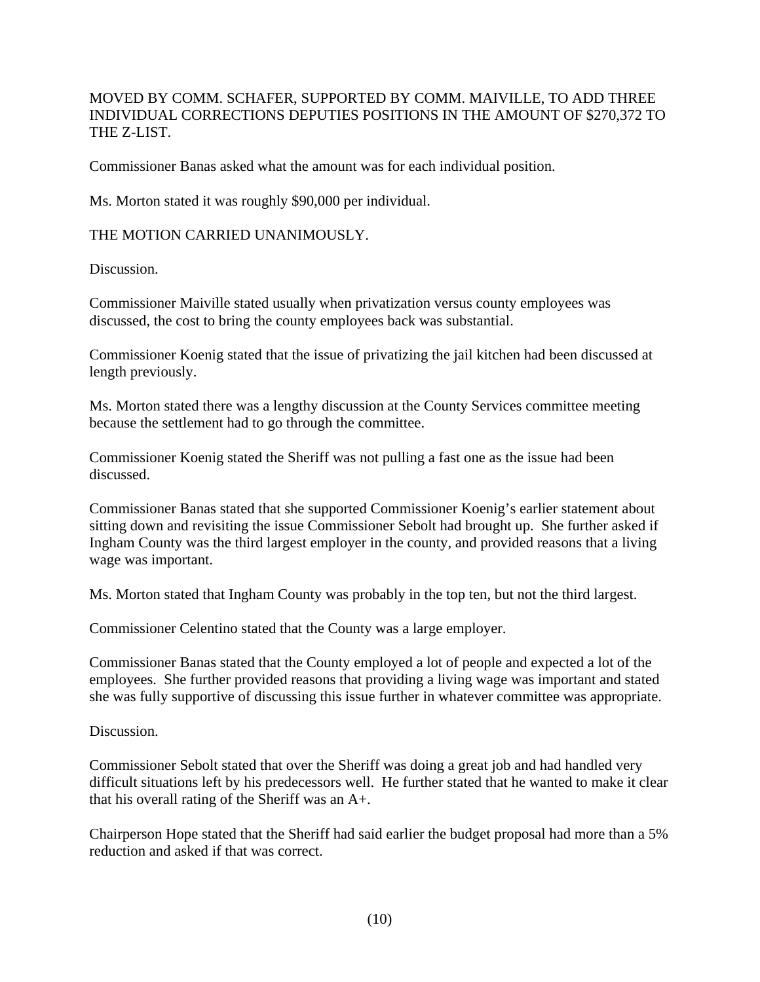#### MOVED BY COMM. SCHAFER, SUPPORTED BY COMM. MAIVILLE, TO ADD THREE INDIVIDUAL CORRECTIONS DEPUTIES POSITIONS IN THE AMOUNT OF \$270,372 TO THE Z-LIST.

Commissioner Banas asked what the amount was for each individual position.

Ms. Morton stated it was roughly \$90,000 per individual.

THE MOTION CARRIED UNANIMOUSLY.

Discussion.

Commissioner Maiville stated usually when privatization versus county employees was discussed, the cost to bring the county employees back was substantial.

Commissioner Koenig stated that the issue of privatizing the jail kitchen had been discussed at length previously.

Ms. Morton stated there was a lengthy discussion at the County Services committee meeting because the settlement had to go through the committee.

Commissioner Koenig stated the Sheriff was not pulling a fast one as the issue had been discussed.

Commissioner Banas stated that she supported Commissioner Koenig's earlier statement about sitting down and revisiting the issue Commissioner Sebolt had brought up. She further asked if Ingham County was the third largest employer in the county, and provided reasons that a living wage was important.

Ms. Morton stated that Ingham County was probably in the top ten, but not the third largest.

Commissioner Celentino stated that the County was a large employer.

Commissioner Banas stated that the County employed a lot of people and expected a lot of the employees. She further provided reasons that providing a living wage was important and stated she was fully supportive of discussing this issue further in whatever committee was appropriate.

Discussion.

Commissioner Sebolt stated that over the Sheriff was doing a great job and had handled very difficult situations left by his predecessors well. He further stated that he wanted to make it clear that his overall rating of the Sheriff was an A+.

Chairperson Hope stated that the Sheriff had said earlier the budget proposal had more than a 5% reduction and asked if that was correct.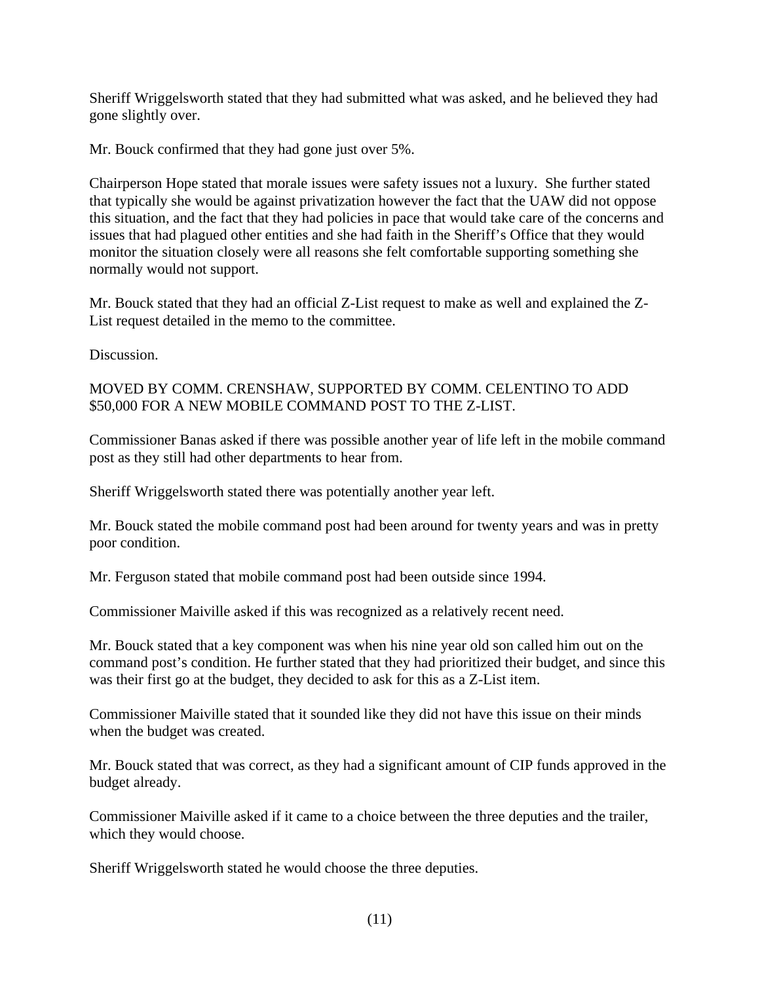Sheriff Wriggelsworth stated that they had submitted what was asked, and he believed they had gone slightly over.

Mr. Bouck confirmed that they had gone just over 5%.

Chairperson Hope stated that morale issues were safety issues not a luxury. She further stated that typically she would be against privatization however the fact that the UAW did not oppose this situation, and the fact that they had policies in pace that would take care of the concerns and issues that had plagued other entities and she had faith in the Sheriff's Office that they would monitor the situation closely were all reasons she felt comfortable supporting something she normally would not support.

Mr. Bouck stated that they had an official Z-List request to make as well and explained the Z-List request detailed in the memo to the committee.

Discussion.

#### MOVED BY COMM. CRENSHAW, SUPPORTED BY COMM. CELENTINO TO ADD \$50,000 FOR A NEW MOBILE COMMAND POST TO THE Z-LIST.

Commissioner Banas asked if there was possible another year of life left in the mobile command post as they still had other departments to hear from.

Sheriff Wriggelsworth stated there was potentially another year left.

Mr. Bouck stated the mobile command post had been around for twenty years and was in pretty poor condition.

Mr. Ferguson stated that mobile command post had been outside since 1994.

Commissioner Maiville asked if this was recognized as a relatively recent need.

Mr. Bouck stated that a key component was when his nine year old son called him out on the command post's condition. He further stated that they had prioritized their budget, and since this was their first go at the budget, they decided to ask for this as a Z-List item.

Commissioner Maiville stated that it sounded like they did not have this issue on their minds when the budget was created.

Mr. Bouck stated that was correct, as they had a significant amount of CIP funds approved in the budget already.

Commissioner Maiville asked if it came to a choice between the three deputies and the trailer, which they would choose.

Sheriff Wriggelsworth stated he would choose the three deputies.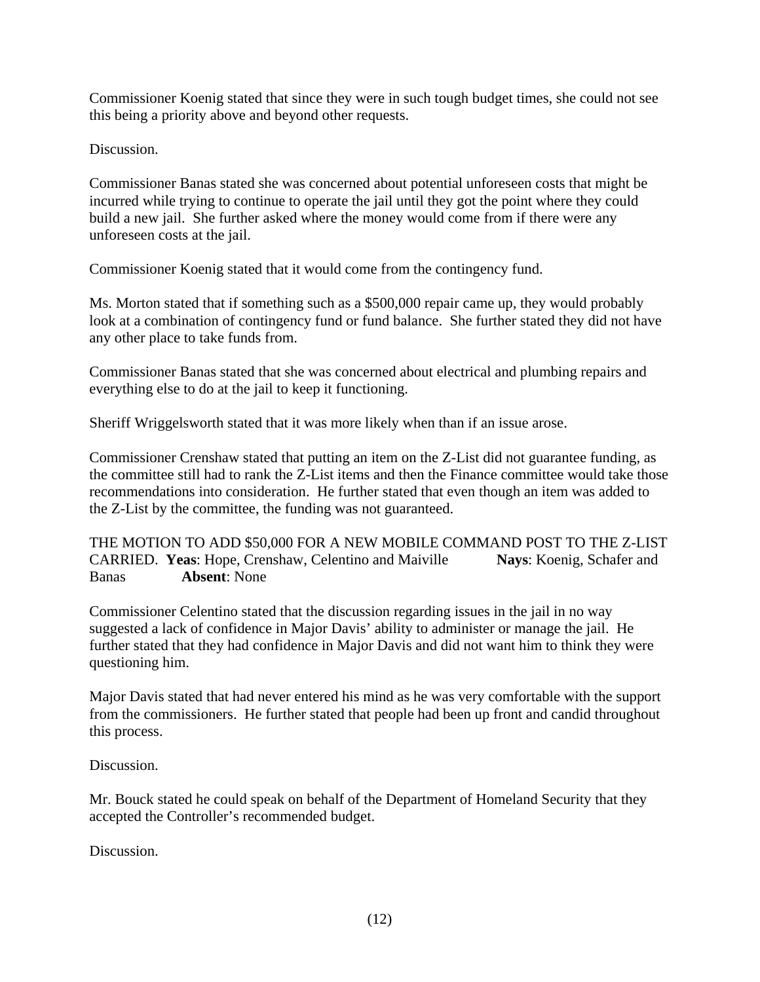Commissioner Koenig stated that since they were in such tough budget times, she could not see this being a priority above and beyond other requests.

Discussion.

Commissioner Banas stated she was concerned about potential unforeseen costs that might be incurred while trying to continue to operate the jail until they got the point where they could build a new jail. She further asked where the money would come from if there were any unforeseen costs at the jail.

Commissioner Koenig stated that it would come from the contingency fund.

Ms. Morton stated that if something such as a \$500,000 repair came up, they would probably look at a combination of contingency fund or fund balance. She further stated they did not have any other place to take funds from.

Commissioner Banas stated that she was concerned about electrical and plumbing repairs and everything else to do at the jail to keep it functioning.

Sheriff Wriggelsworth stated that it was more likely when than if an issue arose.

Commissioner Crenshaw stated that putting an item on the Z-List did not guarantee funding, as the committee still had to rank the Z-List items and then the Finance committee would take those recommendations into consideration. He further stated that even though an item was added to the Z-List by the committee, the funding was not guaranteed.

THE MOTION TO ADD \$50,000 FOR A NEW MOBILE COMMAND POST TO THE Z-LIST CARRIED. **Yeas**: Hope, Crenshaw, Celentino and Maiville **Nays**: Koenig, Schafer and Banas **Absent**: None

Commissioner Celentino stated that the discussion regarding issues in the jail in no way suggested a lack of confidence in Major Davis' ability to administer or manage the jail. He further stated that they had confidence in Major Davis and did not want him to think they were questioning him.

Major Davis stated that had never entered his mind as he was very comfortable with the support from the commissioners. He further stated that people had been up front and candid throughout this process.

Discussion.

Mr. Bouck stated he could speak on behalf of the Department of Homeland Security that they accepted the Controller's recommended budget.

Discussion.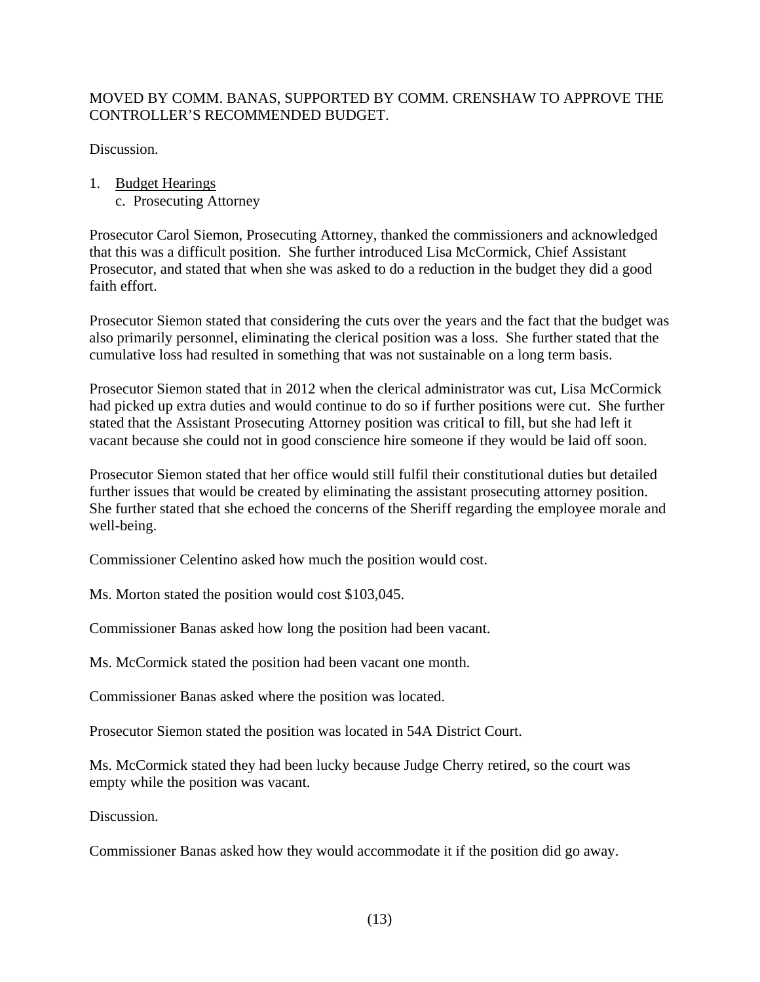#### MOVED BY COMM. BANAS, SUPPORTED BY COMM. CRENSHAW TO APPROVE THE CONTROLLER'S RECOMMENDED BUDGET.

Discussion.

- 1. Budget Hearings
	- c. Prosecuting Attorney

Prosecutor Carol Siemon, Prosecuting Attorney, thanked the commissioners and acknowledged that this was a difficult position. She further introduced Lisa McCormick, Chief Assistant Prosecutor, and stated that when she was asked to do a reduction in the budget they did a good faith effort.

Prosecutor Siemon stated that considering the cuts over the years and the fact that the budget was also primarily personnel, eliminating the clerical position was a loss. She further stated that the cumulative loss had resulted in something that was not sustainable on a long term basis.

Prosecutor Siemon stated that in 2012 when the clerical administrator was cut, Lisa McCormick had picked up extra duties and would continue to do so if further positions were cut. She further stated that the Assistant Prosecuting Attorney position was critical to fill, but she had left it vacant because she could not in good conscience hire someone if they would be laid off soon.

Prosecutor Siemon stated that her office would still fulfil their constitutional duties but detailed further issues that would be created by eliminating the assistant prosecuting attorney position. She further stated that she echoed the concerns of the Sheriff regarding the employee morale and well-being.

Commissioner Celentino asked how much the position would cost.

Ms. Morton stated the position would cost \$103,045.

Commissioner Banas asked how long the position had been vacant.

Ms. McCormick stated the position had been vacant one month.

Commissioner Banas asked where the position was located.

Prosecutor Siemon stated the position was located in 54A District Court.

Ms. McCormick stated they had been lucky because Judge Cherry retired, so the court was empty while the position was vacant.

Discussion.

Commissioner Banas asked how they would accommodate it if the position did go away.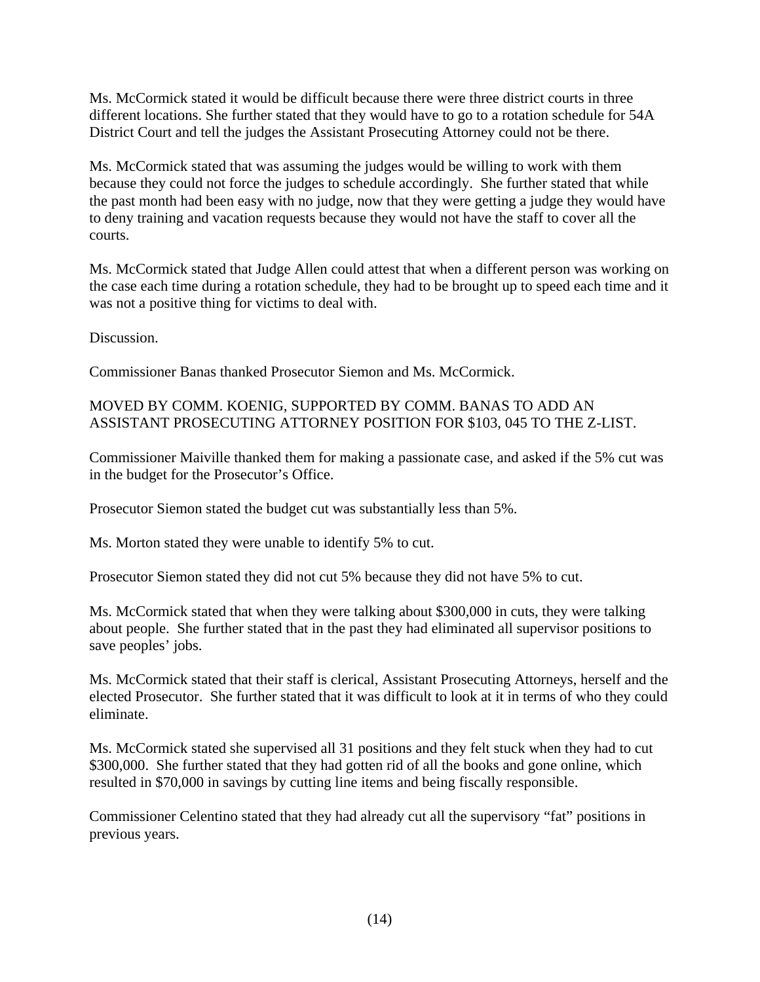Ms. McCormick stated it would be difficult because there were three district courts in three different locations. She further stated that they would have to go to a rotation schedule for 54A District Court and tell the judges the Assistant Prosecuting Attorney could not be there.

Ms. McCormick stated that was assuming the judges would be willing to work with them because they could not force the judges to schedule accordingly. She further stated that while the past month had been easy with no judge, now that they were getting a judge they would have to deny training and vacation requests because they would not have the staff to cover all the courts.

Ms. McCormick stated that Judge Allen could attest that when a different person was working on the case each time during a rotation schedule, they had to be brought up to speed each time and it was not a positive thing for victims to deal with.

Discussion.

Commissioner Banas thanked Prosecutor Siemon and Ms. McCormick.

#### MOVED BY COMM. KOENIG, SUPPORTED BY COMM. BANAS TO ADD AN ASSISTANT PROSECUTING ATTORNEY POSITION FOR \$103, 045 TO THE Z-LIST.

Commissioner Maiville thanked them for making a passionate case, and asked if the 5% cut was in the budget for the Prosecutor's Office.

Prosecutor Siemon stated the budget cut was substantially less than 5%.

Ms. Morton stated they were unable to identify 5% to cut.

Prosecutor Siemon stated they did not cut 5% because they did not have 5% to cut.

Ms. McCormick stated that when they were talking about \$300,000 in cuts, they were talking about people. She further stated that in the past they had eliminated all supervisor positions to save peoples' jobs.

Ms. McCormick stated that their staff is clerical, Assistant Prosecuting Attorneys, herself and the elected Prosecutor. She further stated that it was difficult to look at it in terms of who they could eliminate.

Ms. McCormick stated she supervised all 31 positions and they felt stuck when they had to cut \$300,000. She further stated that they had gotten rid of all the books and gone online, which resulted in \$70,000 in savings by cutting line items and being fiscally responsible.

Commissioner Celentino stated that they had already cut all the supervisory "fat" positions in previous years.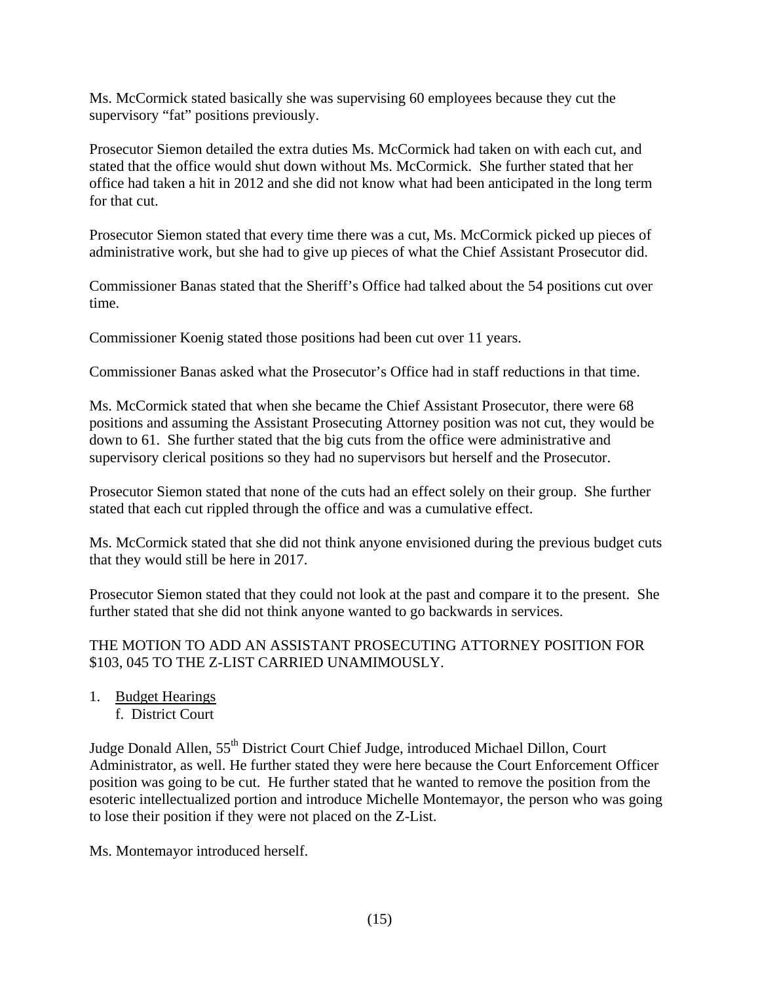Ms. McCormick stated basically she was supervising 60 employees because they cut the supervisory "fat" positions previously.

Prosecutor Siemon detailed the extra duties Ms. McCormick had taken on with each cut, and stated that the office would shut down without Ms. McCormick. She further stated that her office had taken a hit in 2012 and she did not know what had been anticipated in the long term for that cut.

Prosecutor Siemon stated that every time there was a cut, Ms. McCormick picked up pieces of administrative work, but she had to give up pieces of what the Chief Assistant Prosecutor did.

Commissioner Banas stated that the Sheriff's Office had talked about the 54 positions cut over time.

Commissioner Koenig stated those positions had been cut over 11 years.

Commissioner Banas asked what the Prosecutor's Office had in staff reductions in that time.

Ms. McCormick stated that when she became the Chief Assistant Prosecutor, there were 68 positions and assuming the Assistant Prosecuting Attorney position was not cut, they would be down to 61. She further stated that the big cuts from the office were administrative and supervisory clerical positions so they had no supervisors but herself and the Prosecutor.

Prosecutor Siemon stated that none of the cuts had an effect solely on their group. She further stated that each cut rippled through the office and was a cumulative effect.

Ms. McCormick stated that she did not think anyone envisioned during the previous budget cuts that they would still be here in 2017.

Prosecutor Siemon stated that they could not look at the past and compare it to the present. She further stated that she did not think anyone wanted to go backwards in services.

### THE MOTION TO ADD AN ASSISTANT PROSECUTING ATTORNEY POSITION FOR \$103, 045 TO THE Z-LIST CARRIED UNAMIMOUSLY.

- 1. Budget Hearings
	- f. District Court

Judge Donald Allen, 55<sup>th</sup> District Court Chief Judge, introduced Michael Dillon, Court Administrator, as well. He further stated they were here because the Court Enforcement Officer position was going to be cut. He further stated that he wanted to remove the position from the esoteric intellectualized portion and introduce Michelle Montemayor, the person who was going to lose their position if they were not placed on the Z-List.

Ms. Montemayor introduced herself.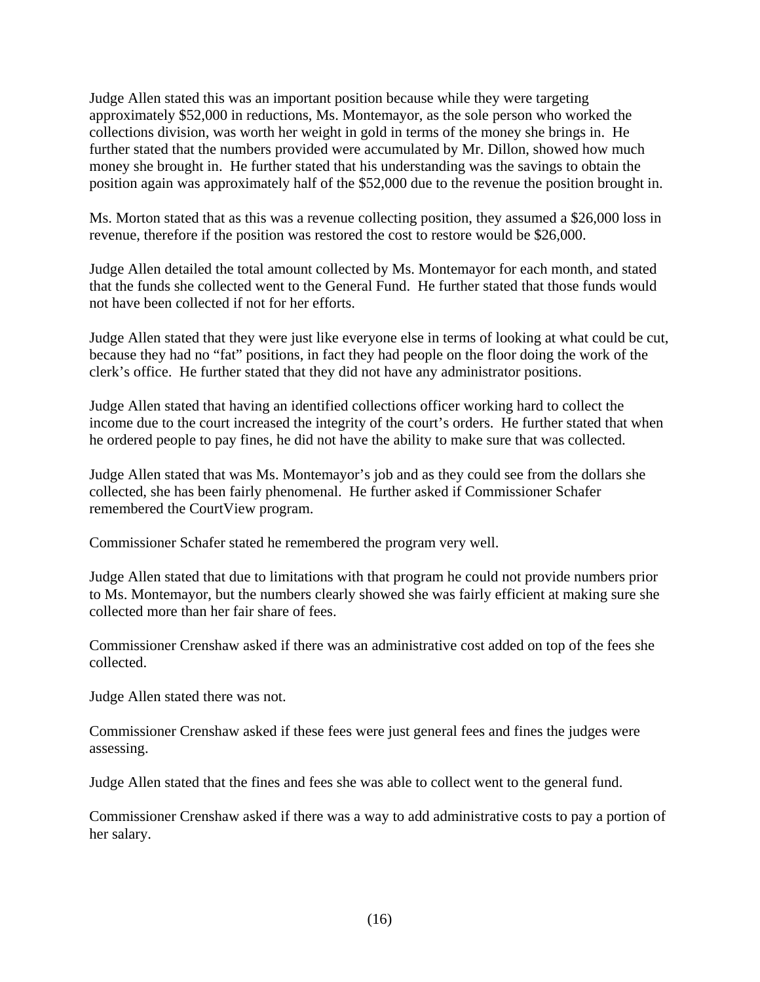Judge Allen stated this was an important position because while they were targeting approximately \$52,000 in reductions, Ms. Montemayor, as the sole person who worked the collections division, was worth her weight in gold in terms of the money she brings in. He further stated that the numbers provided were accumulated by Mr. Dillon, showed how much money she brought in. He further stated that his understanding was the savings to obtain the position again was approximately half of the \$52,000 due to the revenue the position brought in.

Ms. Morton stated that as this was a revenue collecting position, they assumed a \$26,000 loss in revenue, therefore if the position was restored the cost to restore would be \$26,000.

Judge Allen detailed the total amount collected by Ms. Montemayor for each month, and stated that the funds she collected went to the General Fund. He further stated that those funds would not have been collected if not for her efforts.

Judge Allen stated that they were just like everyone else in terms of looking at what could be cut, because they had no "fat" positions, in fact they had people on the floor doing the work of the clerk's office. He further stated that they did not have any administrator positions.

Judge Allen stated that having an identified collections officer working hard to collect the income due to the court increased the integrity of the court's orders. He further stated that when he ordered people to pay fines, he did not have the ability to make sure that was collected.

Judge Allen stated that was Ms. Montemayor's job and as they could see from the dollars she collected, she has been fairly phenomenal. He further asked if Commissioner Schafer remembered the CourtView program.

Commissioner Schafer stated he remembered the program very well.

Judge Allen stated that due to limitations with that program he could not provide numbers prior to Ms. Montemayor, but the numbers clearly showed she was fairly efficient at making sure she collected more than her fair share of fees.

Commissioner Crenshaw asked if there was an administrative cost added on top of the fees she collected.

Judge Allen stated there was not.

Commissioner Crenshaw asked if these fees were just general fees and fines the judges were assessing.

Judge Allen stated that the fines and fees she was able to collect went to the general fund.

Commissioner Crenshaw asked if there was a way to add administrative costs to pay a portion of her salary.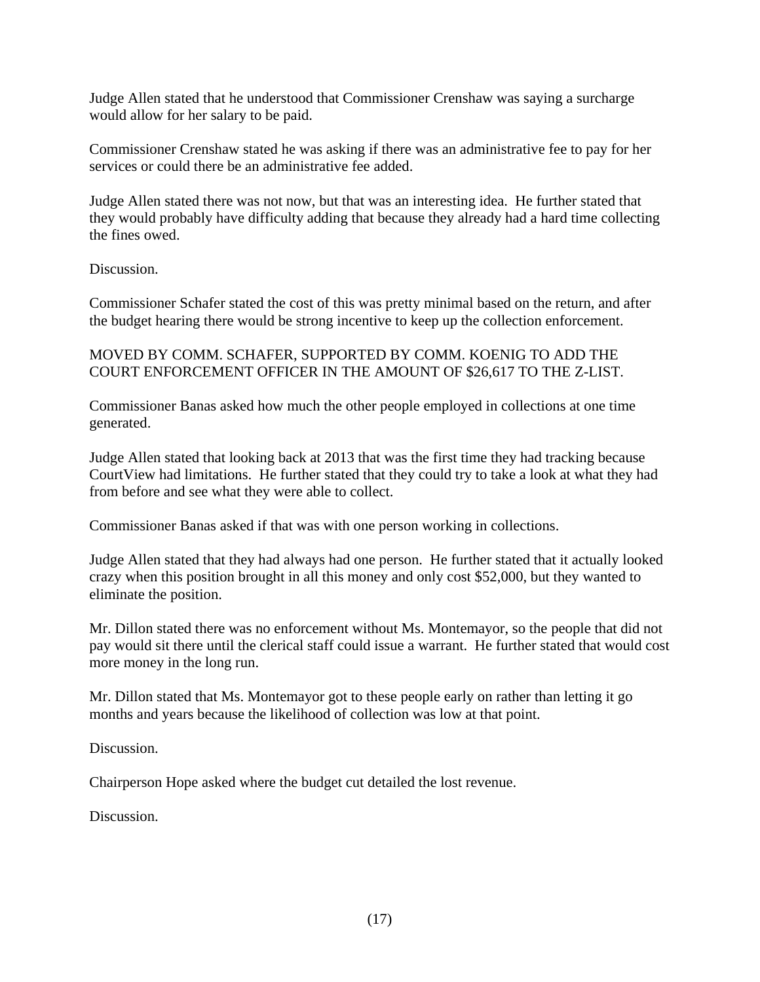Judge Allen stated that he understood that Commissioner Crenshaw was saying a surcharge would allow for her salary to be paid.

Commissioner Crenshaw stated he was asking if there was an administrative fee to pay for her services or could there be an administrative fee added.

Judge Allen stated there was not now, but that was an interesting idea. He further stated that they would probably have difficulty adding that because they already had a hard time collecting the fines owed.

#### Discussion.

Commissioner Schafer stated the cost of this was pretty minimal based on the return, and after the budget hearing there would be strong incentive to keep up the collection enforcement.

#### MOVED BY COMM. SCHAFER, SUPPORTED BY COMM. KOENIG TO ADD THE COURT ENFORCEMENT OFFICER IN THE AMOUNT OF \$26,617 TO THE Z-LIST.

Commissioner Banas asked how much the other people employed in collections at one time generated.

Judge Allen stated that looking back at 2013 that was the first time they had tracking because CourtView had limitations. He further stated that they could try to take a look at what they had from before and see what they were able to collect.

Commissioner Banas asked if that was with one person working in collections.

Judge Allen stated that they had always had one person. He further stated that it actually looked crazy when this position brought in all this money and only cost \$52,000, but they wanted to eliminate the position.

Mr. Dillon stated there was no enforcement without Ms. Montemayor, so the people that did not pay would sit there until the clerical staff could issue a warrant. He further stated that would cost more money in the long run.

Mr. Dillon stated that Ms. Montemayor got to these people early on rather than letting it go months and years because the likelihood of collection was low at that point.

Discussion.

Chairperson Hope asked where the budget cut detailed the lost revenue.

Discussion.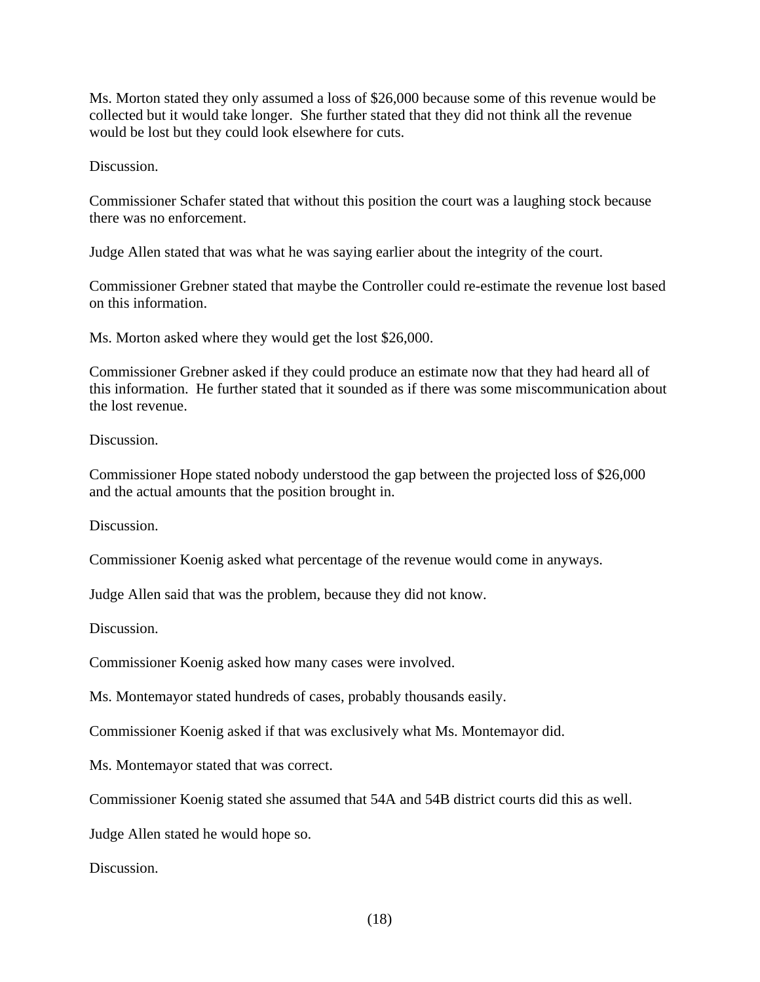Ms. Morton stated they only assumed a loss of \$26,000 because some of this revenue would be collected but it would take longer. She further stated that they did not think all the revenue would be lost but they could look elsewhere for cuts.

Discussion.

Commissioner Schafer stated that without this position the court was a laughing stock because there was no enforcement.

Judge Allen stated that was what he was saying earlier about the integrity of the court.

Commissioner Grebner stated that maybe the Controller could re-estimate the revenue lost based on this information.

Ms. Morton asked where they would get the lost \$26,000.

Commissioner Grebner asked if they could produce an estimate now that they had heard all of this information. He further stated that it sounded as if there was some miscommunication about the lost revenue.

Discussion.

Commissioner Hope stated nobody understood the gap between the projected loss of \$26,000 and the actual amounts that the position brought in.

Discussion.

Commissioner Koenig asked what percentage of the revenue would come in anyways.

Judge Allen said that was the problem, because they did not know.

Discussion.

Commissioner Koenig asked how many cases were involved.

Ms. Montemayor stated hundreds of cases, probably thousands easily.

Commissioner Koenig asked if that was exclusively what Ms. Montemayor did.

Ms. Montemayor stated that was correct.

Commissioner Koenig stated she assumed that 54A and 54B district courts did this as well.

Judge Allen stated he would hope so.

Discussion.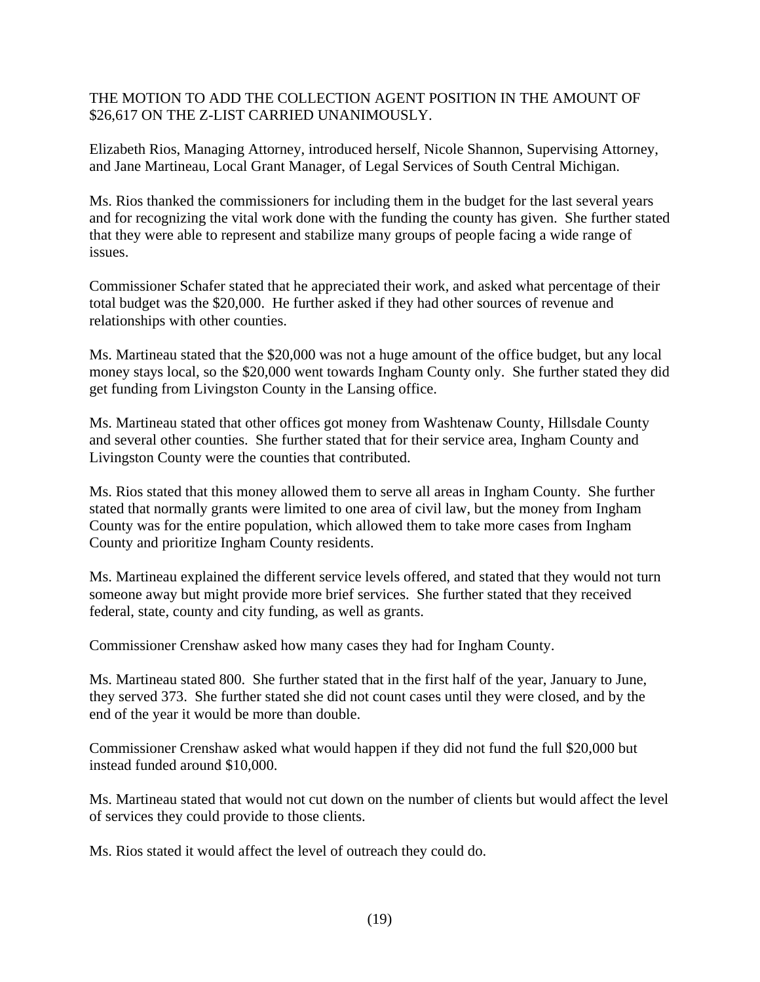#### THE MOTION TO ADD THE COLLECTION AGENT POSITION IN THE AMOUNT OF \$26,617 ON THE Z-LIST CARRIED UNANIMOUSLY.

Elizabeth Rios, Managing Attorney, introduced herself, Nicole Shannon, Supervising Attorney, and Jane Martineau, Local Grant Manager, of Legal Services of South Central Michigan.

Ms. Rios thanked the commissioners for including them in the budget for the last several years and for recognizing the vital work done with the funding the county has given. She further stated that they were able to represent and stabilize many groups of people facing a wide range of issues.

Commissioner Schafer stated that he appreciated their work, and asked what percentage of their total budget was the \$20,000. He further asked if they had other sources of revenue and relationships with other counties.

Ms. Martineau stated that the \$20,000 was not a huge amount of the office budget, but any local money stays local, so the \$20,000 went towards Ingham County only. She further stated they did get funding from Livingston County in the Lansing office.

Ms. Martineau stated that other offices got money from Washtenaw County, Hillsdale County and several other counties. She further stated that for their service area, Ingham County and Livingston County were the counties that contributed.

Ms. Rios stated that this money allowed them to serve all areas in Ingham County. She further stated that normally grants were limited to one area of civil law, but the money from Ingham County was for the entire population, which allowed them to take more cases from Ingham County and prioritize Ingham County residents.

Ms. Martineau explained the different service levels offered, and stated that they would not turn someone away but might provide more brief services. She further stated that they received federal, state, county and city funding, as well as grants.

Commissioner Crenshaw asked how many cases they had for Ingham County.

Ms. Martineau stated 800. She further stated that in the first half of the year, January to June, they served 373. She further stated she did not count cases until they were closed, and by the end of the year it would be more than double.

Commissioner Crenshaw asked what would happen if they did not fund the full \$20,000 but instead funded around \$10,000.

Ms. Martineau stated that would not cut down on the number of clients but would affect the level of services they could provide to those clients.

Ms. Rios stated it would affect the level of outreach they could do.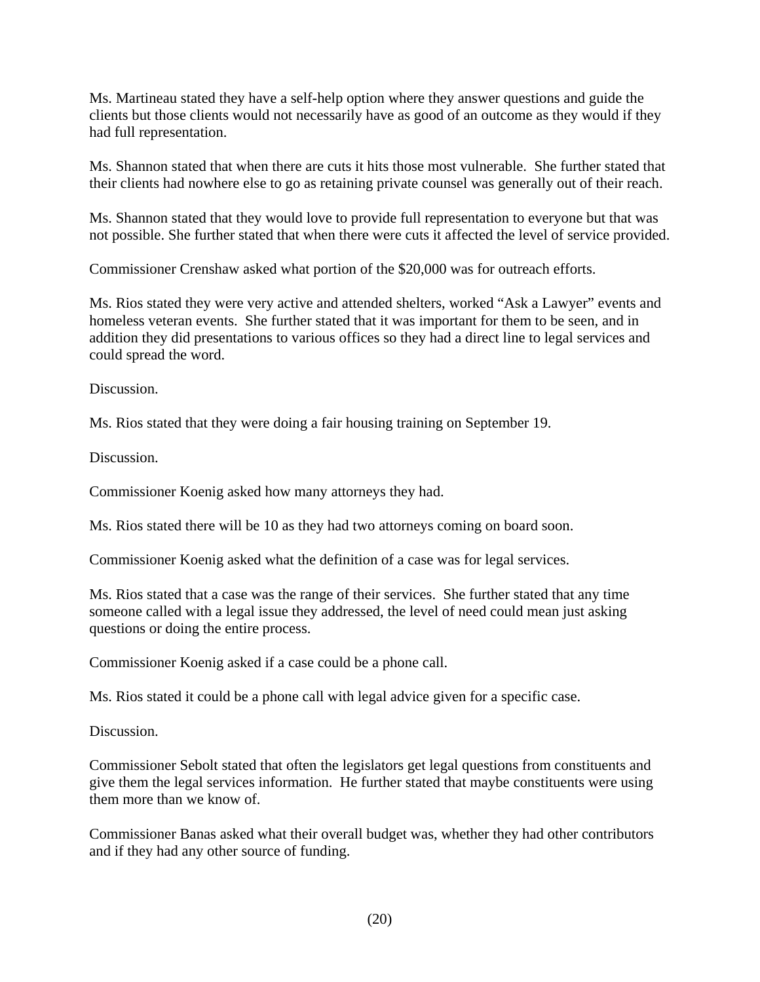Ms. Martineau stated they have a self-help option where they answer questions and guide the clients but those clients would not necessarily have as good of an outcome as they would if they had full representation.

Ms. Shannon stated that when there are cuts it hits those most vulnerable. She further stated that their clients had nowhere else to go as retaining private counsel was generally out of their reach.

Ms. Shannon stated that they would love to provide full representation to everyone but that was not possible. She further stated that when there were cuts it affected the level of service provided.

Commissioner Crenshaw asked what portion of the \$20,000 was for outreach efforts.

Ms. Rios stated they were very active and attended shelters, worked "Ask a Lawyer" events and homeless veteran events. She further stated that it was important for them to be seen, and in addition they did presentations to various offices so they had a direct line to legal services and could spread the word.

Discussion.

Ms. Rios stated that they were doing a fair housing training on September 19.

Discussion.

Commissioner Koenig asked how many attorneys they had.

Ms. Rios stated there will be 10 as they had two attorneys coming on board soon.

Commissioner Koenig asked what the definition of a case was for legal services.

Ms. Rios stated that a case was the range of their services. She further stated that any time someone called with a legal issue they addressed, the level of need could mean just asking questions or doing the entire process.

Commissioner Koenig asked if a case could be a phone call.

Ms. Rios stated it could be a phone call with legal advice given for a specific case.

Discussion.

Commissioner Sebolt stated that often the legislators get legal questions from constituents and give them the legal services information. He further stated that maybe constituents were using them more than we know of.

Commissioner Banas asked what their overall budget was, whether they had other contributors and if they had any other source of funding.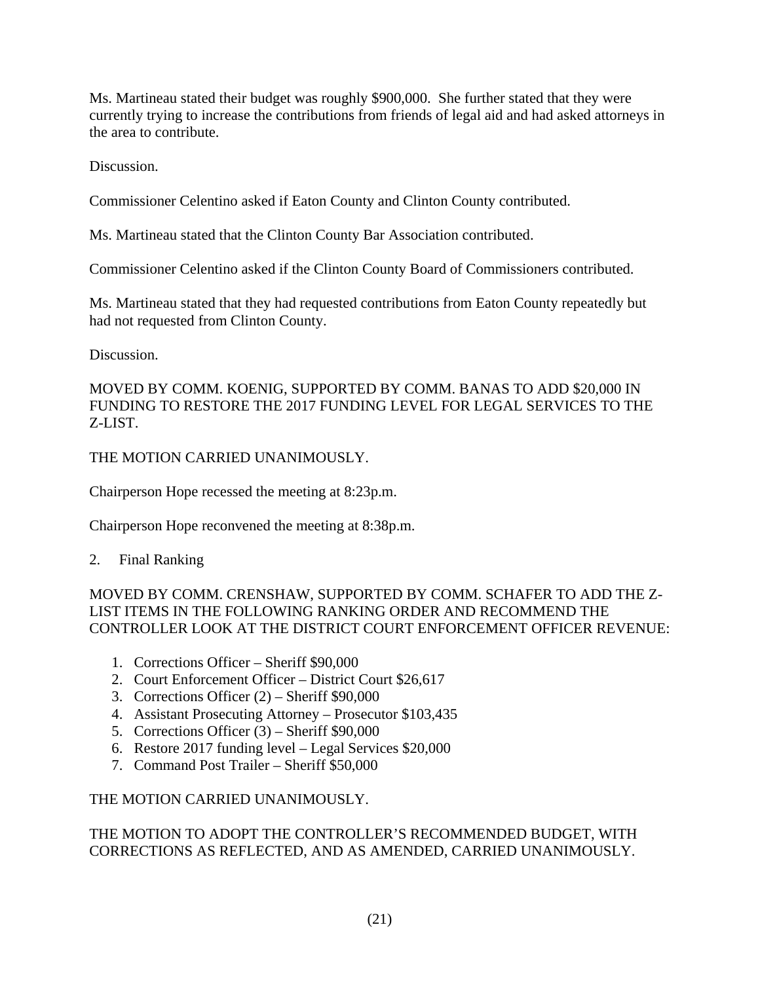Ms. Martineau stated their budget was roughly \$900,000. She further stated that they were currently trying to increase the contributions from friends of legal aid and had asked attorneys in the area to contribute.

Discussion.

Commissioner Celentino asked if Eaton County and Clinton County contributed.

Ms. Martineau stated that the Clinton County Bar Association contributed.

Commissioner Celentino asked if the Clinton County Board of Commissioners contributed.

Ms. Martineau stated that they had requested contributions from Eaton County repeatedly but had not requested from Clinton County.

Discussion.

MOVED BY COMM. KOENIG, SUPPORTED BY COMM. BANAS TO ADD \$20,000 IN FUNDING TO RESTORE THE 2017 FUNDING LEVEL FOR LEGAL SERVICES TO THE Z-LIST.

THE MOTION CARRIED UNANIMOUSLY.

Chairperson Hope recessed the meeting at 8:23p.m.

Chairperson Hope reconvened the meeting at 8:38p.m.

2. Final Ranking

MOVED BY COMM. CRENSHAW, SUPPORTED BY COMM. SCHAFER TO ADD THE Z-LIST ITEMS IN THE FOLLOWING RANKING ORDER AND RECOMMEND THE CONTROLLER LOOK AT THE DISTRICT COURT ENFORCEMENT OFFICER REVENUE:

- 1. Corrections Officer Sheriff \$90,000
- 2. Court Enforcement Officer District Court \$26,617
- 3. Corrections Officer (2) Sheriff \$90,000
- 4. Assistant Prosecuting Attorney Prosecutor \$103,435
- 5. Corrections Officer (3) Sheriff \$90,000
- 6. Restore 2017 funding level Legal Services \$20,000
- 7. Command Post Trailer Sheriff \$50,000

# THE MOTION CARRIED UNANIMOUSLY.

THE MOTION TO ADOPT THE CONTROLLER'S RECOMMENDED BUDGET, WITH CORRECTIONS AS REFLECTED, AND AS AMENDED, CARRIED UNANIMOUSLY.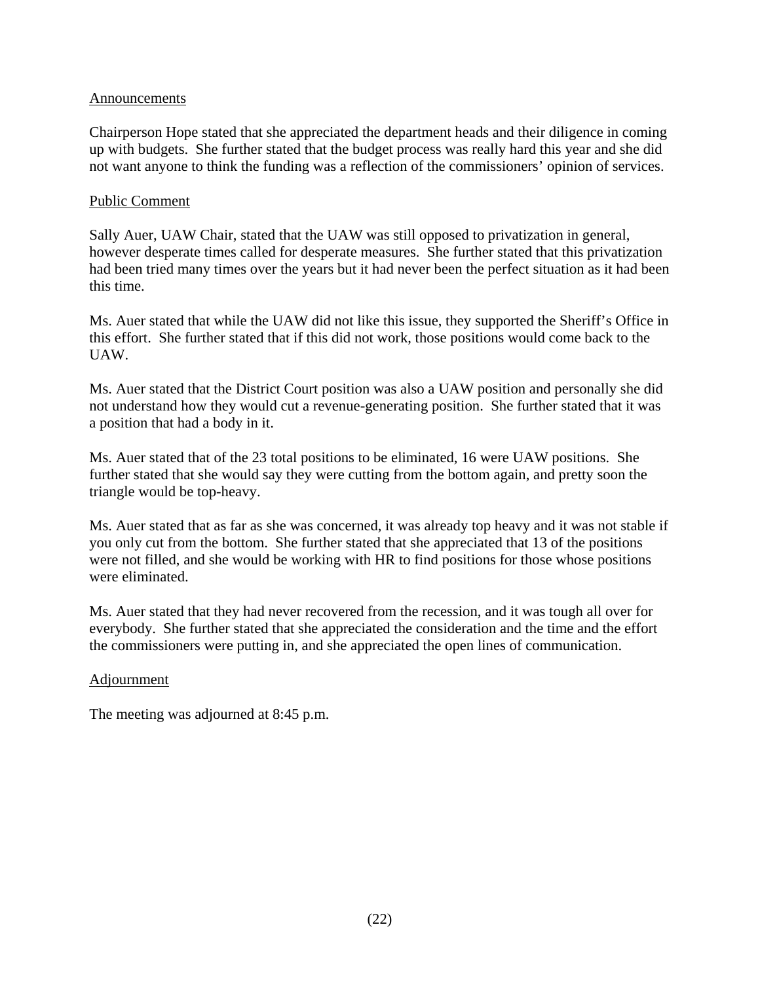#### Announcements

Chairperson Hope stated that she appreciated the department heads and their diligence in coming up with budgets. She further stated that the budget process was really hard this year and she did not want anyone to think the funding was a reflection of the commissioners' opinion of services.

#### Public Comment

Sally Auer, UAW Chair, stated that the UAW was still opposed to privatization in general, however desperate times called for desperate measures. She further stated that this privatization had been tried many times over the years but it had never been the perfect situation as it had been this time.

Ms. Auer stated that while the UAW did not like this issue, they supported the Sheriff's Office in this effort. She further stated that if this did not work, those positions would come back to the UAW.

Ms. Auer stated that the District Court position was also a UAW position and personally she did not understand how they would cut a revenue-generating position. She further stated that it was a position that had a body in it.

Ms. Auer stated that of the 23 total positions to be eliminated, 16 were UAW positions. She further stated that she would say they were cutting from the bottom again, and pretty soon the triangle would be top-heavy.

Ms. Auer stated that as far as she was concerned, it was already top heavy and it was not stable if you only cut from the bottom. She further stated that she appreciated that 13 of the positions were not filled, and she would be working with HR to find positions for those whose positions were eliminated.

Ms. Auer stated that they had never recovered from the recession, and it was tough all over for everybody. She further stated that she appreciated the consideration and the time and the effort the commissioners were putting in, and she appreciated the open lines of communication.

#### Adjournment

The meeting was adjourned at 8:45 p.m.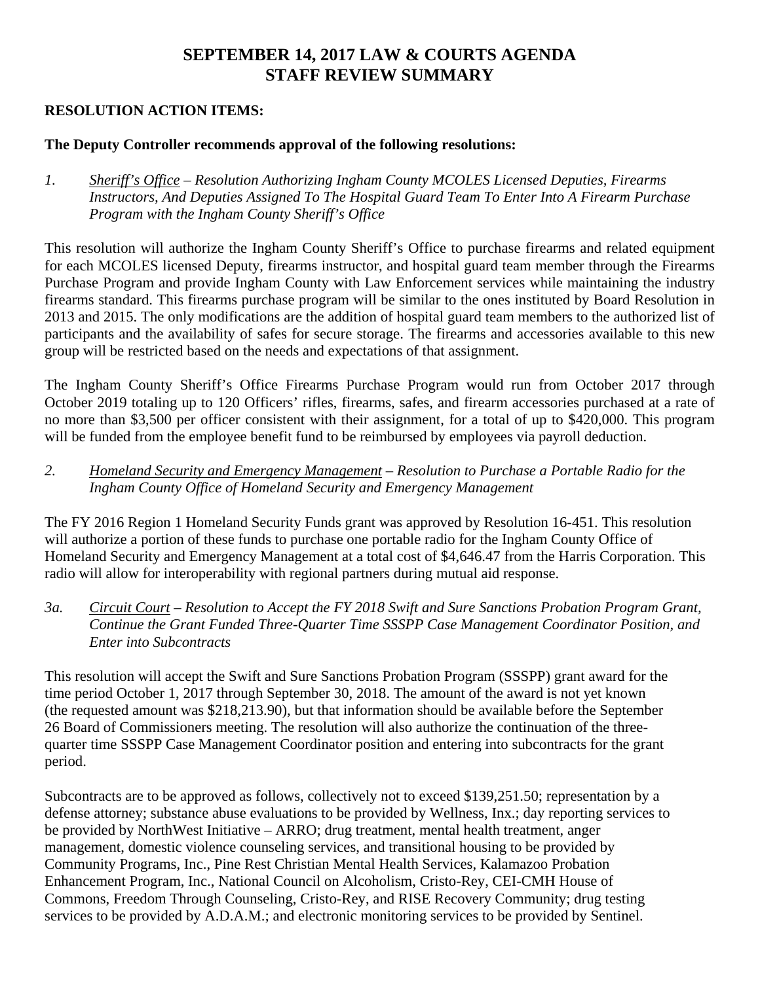# **SEPTEMBER 14, 2017 LAW & COURTS AGENDA STAFF REVIEW SUMMARY**

#### **RESOLUTION ACTION ITEMS:**

#### **The Deputy Controller recommends approval of the following resolutions:**

*1. Sheriff's Office – Resolution Authorizing Ingham County MCOLES Licensed Deputies, Firearms Instructors, And Deputies Assigned To The Hospital Guard Team To Enter Into A Firearm Purchase Program with the Ingham County Sheriff's Office*

This resolution will authorize the Ingham County Sheriff's Office to purchase firearms and related equipment for each MCOLES licensed Deputy, firearms instructor, and hospital guard team member through the Firearms Purchase Program and provide Ingham County with Law Enforcement services while maintaining the industry firearms standard. This firearms purchase program will be similar to the ones instituted by Board Resolution in 2013 and 2015. The only modifications are the addition of hospital guard team members to the authorized list of participants and the availability of safes for secure storage. The firearms and accessories available to this new group will be restricted based on the needs and expectations of that assignment.

The Ingham County Sheriff's Office Firearms Purchase Program would run from October 2017 through October 2019 totaling up to 120 Officers' rifles, firearms, safes, and firearm accessories purchased at a rate of no more than \$3,500 per officer consistent with their assignment, for a total of up to \$420,000. This program will be funded from the employee benefit fund to be reimbursed by employees via payroll deduction.

#### *2. Homeland Security and Emergency Management – Resolution to Purchase a Portable Radio for the Ingham County Office of Homeland Security and Emergency Management*

The FY 2016 Region 1 Homeland Security Funds grant was approved by Resolution 16-451. This resolution will authorize a portion of these funds to purchase one portable radio for the Ingham County Office of Homeland Security and Emergency Management at a total cost of \$4,646.47 from the Harris Corporation. This radio will allow for interoperability with regional partners during mutual aid response.

#### *3a. Circuit Court – Resolution to Accept the FY 2018 Swift and Sure Sanctions Probation Program Grant, Continue the Grant Funded Three-Quarter Time SSSPP Case Management Coordinator Position, and Enter into Subcontracts*

This resolution will accept the Swift and Sure Sanctions Probation Program (SSSPP) grant award for the time period October 1, 2017 through September 30, 2018. The amount of the award is not yet known (the requested amount was \$218,213.90), but that information should be available before the September 26 Board of Commissioners meeting. The resolution will also authorize the continuation of the threequarter time SSSPP Case Management Coordinator position and entering into subcontracts for the grant period.

Subcontracts are to be approved as follows, collectively not to exceed \$139,251.50; representation by a defense attorney; substance abuse evaluations to be provided by Wellness, Inx.; day reporting services to be provided by NorthWest Initiative – ARRO; drug treatment, mental health treatment, anger management, domestic violence counseling services, and transitional housing to be provided by Community Programs, Inc., Pine Rest Christian Mental Health Services, Kalamazoo Probation Enhancement Program, Inc., National Council on Alcoholism, Cristo-Rey, CEI-CMH House of Commons, Freedom Through Counseling, Cristo-Rey, and RISE Recovery Community; drug testing services to be provided by A.D.A.M.; and electronic monitoring services to be provided by Sentinel.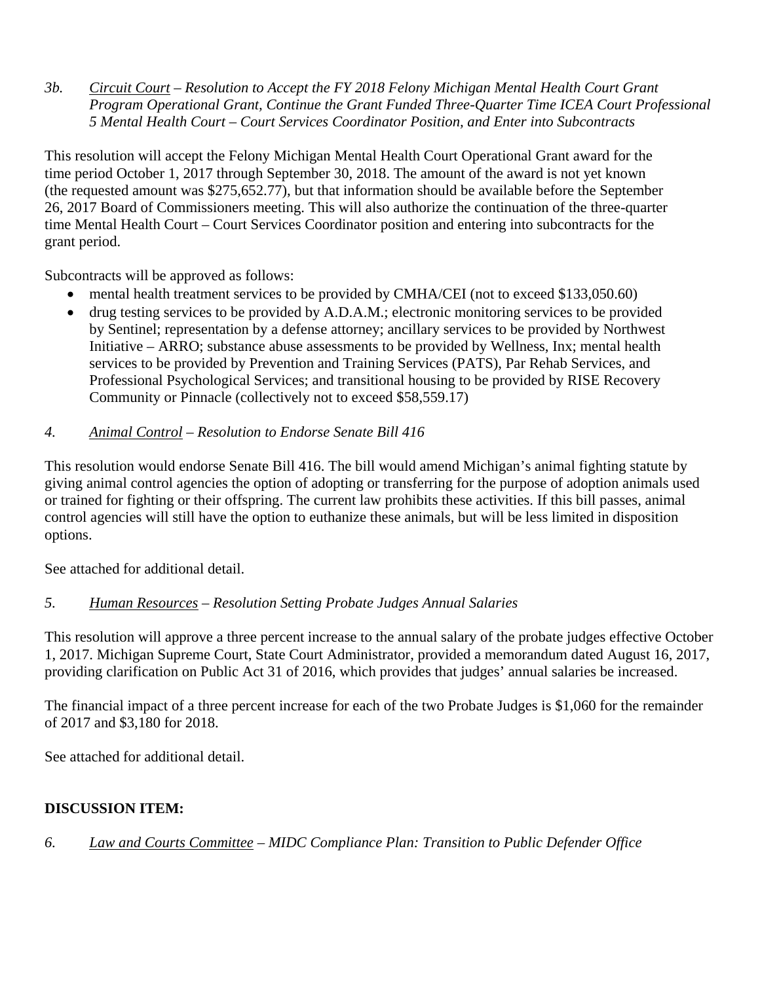*3b. Circuit Court – Resolution to Accept the FY 2018 Felony Michigan Mental Health Court Grant Program Operational Grant, Continue the Grant Funded Three-Quarter Time ICEA Court Professional 5 Mental Health Court – Court Services Coordinator Position, and Enter into Subcontracts*

This resolution will accept the Felony Michigan Mental Health Court Operational Grant award for the time period October 1, 2017 through September 30, 2018. The amount of the award is not yet known (the requested amount was \$275,652.77), but that information should be available before the September 26, 2017 Board of Commissioners meeting. This will also authorize the continuation of the three-quarter time Mental Health Court – Court Services Coordinator position and entering into subcontracts for the grant period.

Subcontracts will be approved as follows:

- mental health treatment services to be provided by CMHA/CEI (not to exceed \$133,050.60)
- drug testing services to be provided by A.D.A.M.; electronic monitoring services to be provided by Sentinel; representation by a defense attorney; ancillary services to be provided by Northwest Initiative – ARRO; substance abuse assessments to be provided by Wellness, Inx; mental health services to be provided by Prevention and Training Services (PATS), Par Rehab Services, and Professional Psychological Services; and transitional housing to be provided by RISE Recovery Community or Pinnacle (collectively not to exceed \$58,559.17)
- *4. Animal Control Resolution to Endorse Senate Bill 416*

This resolution would endorse Senate Bill 416. The bill would amend Michigan's animal fighting statute by giving animal control agencies the option of adopting or transferring for the purpose of adoption animals used or trained for fighting or their offspring. The current law prohibits these activities. If this bill passes, animal control agencies will still have the option to euthanize these animals, but will be less limited in disposition options.

See attached for additional detail.

# *5. Human Resources – Resolution Setting Probate Judges Annual Salaries*

This resolution will approve a three percent increase to the annual salary of the probate judges effective October 1, 2017. Michigan Supreme Court, State Court Administrator, provided a memorandum dated August 16, 2017, providing clarification on Public Act 31 of 2016, which provides that judges' annual salaries be increased.

The financial impact of a three percent increase for each of the two Probate Judges is \$1,060 for the remainder of 2017 and \$3,180 for 2018.

See attached for additional detail.

# **DISCUSSION ITEM:**

*6. Law and Courts Committee – MIDC Compliance Plan: Transition to Public Defender Office*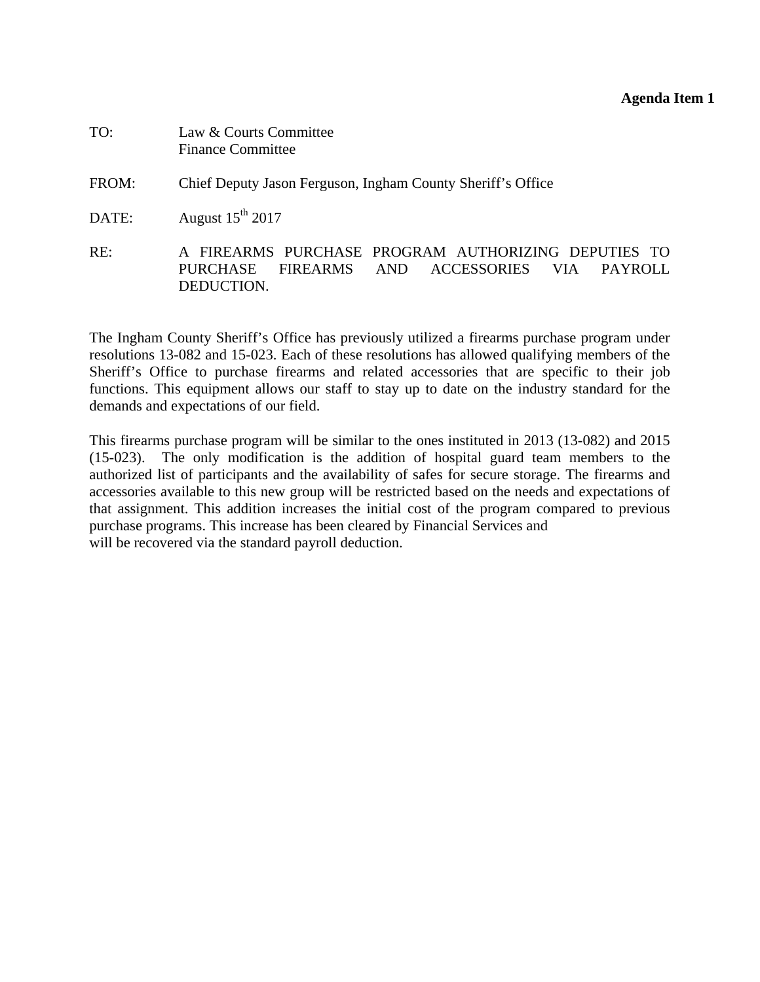#### **Agenda Item 1**

<span id="page-25-0"></span>

| TO:   | Law & Courts Committee<br><b>Finance Committee</b>                                                                                                |
|-------|---------------------------------------------------------------------------------------------------------------------------------------------------|
| FROM: | Chief Deputy Jason Ferguson, Ingham County Sheriff's Office                                                                                       |
| DATE: | August $15^{\text{th}}$ 2017                                                                                                                      |
| RE:   | A FIREARMS PURCHASE PROGRAM AUTHORIZING DEPUTIES TO<br>ACCESSORIES<br>FIREARMS<br><b>AND</b><br>PURCHASE<br>- VIA<br><b>PAYROLL</b><br>DEDUCTION. |

The Ingham County Sheriff's Office has previously utilized a firearms purchase program under resolutions 13-082 and 15-023. Each of these resolutions has allowed qualifying members of the Sheriff's Office to purchase firearms and related accessories that are specific to their job functions. This equipment allows our staff to stay up to date on the industry standard for the demands and expectations of our field.

This firearms purchase program will be similar to the ones instituted in 2013 (13-082) and 2015 (15-023). The only modification is the addition of hospital guard team members to the authorized list of participants and the availability of safes for secure storage. The firearms and accessories available to this new group will be restricted based on the needs and expectations of that assignment. This addition increases the initial cost of the program compared to previous purchase programs. This increase has been cleared by Financial Services and will be recovered via the standard payroll deduction.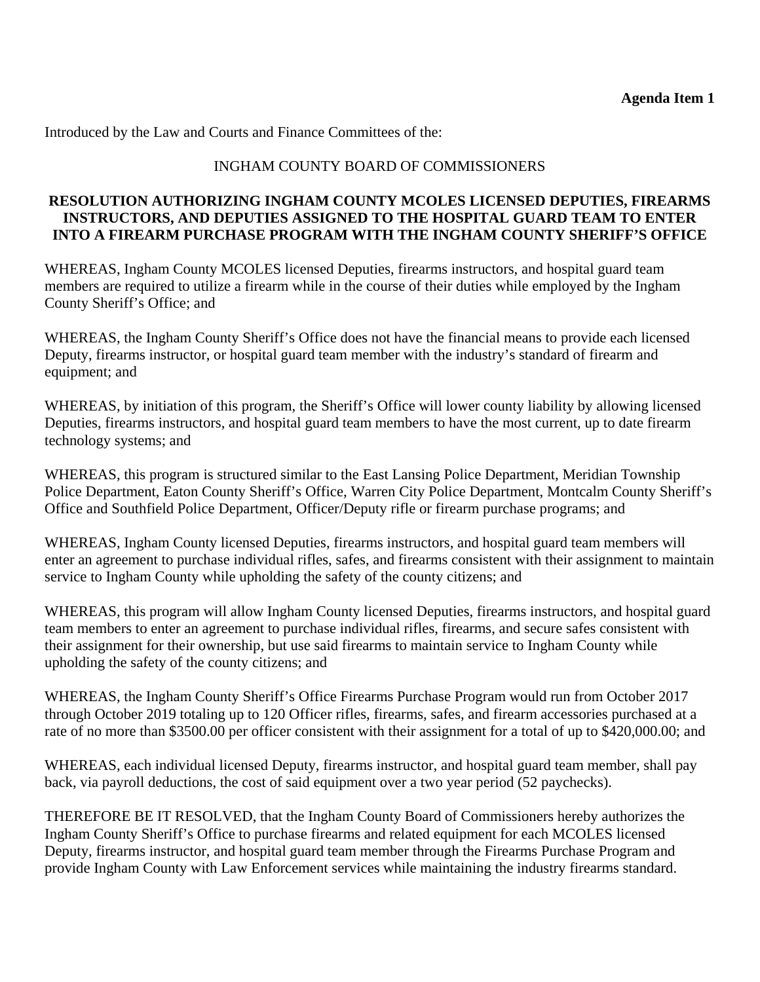Introduced by the Law and Courts and Finance Committees of the:

#### INGHAM COUNTY BOARD OF COMMISSIONERS

#### **RESOLUTION AUTHORIZING INGHAM COUNTY MCOLES LICENSED DEPUTIES, FIREARMS INSTRUCTORS, AND DEPUTIES ASSIGNED TO THE HOSPITAL GUARD TEAM TO ENTER INTO A FIREARM PURCHASE PROGRAM WITH THE INGHAM COUNTY SHERIFF'S OFFICE**

WHEREAS, Ingham County MCOLES licensed Deputies, firearms instructors, and hospital guard team members are required to utilize a firearm while in the course of their duties while employed by the Ingham County Sheriff's Office; and

WHEREAS, the Ingham County Sheriff's Office does not have the financial means to provide each licensed Deputy, firearms instructor, or hospital guard team member with the industry's standard of firearm and equipment; and

WHEREAS, by initiation of this program, the Sheriff's Office will lower county liability by allowing licensed Deputies, firearms instructors, and hospital guard team members to have the most current, up to date firearm technology systems; and

WHEREAS, this program is structured similar to the East Lansing Police Department, Meridian Township Police Department, Eaton County Sheriff's Office, Warren City Police Department, Montcalm County Sheriff's Office and Southfield Police Department, Officer/Deputy rifle or firearm purchase programs; and

WHEREAS, Ingham County licensed Deputies, firearms instructors, and hospital guard team members will enter an agreement to purchase individual rifles, safes, and firearms consistent with their assignment to maintain service to Ingham County while upholding the safety of the county citizens; and

WHEREAS, this program will allow Ingham County licensed Deputies, firearms instructors, and hospital guard team members to enter an agreement to purchase individual rifles, firearms, and secure safes consistent with their assignment for their ownership, but use said firearms to maintain service to Ingham County while upholding the safety of the county citizens; and

WHEREAS, the Ingham County Sheriff's Office Firearms Purchase Program would run from October 2017 through October 2019 totaling up to 120 Officer rifles, firearms, safes, and firearm accessories purchased at a rate of no more than \$3500.00 per officer consistent with their assignment for a total of up to \$420,000.00; and

WHEREAS, each individual licensed Deputy, firearms instructor, and hospital guard team member, shall pay back, via payroll deductions, the cost of said equipment over a two year period (52 paychecks).

THEREFORE BE IT RESOLVED, that the Ingham County Board of Commissioners hereby authorizes the Ingham County Sheriff's Office to purchase firearms and related equipment for each MCOLES licensed Deputy, firearms instructor, and hospital guard team member through the Firearms Purchase Program and provide Ingham County with Law Enforcement services while maintaining the industry firearms standard.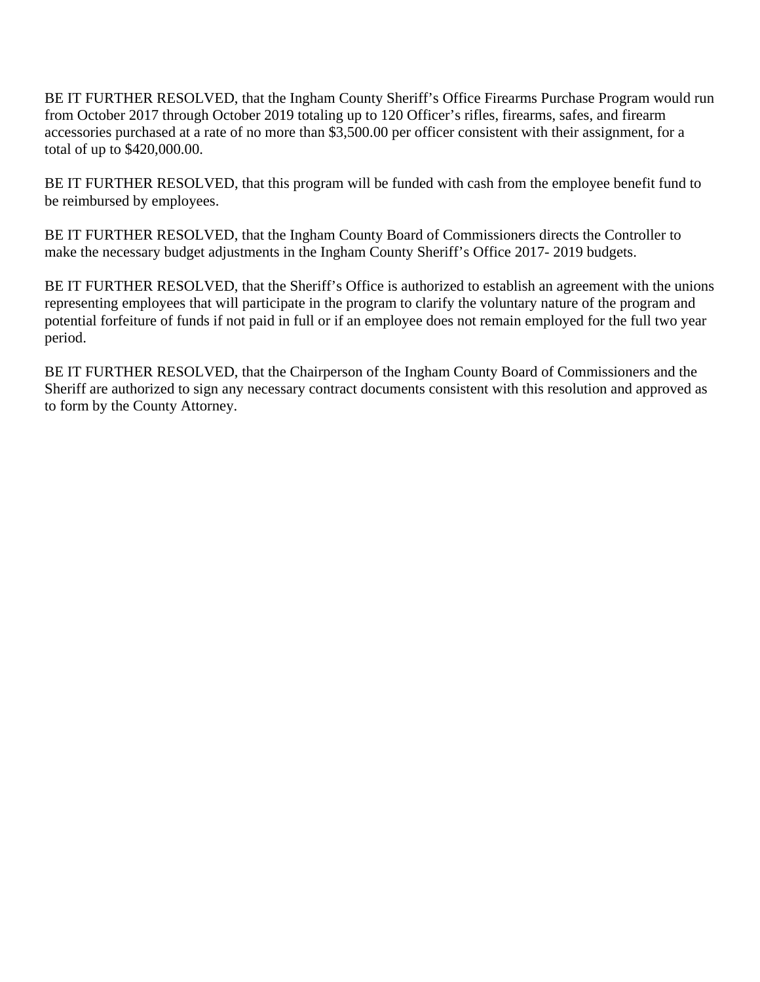BE IT FURTHER RESOLVED, that the Ingham County Sheriff's Office Firearms Purchase Program would run from October 2017 through October 2019 totaling up to 120 Officer's rifles, firearms, safes, and firearm accessories purchased at a rate of no more than \$3,500.00 per officer consistent with their assignment, for a total of up to \$420,000.00.

BE IT FURTHER RESOLVED, that this program will be funded with cash from the employee benefit fund to be reimbursed by employees.

BE IT FURTHER RESOLVED, that the Ingham County Board of Commissioners directs the Controller to make the necessary budget adjustments in the Ingham County Sheriff's Office 2017- 2019 budgets.

BE IT FURTHER RESOLVED, that the Sheriff's Office is authorized to establish an agreement with the unions representing employees that will participate in the program to clarify the voluntary nature of the program and potential forfeiture of funds if not paid in full or if an employee does not remain employed for the full two year period.

BE IT FURTHER RESOLVED, that the Chairperson of the Ingham County Board of Commissioners and the Sheriff are authorized to sign any necessary contract documents consistent with this resolution and approved as to form by the County Attorney.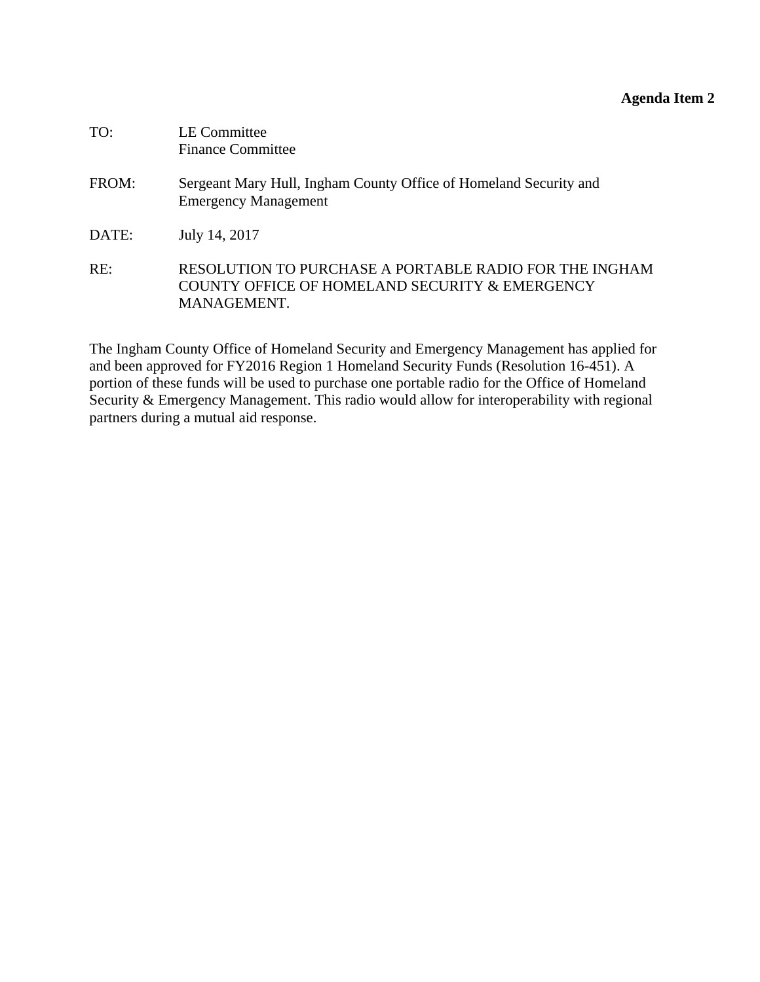# **Agenda Item 2**

<span id="page-28-0"></span>

| TO:   | <b>LE Committee</b><br><b>Finance Committee</b>                                                                         |
|-------|-------------------------------------------------------------------------------------------------------------------------|
| FROM: | Sergeant Mary Hull, Ingham County Office of Homeland Security and<br><b>Emergency Management</b>                        |
| DATE: | July 14, 2017                                                                                                           |
| RE:   | RESOLUTION TO PURCHASE A PORTABLE RADIO FOR THE INGHAM<br>COUNTY OFFICE OF HOMELAND SECURITY & EMERGENCY<br>MANAGEMENT. |

The Ingham County Office of Homeland Security and Emergency Management has applied for and been approved for FY2016 Region 1 Homeland Security Funds (Resolution 16-451). A portion of these funds will be used to purchase one portable radio for the Office of Homeland Security & Emergency Management. This radio would allow for interoperability with regional partners during a mutual aid response.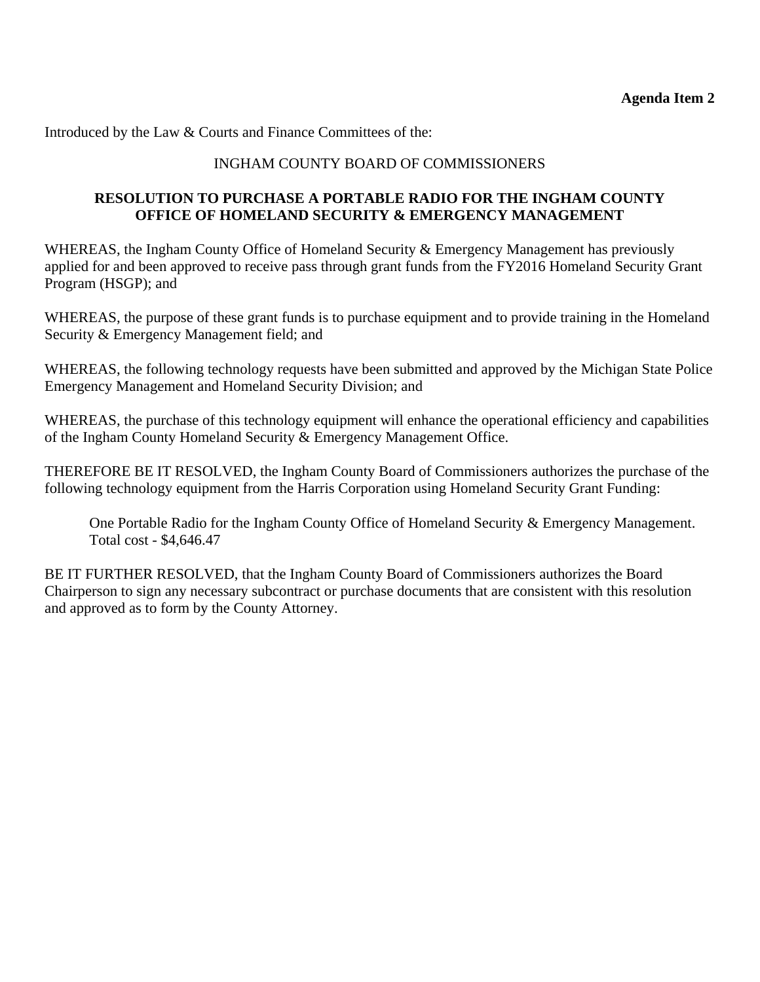Introduced by the Law & Courts and Finance Committees of the:

### INGHAM COUNTY BOARD OF COMMISSIONERS

#### **RESOLUTION TO PURCHASE A PORTABLE RADIO FOR THE INGHAM COUNTY OFFICE OF HOMELAND SECURITY & EMERGENCY MANAGEMENT**

WHEREAS, the Ingham County Office of Homeland Security & Emergency Management has previously applied for and been approved to receive pass through grant funds from the FY2016 Homeland Security Grant Program (HSGP); and

WHEREAS, the purpose of these grant funds is to purchase equipment and to provide training in the Homeland Security & Emergency Management field; and

WHEREAS, the following technology requests have been submitted and approved by the Michigan State Police Emergency Management and Homeland Security Division; and

WHEREAS, the purchase of this technology equipment will enhance the operational efficiency and capabilities of the Ingham County Homeland Security & Emergency Management Office.

THEREFORE BE IT RESOLVED, the Ingham County Board of Commissioners authorizes the purchase of the following technology equipment from the Harris Corporation using Homeland Security Grant Funding:

One Portable Radio for the Ingham County Office of Homeland Security & Emergency Management. Total cost - \$4,646.47

BE IT FURTHER RESOLVED, that the Ingham County Board of Commissioners authorizes the Board Chairperson to sign any necessary subcontract or purchase documents that are consistent with this resolution and approved as to form by the County Attorney.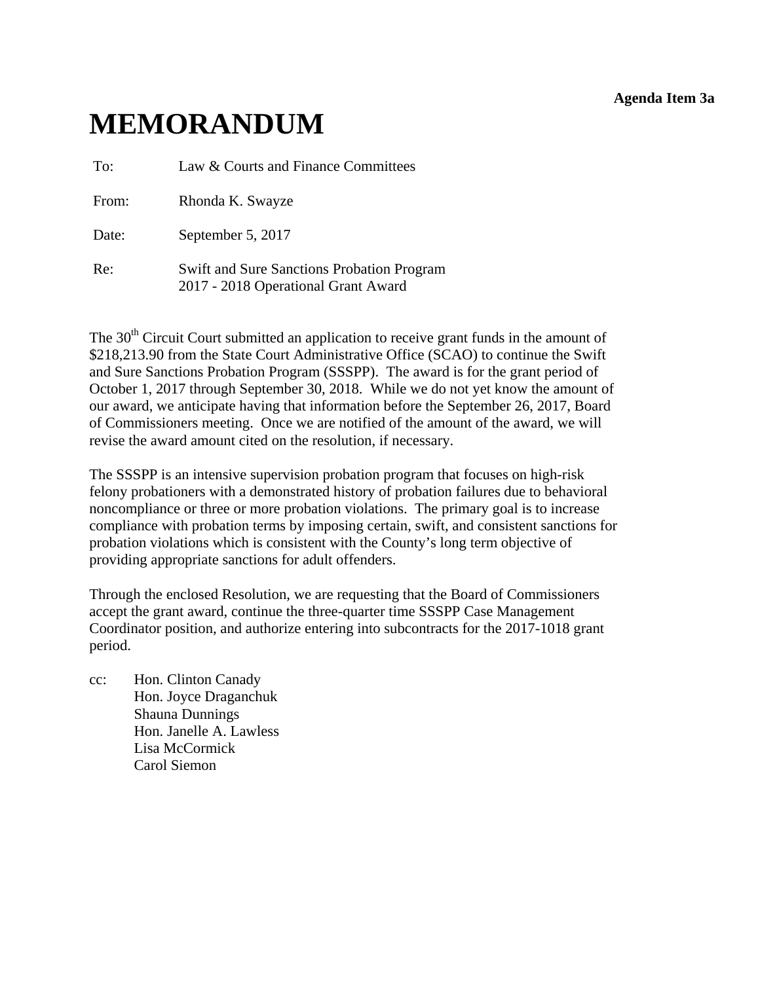#### **Agenda Item 3a**

# <span id="page-30-0"></span>**MEMORANDUM**

To: Law & Courts and Finance Committees

From: Rhonda K. Swayze

Date: September 5, 2017

Re: Swift and Sure Sanctions Probation Program 2017 - 2018 Operational Grant Award

The  $30<sup>th</sup>$  Circuit Court submitted an application to receive grant funds in the amount of \$218,213.90 from the State Court Administrative Office (SCAO) to continue the Swift and Sure Sanctions Probation Program (SSSPP). The award is for the grant period of October 1, 2017 through September 30, 2018. While we do not yet know the amount of our award, we anticipate having that information before the September 26, 2017, Board of Commissioners meeting. Once we are notified of the amount of the award, we will revise the award amount cited on the resolution, if necessary.

The SSSPP is an intensive supervision probation program that focuses on high-risk felony probationers with a demonstrated history of probation failures due to behavioral noncompliance or three or more probation violations. The primary goal is to increase compliance with probation terms by imposing certain, swift, and consistent sanctions for probation violations which is consistent with the County's long term objective of providing appropriate sanctions for adult offenders.

Through the enclosed Resolution, we are requesting that the Board of Commissioners accept the grant award, continue the three-quarter time SSSPP Case Management Coordinator position, and authorize entering into subcontracts for the 2017-1018 grant period.

cc: Hon. Clinton Canady Hon. Joyce Draganchuk Shauna Dunnings Hon. Janelle A. Lawless Lisa McCormick Carol Siemon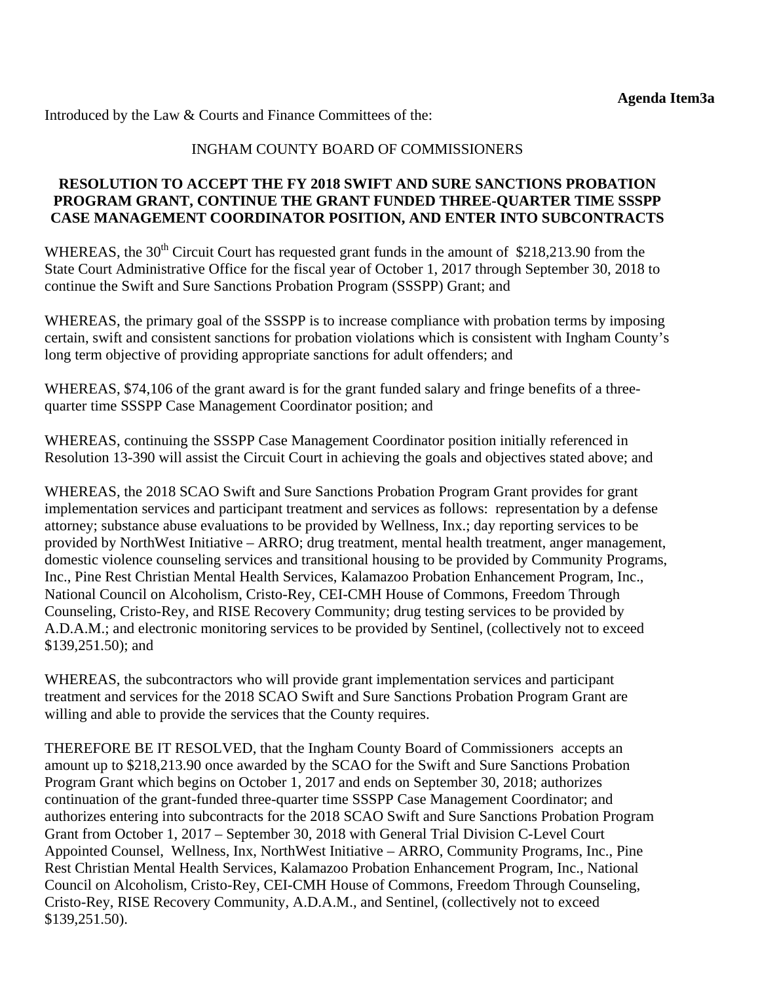Introduced by the Law & Courts and Finance Committees of the:

#### INGHAM COUNTY BOARD OF COMMISSIONERS

#### **RESOLUTION TO ACCEPT THE FY 2018 SWIFT AND SURE SANCTIONS PROBATION PROGRAM GRANT, CONTINUE THE GRANT FUNDED THREE-QUARTER TIME SSSPP CASE MANAGEMENT COORDINATOR POSITION, AND ENTER INTO SUBCONTRACTS**

WHEREAS, the  $30<sup>th</sup>$  Circuit Court has requested grant funds in the amount of \$218,213.90 from the State Court Administrative Office for the fiscal year of October 1, 2017 through September 30, 2018 to continue the Swift and Sure Sanctions Probation Program (SSSPP) Grant; and

WHEREAS, the primary goal of the SSSPP is to increase compliance with probation terms by imposing certain, swift and consistent sanctions for probation violations which is consistent with Ingham County's long term objective of providing appropriate sanctions for adult offenders; and

WHEREAS, \$74,106 of the grant award is for the grant funded salary and fringe benefits of a threequarter time SSSPP Case Management Coordinator position; and

WHEREAS, continuing the SSSPP Case Management Coordinator position initially referenced in Resolution 13-390 will assist the Circuit Court in achieving the goals and objectives stated above; and

WHEREAS, the 2018 SCAO Swift and Sure Sanctions Probation Program Grant provides for grant implementation services and participant treatment and services as follows: representation by a defense attorney; substance abuse evaluations to be provided by Wellness, Inx.; day reporting services to be provided by NorthWest Initiative – ARRO; drug treatment, mental health treatment, anger management, domestic violence counseling services and transitional housing to be provided by Community Programs, Inc., Pine Rest Christian Mental Health Services, Kalamazoo Probation Enhancement Program, Inc., National Council on Alcoholism, Cristo-Rey, CEI-CMH House of Commons, Freedom Through Counseling, Cristo-Rey, and RISE Recovery Community; drug testing services to be provided by A.D.A.M.; and electronic monitoring services to be provided by Sentinel, (collectively not to exceed \$139,251.50); and

WHEREAS, the subcontractors who will provide grant implementation services and participant treatment and services for the 2018 SCAO Swift and Sure Sanctions Probation Program Grant are willing and able to provide the services that the County requires.

THEREFORE BE IT RESOLVED, that the Ingham County Board of Commissioners accepts an amount up to \$218,213.90 once awarded by the SCAO for the Swift and Sure Sanctions Probation Program Grant which begins on October 1, 2017 and ends on September 30, 2018; authorizes continuation of the grant-funded three-quarter time SSSPP Case Management Coordinator; and authorizes entering into subcontracts for the 2018 SCAO Swift and Sure Sanctions Probation Program Grant from October 1, 2017 – September 30, 2018 with General Trial Division C-Level Court Appointed Counsel, Wellness, Inx, NorthWest Initiative – ARRO, Community Programs, Inc., Pine Rest Christian Mental Health Services, Kalamazoo Probation Enhancement Program, Inc., National Council on Alcoholism, Cristo-Rey, CEI-CMH House of Commons, Freedom Through Counseling, Cristo-Rey, RISE Recovery Community, A.D.A.M., and Sentinel, (collectively not to exceed \$139,251.50).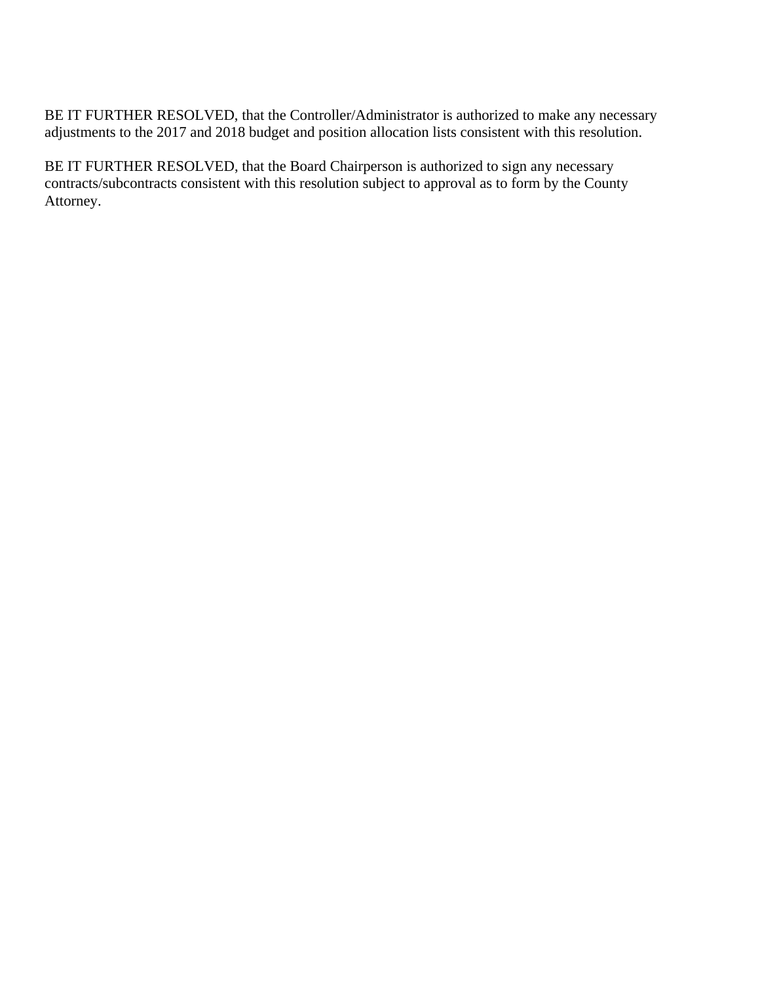BE IT FURTHER RESOLVED, that the Controller/Administrator is authorized to make any necessary adjustments to the 2017 and 2018 budget and position allocation lists consistent with this resolution.

BE IT FURTHER RESOLVED, that the Board Chairperson is authorized to sign any necessary contracts/subcontracts consistent with this resolution subject to approval as to form by the County Attorney.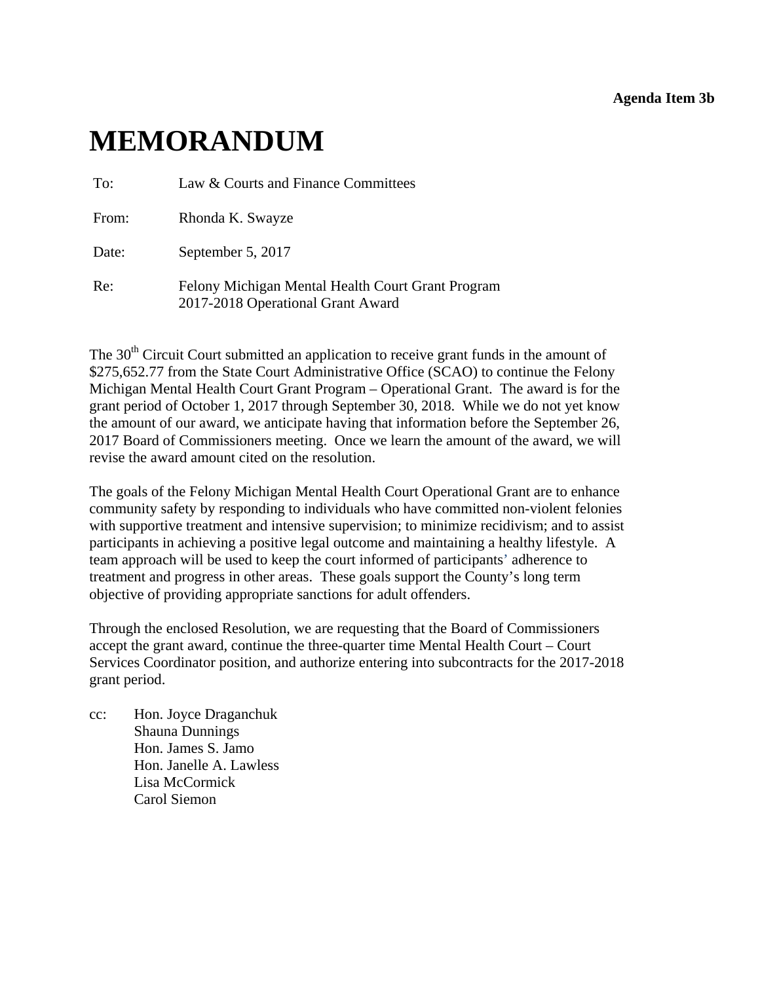**Agenda Item 3b** 

# <span id="page-33-0"></span>**MEMORANDUM**

| To:   | Law & Courts and Finance Committees                                                    |
|-------|----------------------------------------------------------------------------------------|
| From: | Rhonda K. Swayze                                                                       |
| Date: | September 5, 2017                                                                      |
| Re:   | Felony Michigan Mental Health Court Grant Program<br>2017-2018 Operational Grant Award |

The 30<sup>th</sup> Circuit Court submitted an application to receive grant funds in the amount of \$275,652.77 from the State Court Administrative Office (SCAO) to continue the Felony Michigan Mental Health Court Grant Program – Operational Grant. The award is for the grant period of October 1, 2017 through September 30, 2018. While we do not yet know the amount of our award, we anticipate having that information before the September 26, 2017 Board of Commissioners meeting. Once we learn the amount of the award, we will revise the award amount cited on the resolution.

The goals of the Felony Michigan Mental Health Court Operational Grant are to enhance community safety by responding to individuals who have committed non-violent felonies with supportive treatment and intensive supervision; to minimize recidivism; and to assist participants in achieving a positive legal outcome and maintaining a healthy lifestyle. A team approach will be used to keep the court informed of participants' adherence to treatment and progress in other areas. These goals support the County's long term objective of providing appropriate sanctions for adult offenders.

Through the enclosed Resolution, we are requesting that the Board of Commissioners accept the grant award, continue the three-quarter time Mental Health Court – Court Services Coordinator position, and authorize entering into subcontracts for the 2017-2018 grant period.

cc: Hon. Joyce Draganchuk Shauna Dunnings Hon. James S. Jamo Hon. Janelle A. Lawless Lisa McCormick Carol Siemon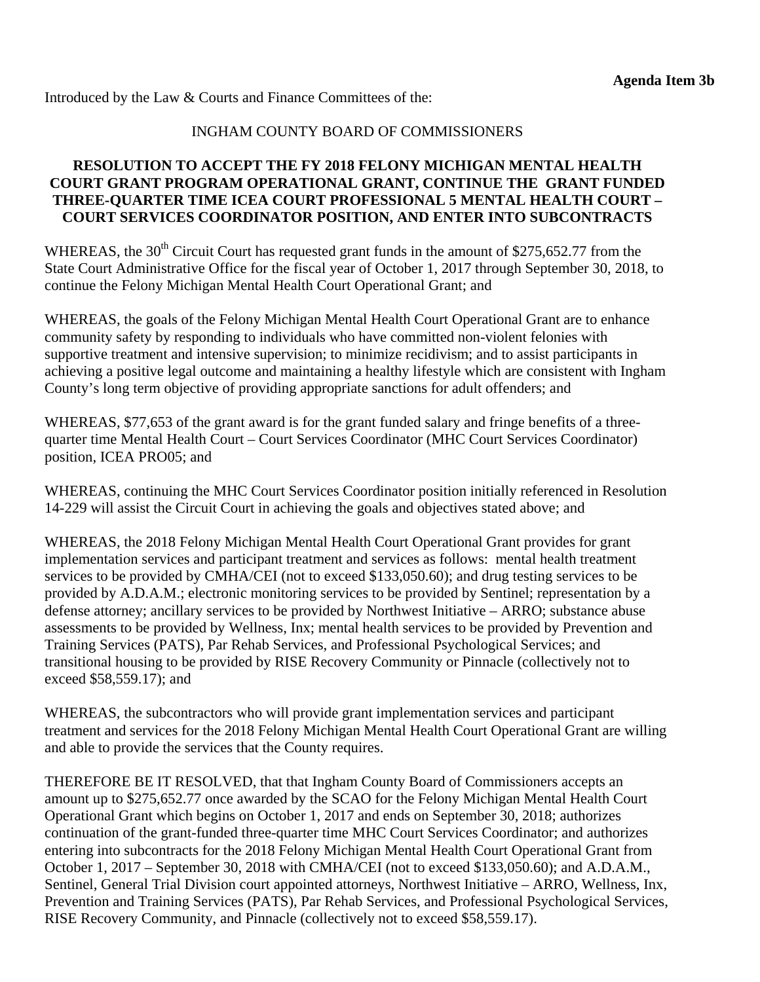Introduced by the Law & Courts and Finance Committees of the:

#### INGHAM COUNTY BOARD OF COMMISSIONERS

#### **RESOLUTION TO ACCEPT THE FY 2018 FELONY MICHIGAN MENTAL HEALTH COURT GRANT PROGRAM OPERATIONAL GRANT, CONTINUE THE GRANT FUNDED THREE-QUARTER TIME ICEA COURT PROFESSIONAL 5 MENTAL HEALTH COURT – COURT SERVICES COORDINATOR POSITION, AND ENTER INTO SUBCONTRACTS**

WHEREAS, the  $30<sup>th</sup>$  Circuit Court has requested grant funds in the amount of \$275,652.77 from the State Court Administrative Office for the fiscal year of October 1, 2017 through September 30, 2018, to continue the Felony Michigan Mental Health Court Operational Grant; and

WHEREAS, the goals of the Felony Michigan Mental Health Court Operational Grant are to enhance community safety by responding to individuals who have committed non-violent felonies with supportive treatment and intensive supervision; to minimize recidivism; and to assist participants in achieving a positive legal outcome and maintaining a healthy lifestyle which are consistent with Ingham County's long term objective of providing appropriate sanctions for adult offenders; and

WHEREAS, \$77,653 of the grant award is for the grant funded salary and fringe benefits of a threequarter time Mental Health Court – Court Services Coordinator (MHC Court Services Coordinator) position, ICEA PRO05; and

WHEREAS, continuing the MHC Court Services Coordinator position initially referenced in Resolution 14-229 will assist the Circuit Court in achieving the goals and objectives stated above; and

WHEREAS, the 2018 Felony Michigan Mental Health Court Operational Grant provides for grant implementation services and participant treatment and services as follows: mental health treatment services to be provided by CMHA/CEI (not to exceed \$133,050.60); and drug testing services to be provided by A.D.A.M.; electronic monitoring services to be provided by Sentinel; representation by a defense attorney; ancillary services to be provided by Northwest Initiative – ARRO; substance abuse assessments to be provided by Wellness, Inx; mental health services to be provided by Prevention and Training Services (PATS), Par Rehab Services, and Professional Psychological Services; and transitional housing to be provided by RISE Recovery Community or Pinnacle (collectively not to exceed \$58,559.17); and

WHEREAS, the subcontractors who will provide grant implementation services and participant treatment and services for the 2018 Felony Michigan Mental Health Court Operational Grant are willing and able to provide the services that the County requires.

THEREFORE BE IT RESOLVED, that that Ingham County Board of Commissioners accepts an amount up to \$275,652.77 once awarded by the SCAO for the Felony Michigan Mental Health Court Operational Grant which begins on October 1, 2017 and ends on September 30, 2018; authorizes continuation of the grant-funded three-quarter time MHC Court Services Coordinator; and authorizes entering into subcontracts for the 2018 Felony Michigan Mental Health Court Operational Grant from October 1, 2017 – September 30, 2018 with CMHA/CEI (not to exceed \$133,050.60); and A.D.A.M., Sentinel, General Trial Division court appointed attorneys, Northwest Initiative – ARRO, Wellness, Inx, Prevention and Training Services (PATS), Par Rehab Services, and Professional Psychological Services, RISE Recovery Community, and Pinnacle (collectively not to exceed \$58,559.17).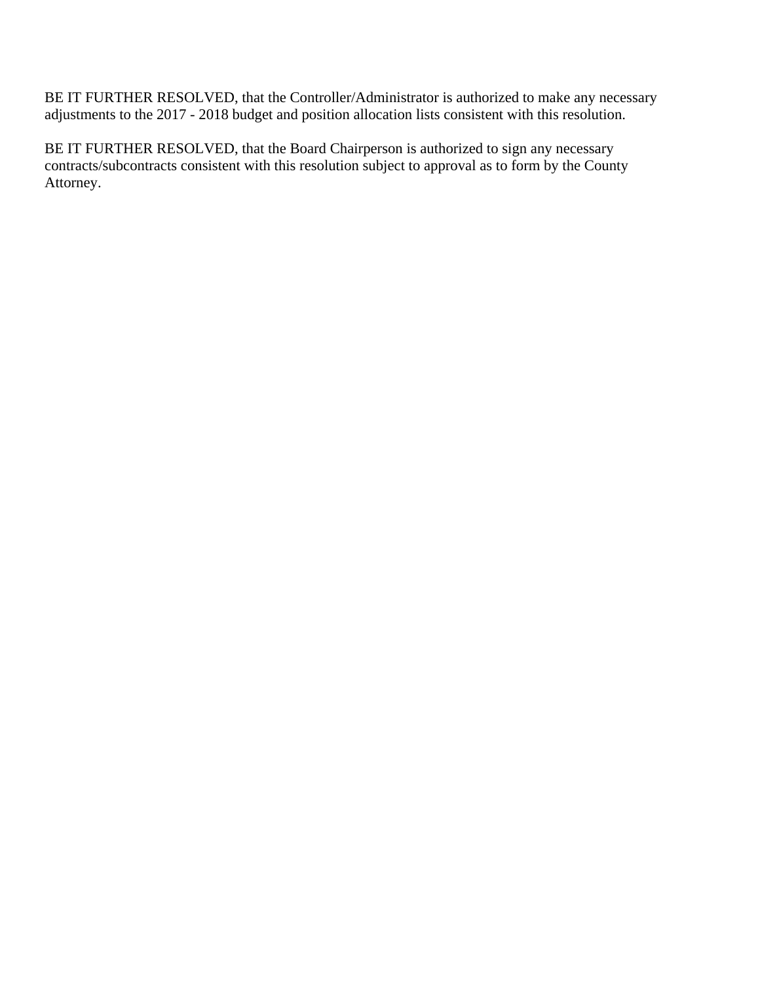BE IT FURTHER RESOLVED, that the Controller/Administrator is authorized to make any necessary adjustments to the 2017 - 2018 budget and position allocation lists consistent with this resolution.

BE IT FURTHER RESOLVED, that the Board Chairperson is authorized to sign any necessary contracts/subcontracts consistent with this resolution subject to approval as to form by the County Attorney.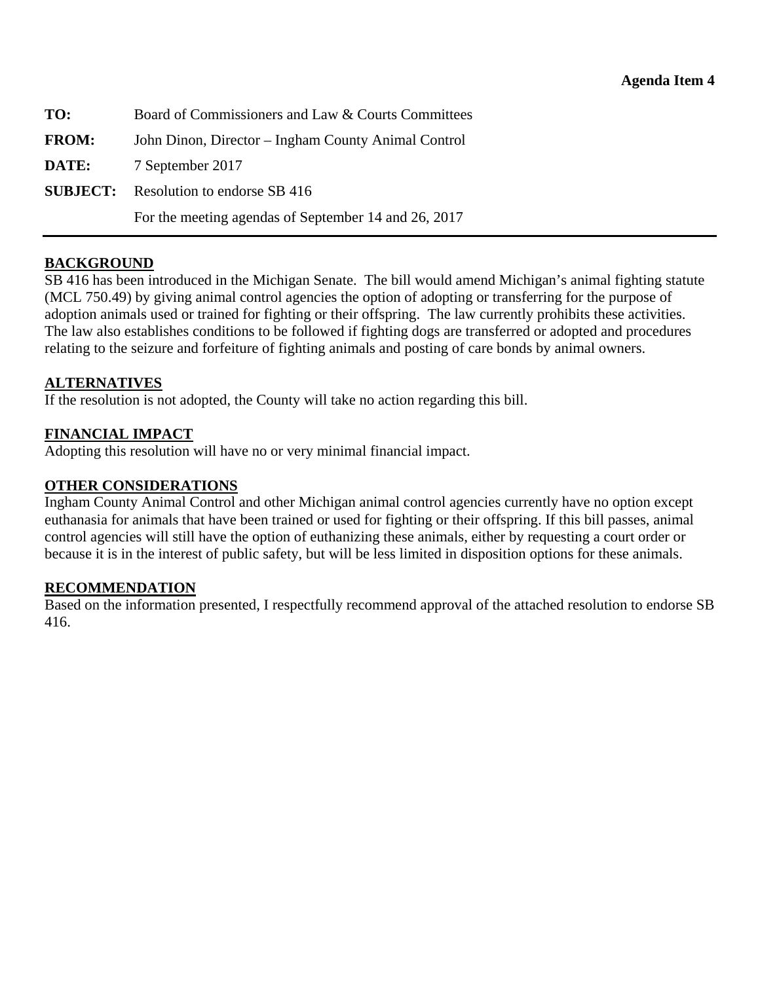<span id="page-36-0"></span>

| TO:          | Board of Commissioners and Law & Courts Committees   |
|--------------|------------------------------------------------------|
| <b>FROM:</b> | John Dinon, Director – Ingham County Animal Control  |
| DATE:        | 7 September 2017                                     |
|              | <b>SUBJECT:</b> Resolution to endorse SB 416         |
|              | For the meeting agendas of September 14 and 26, 2017 |

#### **BACKGROUND**

SB 416 has been introduced in the Michigan Senate. The bill would amend Michigan's animal fighting statute (MCL 750.49) by giving animal control agencies the option of adopting or transferring for the purpose of adoption animals used or trained for fighting or their offspring. The law currently prohibits these activities. The law also establishes conditions to be followed if fighting dogs are transferred or adopted and procedures relating to the seizure and forfeiture of fighting animals and posting of care bonds by animal owners.

#### **ALTERNATIVES**

If the resolution is not adopted, the County will take no action regarding this bill.

#### **FINANCIAL IMPACT**

Adopting this resolution will have no or very minimal financial impact.

#### **OTHER CONSIDERATIONS**

Ingham County Animal Control and other Michigan animal control agencies currently have no option except euthanasia for animals that have been trained or used for fighting or their offspring. If this bill passes, animal control agencies will still have the option of euthanizing these animals, either by requesting a court order or because it is in the interest of public safety, but will be less limited in disposition options for these animals.

#### **RECOMMENDATION**

Based on the information presented, I respectfully recommend approval of the attached resolution to endorse SB 416.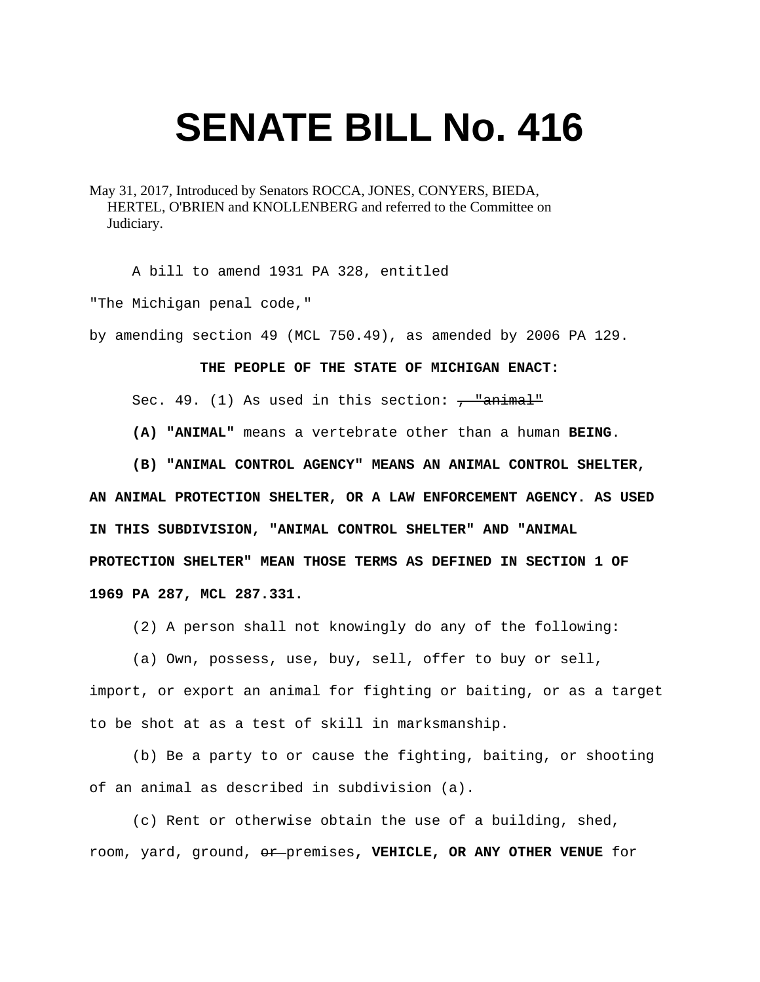# **SENATE BILL No. 416**

May 31, 2017, Introduced by Senators ROCCA, JONES, CONYERS, BIEDA, HERTEL, O'BRIEN and KNOLLENBERG and referred to the Committee on Judiciary.

A bill to amend 1931 PA 328, entitled

"The Michigan penal code,"

by amending section 49 (MCL 750.49), as amended by 2006 PA 129.

#### **THE PEOPLE OF THE STATE OF MICHIGAN ENACT:**

Sec. 49. (1) As used in this section:  $\frac{1}{2}$  animal<sup>1</sup>

 **(A) "ANIMAL"** means a vertebrate other than a human **BEING**.

 **(B) "ANIMAL CONTROL AGENCY" MEANS AN ANIMAL CONTROL SHELTER,** 

**AN ANIMAL PROTECTION SHELTER, OR A LAW ENFORCEMENT AGENCY. AS USED IN THIS SUBDIVISION, "ANIMAL CONTROL SHELTER" AND "ANIMAL PROTECTION SHELTER" MEAN THOSE TERMS AS DEFINED IN SECTION 1 OF 1969 PA 287, MCL 287.331.** 

(2) A person shall not knowingly do any of the following:

 (a) Own, possess, use, buy, sell, offer to buy or sell, import, or export an animal for fighting or baiting, or as a target to be shot at as a test of skill in marksmanship.

 (b) Be a party to or cause the fighting, baiting, or shooting of an animal as described in subdivision (a).

 (c) Rent or otherwise obtain the use of a building, shed, room, yard, ground, or premises**, VEHICLE, OR ANY OTHER VENUE** for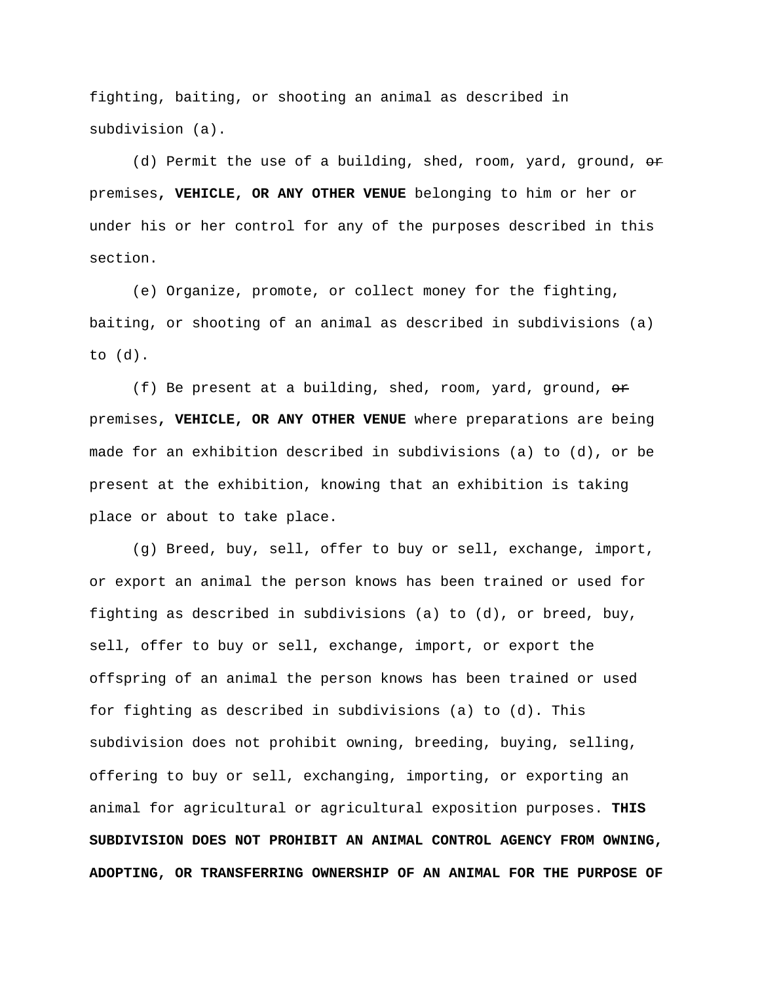fighting, baiting, or shooting an animal as described in subdivision (a).

(d) Permit the use of a building, shed, room, yard, ground,  $\theta$ premises**, VEHICLE, OR ANY OTHER VENUE** belonging to him or her or under his or her control for any of the purposes described in this section.

 (e) Organize, promote, or collect money for the fighting, baiting, or shooting of an animal as described in subdivisions (a) to (d).

(f) Be present at a building, shed, room, yard, ground,  $\theta$ r premises**, VEHICLE, OR ANY OTHER VENUE** where preparations are being made for an exhibition described in subdivisions (a) to (d), or be present at the exhibition, knowing that an exhibition is taking place or about to take place.

 (g) Breed, buy, sell, offer to buy or sell, exchange, import, or export an animal the person knows has been trained or used for fighting as described in subdivisions (a) to (d), or breed, buy, sell, offer to buy or sell, exchange, import, or export the offspring of an animal the person knows has been trained or used for fighting as described in subdivisions (a) to (d). This subdivision does not prohibit owning, breeding, buying, selling, offering to buy or sell, exchanging, importing, or exporting an animal for agricultural or agricultural exposition purposes. **THIS SUBDIVISION DOES NOT PROHIBIT AN ANIMAL CONTROL AGENCY FROM OWNING, ADOPTING, OR TRANSFERRING OWNERSHIP OF AN ANIMAL FOR THE PURPOSE OF**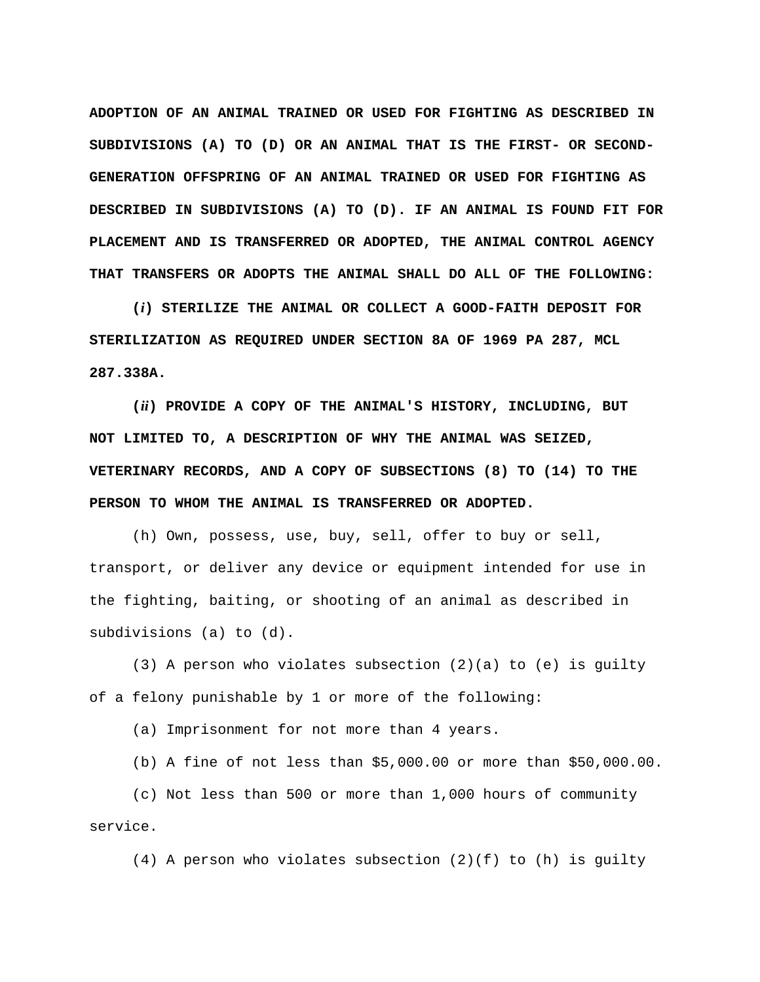**ADOPTION OF AN ANIMAL TRAINED OR USED FOR FIGHTING AS DESCRIBED IN SUBDIVISIONS (A) TO (D) OR AN ANIMAL THAT IS THE FIRST- OR SECOND-GENERATION OFFSPRING OF AN ANIMAL TRAINED OR USED FOR FIGHTING AS DESCRIBED IN SUBDIVISIONS (A) TO (D). IF AN ANIMAL IS FOUND FIT FOR PLACEMENT AND IS TRANSFERRED OR ADOPTED, THE ANIMAL CONTROL AGENCY THAT TRANSFERS OR ADOPTS THE ANIMAL SHALL DO ALL OF THE FOLLOWING:** 

 **(***i***) STERILIZE THE ANIMAL OR COLLECT A GOOD-FAITH DEPOSIT FOR STERILIZATION AS REQUIRED UNDER SECTION 8A OF 1969 PA 287, MCL 287.338A.** 

 **(***ii***) PROVIDE A COPY OF THE ANIMAL'S HISTORY, INCLUDING, BUT NOT LIMITED TO, A DESCRIPTION OF WHY THE ANIMAL WAS SEIZED, VETERINARY RECORDS, AND A COPY OF SUBSECTIONS (8) TO (14) TO THE PERSON TO WHOM THE ANIMAL IS TRANSFERRED OR ADOPTED.** 

 (h) Own, possess, use, buy, sell, offer to buy or sell, transport, or deliver any device or equipment intended for use in the fighting, baiting, or shooting of an animal as described in subdivisions (a) to (d).

 (3) A person who violates subsection (2)(a) to (e) is guilty of a felony punishable by 1 or more of the following:

(a) Imprisonment for not more than 4 years.

(b) A fine of not less than \$5,000.00 or more than \$50,000.00.

 (c) Not less than 500 or more than 1,000 hours of community service.

 $(4)$  A person who violates subsection  $(2)(f)$  to  $(h)$  is guilty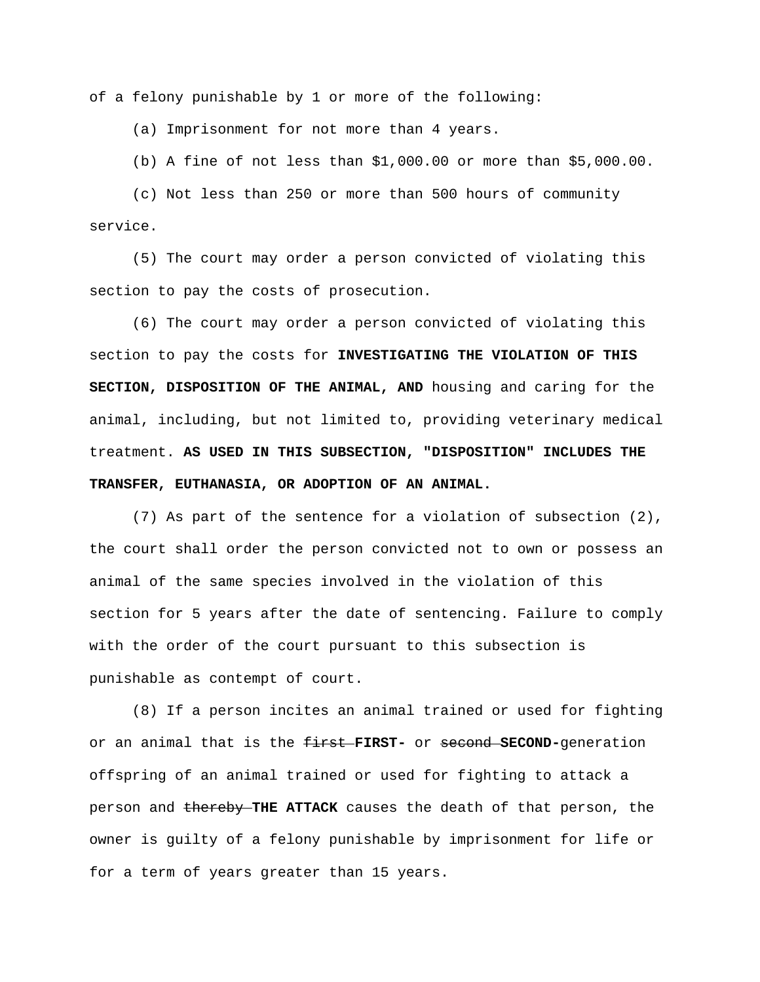of a felony punishable by 1 or more of the following:

(a) Imprisonment for not more than 4 years.

(b) A fine of not less than \$1,000.00 or more than \$5,000.00.

 (c) Not less than 250 or more than 500 hours of community service.

 (5) The court may order a person convicted of violating this section to pay the costs of prosecution.

 (6) The court may order a person convicted of violating this section to pay the costs for **INVESTIGATING THE VIOLATION OF THIS SECTION, DISPOSITION OF THE ANIMAL, AND** housing and caring for the animal, including, but not limited to, providing veterinary medical treatment. **AS USED IN THIS SUBSECTION, "DISPOSITION" INCLUDES THE TRANSFER, EUTHANASIA, OR ADOPTION OF AN ANIMAL.** 

 (7) As part of the sentence for a violation of subsection (2), the court shall order the person convicted not to own or possess an animal of the same species involved in the violation of this section for 5 years after the date of sentencing. Failure to comply with the order of the court pursuant to this subsection is punishable as contempt of court.

 (8) If a person incites an animal trained or used for fighting or an animal that is the first **FIRST-** or second **SECOND-**generation offspring of an animal trained or used for fighting to attack a person and thereby THE ATTACK causes the death of that person, the owner is guilty of a felony punishable by imprisonment for life or for a term of years greater than 15 years.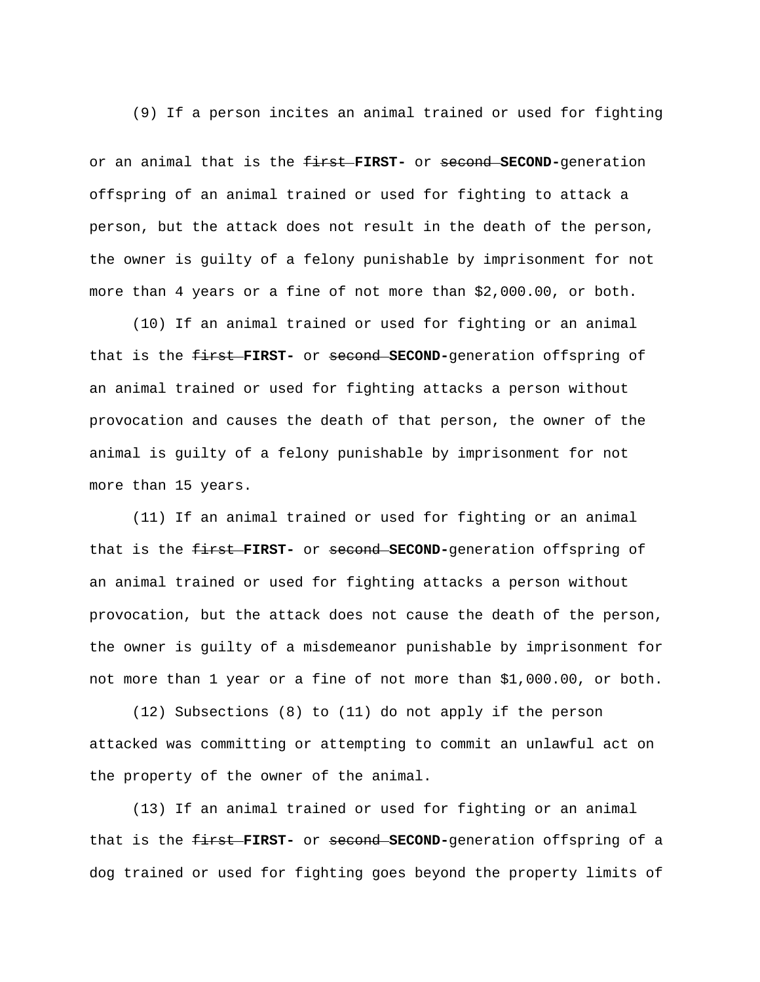(9) If a person incites an animal trained or used for fighting

or an animal that is the first **FIRST-** or second **SECOND-**generation offspring of an animal trained or used for fighting to attack a person, but the attack does not result in the death of the person, the owner is guilty of a felony punishable by imprisonment for not more than 4 years or a fine of not more than \$2,000.00, or both.

 (10) If an animal trained or used for fighting or an animal that is the first **FIRST-** or second **SECOND-**generation offspring of an animal trained or used for fighting attacks a person without provocation and causes the death of that person, the owner of the animal is guilty of a felony punishable by imprisonment for not more than 15 years.

 (11) If an animal trained or used for fighting or an animal that is the first **FIRST-** or second **SECOND-**generation offspring of an animal trained or used for fighting attacks a person without provocation, but the attack does not cause the death of the person, the owner is guilty of a misdemeanor punishable by imprisonment for not more than 1 year or a fine of not more than \$1,000.00, or both.

 (12) Subsections (8) to (11) do not apply if the person attacked was committing or attempting to commit an unlawful act on the property of the owner of the animal.

 (13) If an animal trained or used for fighting or an animal that is the first **FIRST-** or second **SECOND-**generation offspring of a dog trained or used for fighting goes beyond the property limits of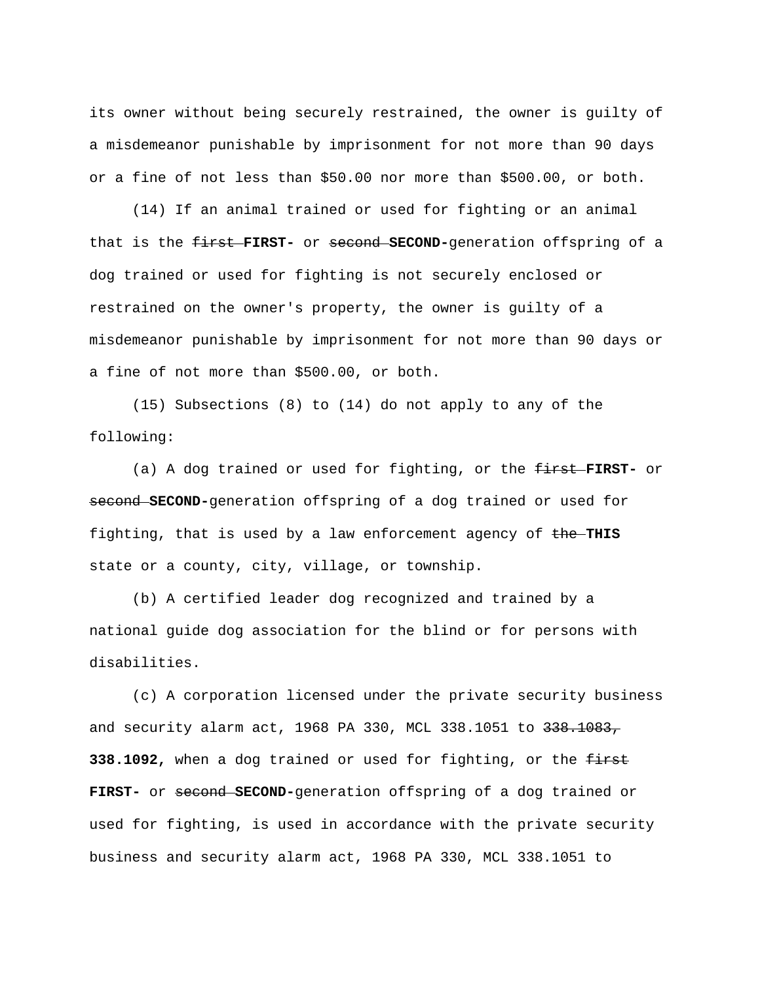its owner without being securely restrained, the owner is guilty of a misdemeanor punishable by imprisonment for not more than 90 days or a fine of not less than \$50.00 nor more than \$500.00, or both.

 (14) If an animal trained or used for fighting or an animal that is the first **FIRST-** or second **SECOND-**generation offspring of a dog trained or used for fighting is not securely enclosed or restrained on the owner's property, the owner is guilty of a misdemeanor punishable by imprisonment for not more than 90 days or a fine of not more than \$500.00, or both.

 (15) Subsections (8) to (14) do not apply to any of the following:

 (a) A dog trained or used for fighting, or the first **FIRST-** or second **SECOND-**generation offspring of a dog trained or used for fighting, that is used by a law enforcement agency of  $t$ he-THIS state or a county, city, village, or township.

 (b) A certified leader dog recognized and trained by a national guide dog association for the blind or for persons with disabilities.

 (c) A corporation licensed under the private security business and security alarm act, 1968 PA 330, MCL 338.1051 to 338.1083, **338.1092,** when a dog trained or used for fighting, or the  $f$ **FIRST-** or second **SECOND-**generation offspring of a dog trained or used for fighting, is used in accordance with the private security business and security alarm act, 1968 PA 330, MCL 338.1051 to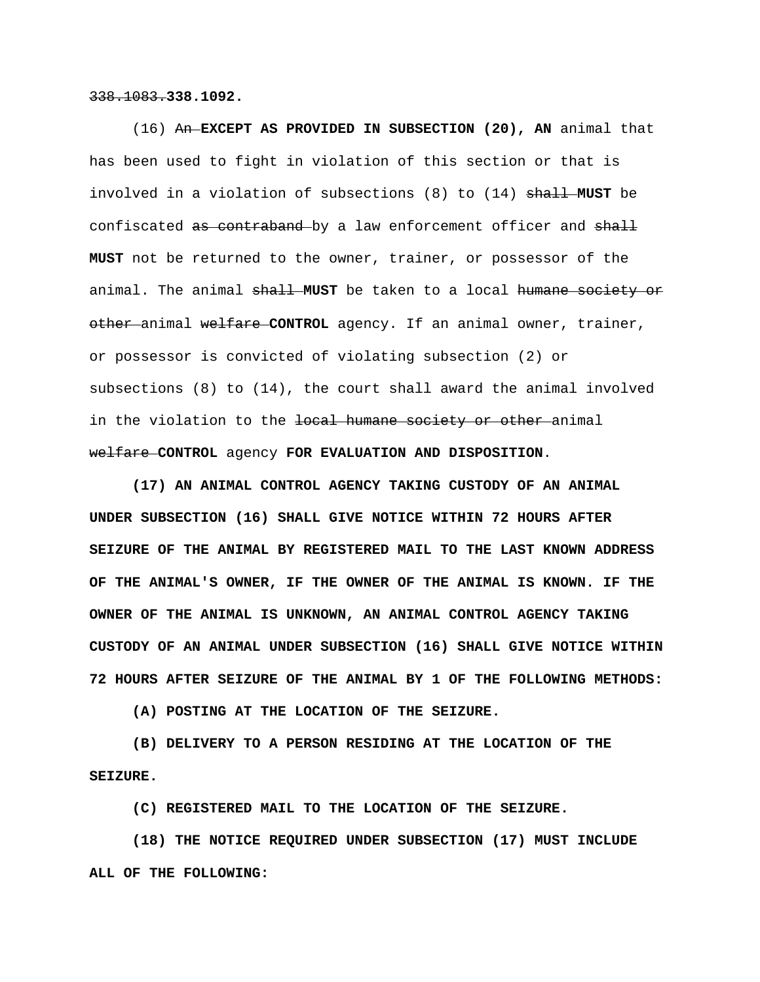338.1083.**338.1092.** 

 (16) An **EXCEPT AS PROVIDED IN SUBSECTION (20), AN** animal that has been used to fight in violation of this section or that is involved in a violation of subsections (8) to (14) shall **MUST** be confiscated as contraband by a law enforcement officer and shall **MUST** not be returned to the owner, trainer, or possessor of the animal. The animal shall **MUST** be taken to a local humane society or other animal welfare **CONTROL** agency. If an animal owner, trainer, or possessor is convicted of violating subsection (2) or subsections (8) to (14), the court shall award the animal involved in the violation to the local humane society or other animal welfare **CONTROL** agency **FOR EVALUATION AND DISPOSITION**.

 **(17) AN ANIMAL CONTROL AGENCY TAKING CUSTODY OF AN ANIMAL UNDER SUBSECTION (16) SHALL GIVE NOTICE WITHIN 72 HOURS AFTER SEIZURE OF THE ANIMAL BY REGISTERED MAIL TO THE LAST KNOWN ADDRESS OF THE ANIMAL'S OWNER, IF THE OWNER OF THE ANIMAL IS KNOWN. IF THE OWNER OF THE ANIMAL IS UNKNOWN, AN ANIMAL CONTROL AGENCY TAKING CUSTODY OF AN ANIMAL UNDER SUBSECTION (16) SHALL GIVE NOTICE WITHIN 72 HOURS AFTER SEIZURE OF THE ANIMAL BY 1 OF THE FOLLOWING METHODS:** 

 **(A) POSTING AT THE LOCATION OF THE SEIZURE.** 

 **(B) DELIVERY TO A PERSON RESIDING AT THE LOCATION OF THE SEIZURE.** 

 **(C) REGISTERED MAIL TO THE LOCATION OF THE SEIZURE.** 

 **(18) THE NOTICE REQUIRED UNDER SUBSECTION (17) MUST INCLUDE ALL OF THE FOLLOWING:**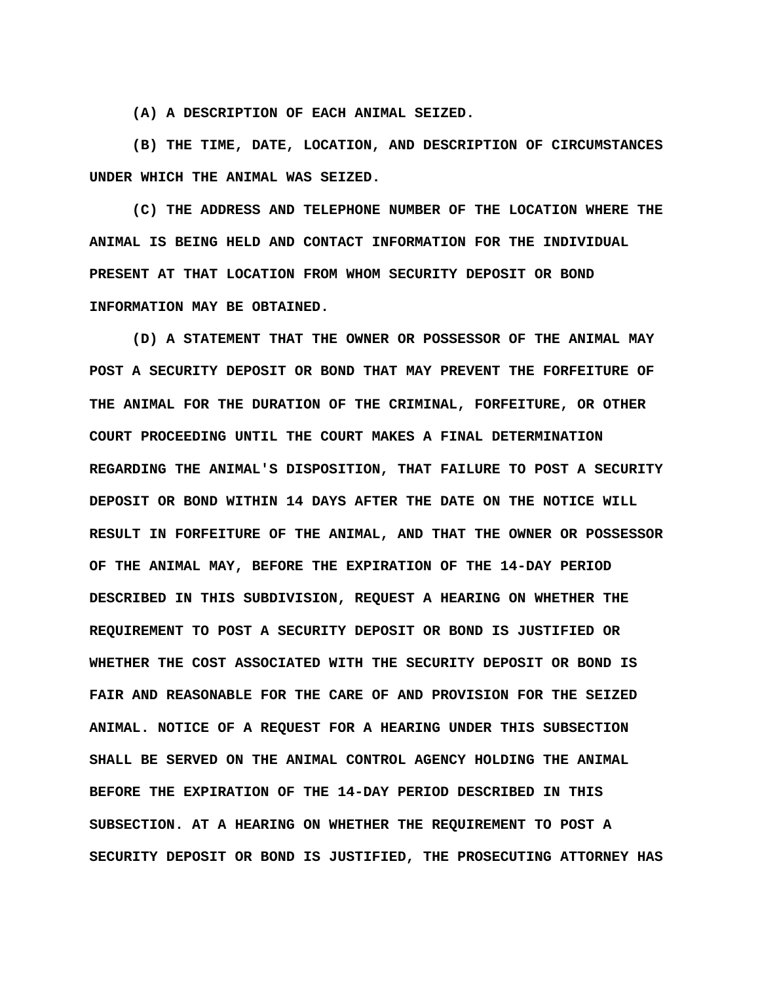**(A) A DESCRIPTION OF EACH ANIMAL SEIZED.** 

 **(B) THE TIME, DATE, LOCATION, AND DESCRIPTION OF CIRCUMSTANCES UNDER WHICH THE ANIMAL WAS SEIZED.** 

 **(C) THE ADDRESS AND TELEPHONE NUMBER OF THE LOCATION WHERE THE ANIMAL IS BEING HELD AND CONTACT INFORMATION FOR THE INDIVIDUAL PRESENT AT THAT LOCATION FROM WHOM SECURITY DEPOSIT OR BOND INFORMATION MAY BE OBTAINED.** 

 **(D) A STATEMENT THAT THE OWNER OR POSSESSOR OF THE ANIMAL MAY POST A SECURITY DEPOSIT OR BOND THAT MAY PREVENT THE FORFEITURE OF THE ANIMAL FOR THE DURATION OF THE CRIMINAL, FORFEITURE, OR OTHER COURT PROCEEDING UNTIL THE COURT MAKES A FINAL DETERMINATION REGARDING THE ANIMAL'S DISPOSITION, THAT FAILURE TO POST A SECURITY DEPOSIT OR BOND WITHIN 14 DAYS AFTER THE DATE ON THE NOTICE WILL RESULT IN FORFEITURE OF THE ANIMAL, AND THAT THE OWNER OR POSSESSOR OF THE ANIMAL MAY, BEFORE THE EXPIRATION OF THE 14-DAY PERIOD DESCRIBED IN THIS SUBDIVISION, REQUEST A HEARING ON WHETHER THE REQUIREMENT TO POST A SECURITY DEPOSIT OR BOND IS JUSTIFIED OR WHETHER THE COST ASSOCIATED WITH THE SECURITY DEPOSIT OR BOND IS FAIR AND REASONABLE FOR THE CARE OF AND PROVISION FOR THE SEIZED ANIMAL. NOTICE OF A REQUEST FOR A HEARING UNDER THIS SUBSECTION SHALL BE SERVED ON THE ANIMAL CONTROL AGENCY HOLDING THE ANIMAL BEFORE THE EXPIRATION OF THE 14-DAY PERIOD DESCRIBED IN THIS SUBSECTION. AT A HEARING ON WHETHER THE REQUIREMENT TO POST A SECURITY DEPOSIT OR BOND IS JUSTIFIED, THE PROSECUTING ATTORNEY HAS**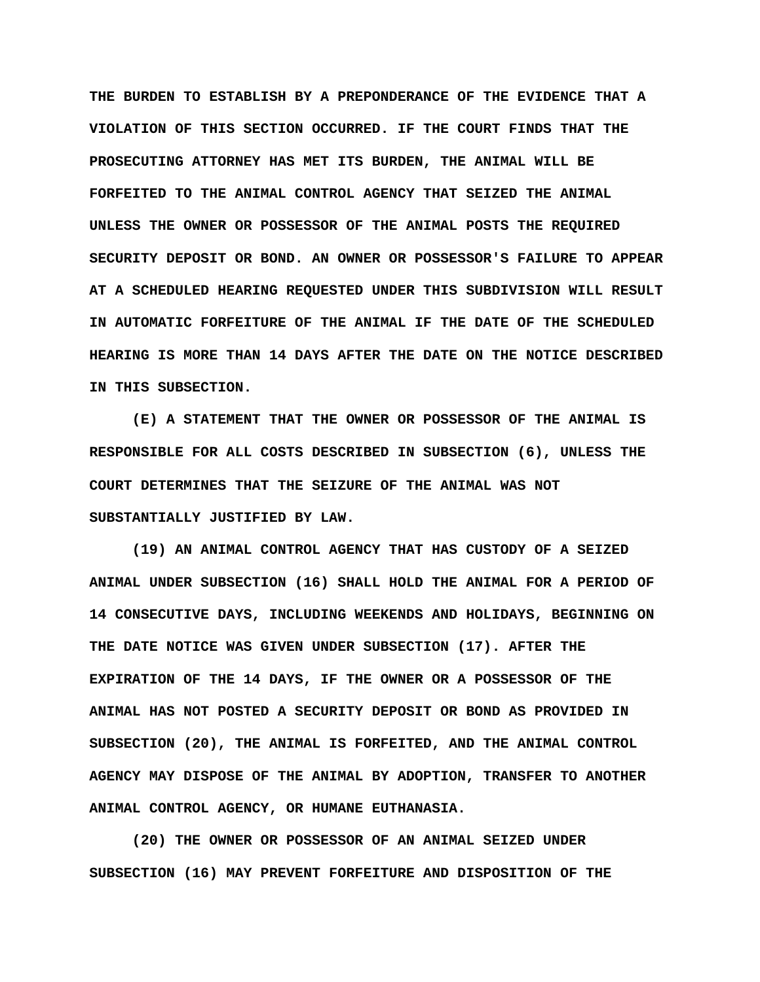**THE BURDEN TO ESTABLISH BY A PREPONDERANCE OF THE EVIDENCE THAT A VIOLATION OF THIS SECTION OCCURRED. IF THE COURT FINDS THAT THE PROSECUTING ATTORNEY HAS MET ITS BURDEN, THE ANIMAL WILL BE FORFEITED TO THE ANIMAL CONTROL AGENCY THAT SEIZED THE ANIMAL UNLESS THE OWNER OR POSSESSOR OF THE ANIMAL POSTS THE REQUIRED SECURITY DEPOSIT OR BOND. AN OWNER OR POSSESSOR'S FAILURE TO APPEAR AT A SCHEDULED HEARING REQUESTED UNDER THIS SUBDIVISION WILL RESULT IN AUTOMATIC FORFEITURE OF THE ANIMAL IF THE DATE OF THE SCHEDULED HEARING IS MORE THAN 14 DAYS AFTER THE DATE ON THE NOTICE DESCRIBED IN THIS SUBSECTION.** 

 **(E) A STATEMENT THAT THE OWNER OR POSSESSOR OF THE ANIMAL IS RESPONSIBLE FOR ALL COSTS DESCRIBED IN SUBSECTION (6), UNLESS THE COURT DETERMINES THAT THE SEIZURE OF THE ANIMAL WAS NOT SUBSTANTIALLY JUSTIFIED BY LAW.** 

 **(19) AN ANIMAL CONTROL AGENCY THAT HAS CUSTODY OF A SEIZED ANIMAL UNDER SUBSECTION (16) SHALL HOLD THE ANIMAL FOR A PERIOD OF 14 CONSECUTIVE DAYS, INCLUDING WEEKENDS AND HOLIDAYS, BEGINNING ON THE DATE NOTICE WAS GIVEN UNDER SUBSECTION (17). AFTER THE EXPIRATION OF THE 14 DAYS, IF THE OWNER OR A POSSESSOR OF THE ANIMAL HAS NOT POSTED A SECURITY DEPOSIT OR BOND AS PROVIDED IN SUBSECTION (20), THE ANIMAL IS FORFEITED, AND THE ANIMAL CONTROL AGENCY MAY DISPOSE OF THE ANIMAL BY ADOPTION, TRANSFER TO ANOTHER ANIMAL CONTROL AGENCY, OR HUMANE EUTHANASIA.** 

 **(20) THE OWNER OR POSSESSOR OF AN ANIMAL SEIZED UNDER SUBSECTION (16) MAY PREVENT FORFEITURE AND DISPOSITION OF THE**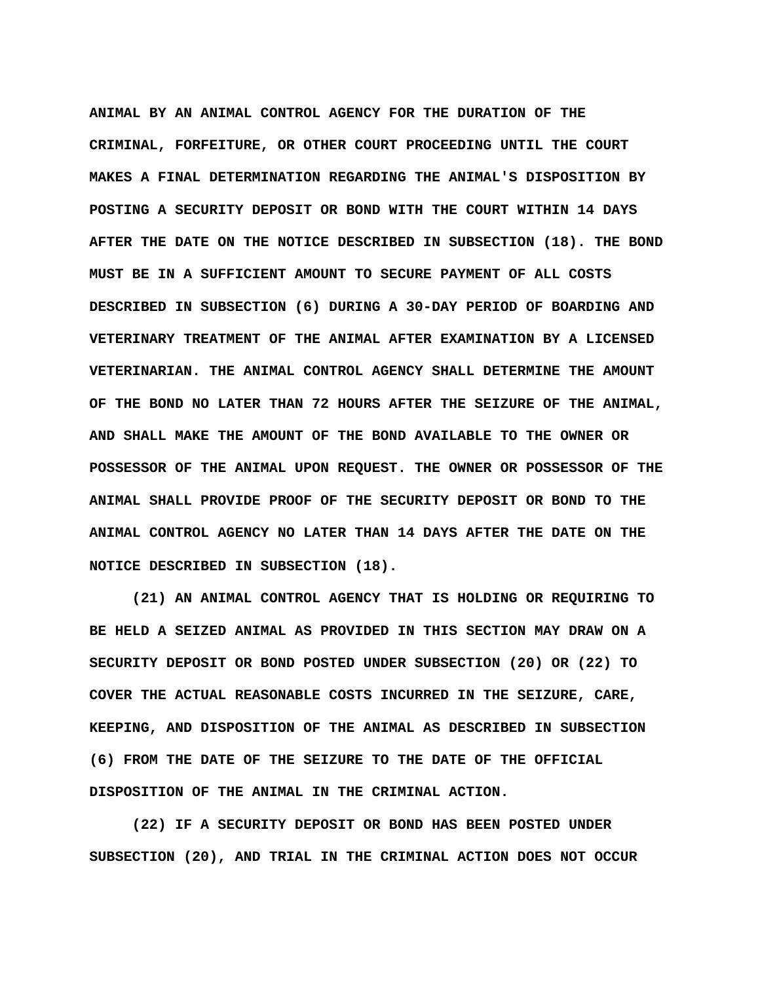**ANIMAL BY AN ANIMAL CONTROL AGENCY FOR THE DURATION OF THE CRIMINAL, FORFEITURE, OR OTHER COURT PROCEEDING UNTIL THE COURT MAKES A FINAL DETERMINATION REGARDING THE ANIMAL'S DISPOSITION BY POSTING A SECURITY DEPOSIT OR BOND WITH THE COURT WITHIN 14 DAYS AFTER THE DATE ON THE NOTICE DESCRIBED IN SUBSECTION (18). THE BOND MUST BE IN A SUFFICIENT AMOUNT TO SECURE PAYMENT OF ALL COSTS DESCRIBED IN SUBSECTION (6) DURING A 30-DAY PERIOD OF BOARDING AND VETERINARY TREATMENT OF THE ANIMAL AFTER EXAMINATION BY A LICENSED VETERINARIAN. THE ANIMAL CONTROL AGENCY SHALL DETERMINE THE AMOUNT OF THE BOND NO LATER THAN 72 HOURS AFTER THE SEIZURE OF THE ANIMAL, AND SHALL MAKE THE AMOUNT OF THE BOND AVAILABLE TO THE OWNER OR POSSESSOR OF THE ANIMAL UPON REQUEST. THE OWNER OR POSSESSOR OF THE ANIMAL SHALL PROVIDE PROOF OF THE SECURITY DEPOSIT OR BOND TO THE ANIMAL CONTROL AGENCY NO LATER THAN 14 DAYS AFTER THE DATE ON THE NOTICE DESCRIBED IN SUBSECTION (18).** 

 **(21) AN ANIMAL CONTROL AGENCY THAT IS HOLDING OR REQUIRING TO BE HELD A SEIZED ANIMAL AS PROVIDED IN THIS SECTION MAY DRAW ON A SECURITY DEPOSIT OR BOND POSTED UNDER SUBSECTION (20) OR (22) TO COVER THE ACTUAL REASONABLE COSTS INCURRED IN THE SEIZURE, CARE, KEEPING, AND DISPOSITION OF THE ANIMAL AS DESCRIBED IN SUBSECTION (6) FROM THE DATE OF THE SEIZURE TO THE DATE OF THE OFFICIAL DISPOSITION OF THE ANIMAL IN THE CRIMINAL ACTION.** 

 **(22) IF A SECURITY DEPOSIT OR BOND HAS BEEN POSTED UNDER SUBSECTION (20), AND TRIAL IN THE CRIMINAL ACTION DOES NOT OCCUR**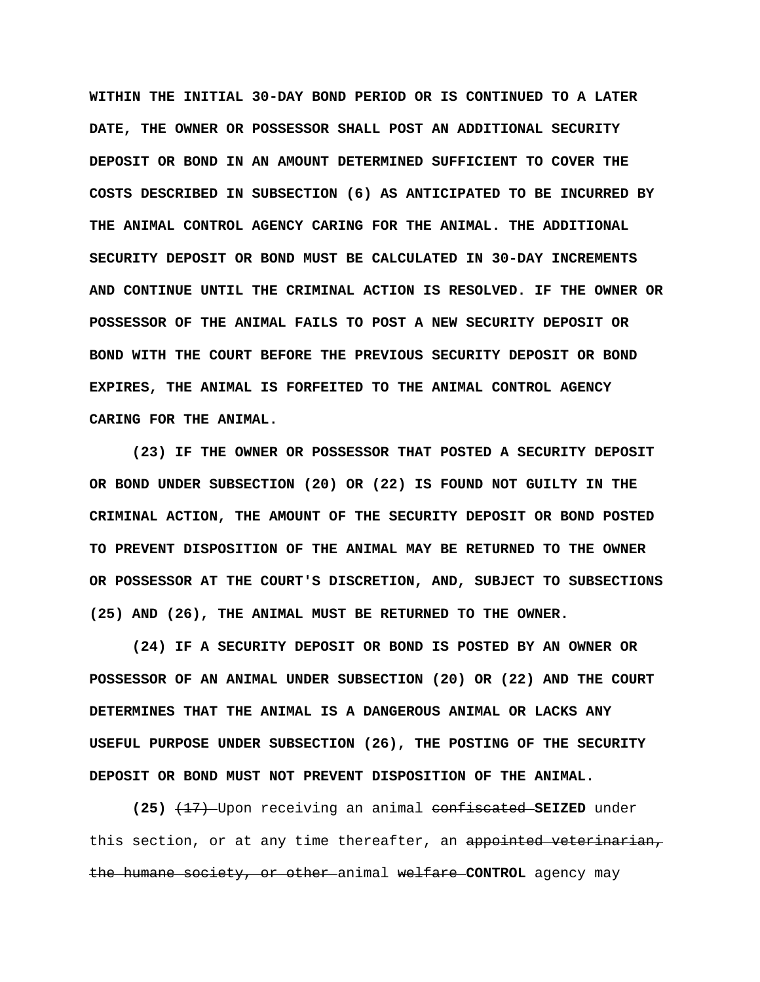**WITHIN THE INITIAL 30-DAY BOND PERIOD OR IS CONTINUED TO A LATER DATE, THE OWNER OR POSSESSOR SHALL POST AN ADDITIONAL SECURITY DEPOSIT OR BOND IN AN AMOUNT DETERMINED SUFFICIENT TO COVER THE COSTS DESCRIBED IN SUBSECTION (6) AS ANTICIPATED TO BE INCURRED BY THE ANIMAL CONTROL AGENCY CARING FOR THE ANIMAL. THE ADDITIONAL SECURITY DEPOSIT OR BOND MUST BE CALCULATED IN 30-DAY INCREMENTS AND CONTINUE UNTIL THE CRIMINAL ACTION IS RESOLVED. IF THE OWNER OR POSSESSOR OF THE ANIMAL FAILS TO POST A NEW SECURITY DEPOSIT OR BOND WITH THE COURT BEFORE THE PREVIOUS SECURITY DEPOSIT OR BOND EXPIRES, THE ANIMAL IS FORFEITED TO THE ANIMAL CONTROL AGENCY CARING FOR THE ANIMAL.** 

 **(23) IF THE OWNER OR POSSESSOR THAT POSTED A SECURITY DEPOSIT OR BOND UNDER SUBSECTION (20) OR (22) IS FOUND NOT GUILTY IN THE CRIMINAL ACTION, THE AMOUNT OF THE SECURITY DEPOSIT OR BOND POSTED TO PREVENT DISPOSITION OF THE ANIMAL MAY BE RETURNED TO THE OWNER OR POSSESSOR AT THE COURT'S DISCRETION, AND, SUBJECT TO SUBSECTIONS (25) AND (26), THE ANIMAL MUST BE RETURNED TO THE OWNER.** 

 **(24) IF A SECURITY DEPOSIT OR BOND IS POSTED BY AN OWNER OR POSSESSOR OF AN ANIMAL UNDER SUBSECTION (20) OR (22) AND THE COURT DETERMINES THAT THE ANIMAL IS A DANGEROUS ANIMAL OR LACKS ANY USEFUL PURPOSE UNDER SUBSECTION (26), THE POSTING OF THE SECURITY DEPOSIT OR BOND MUST NOT PREVENT DISPOSITION OF THE ANIMAL.** 

 **(25)** (17) Upon receiving an animal confiscated **SEIZED** under this section, or at any time thereafter, an appointed veterinarian, the humane society, or other animal welfare **CONTROL** agency may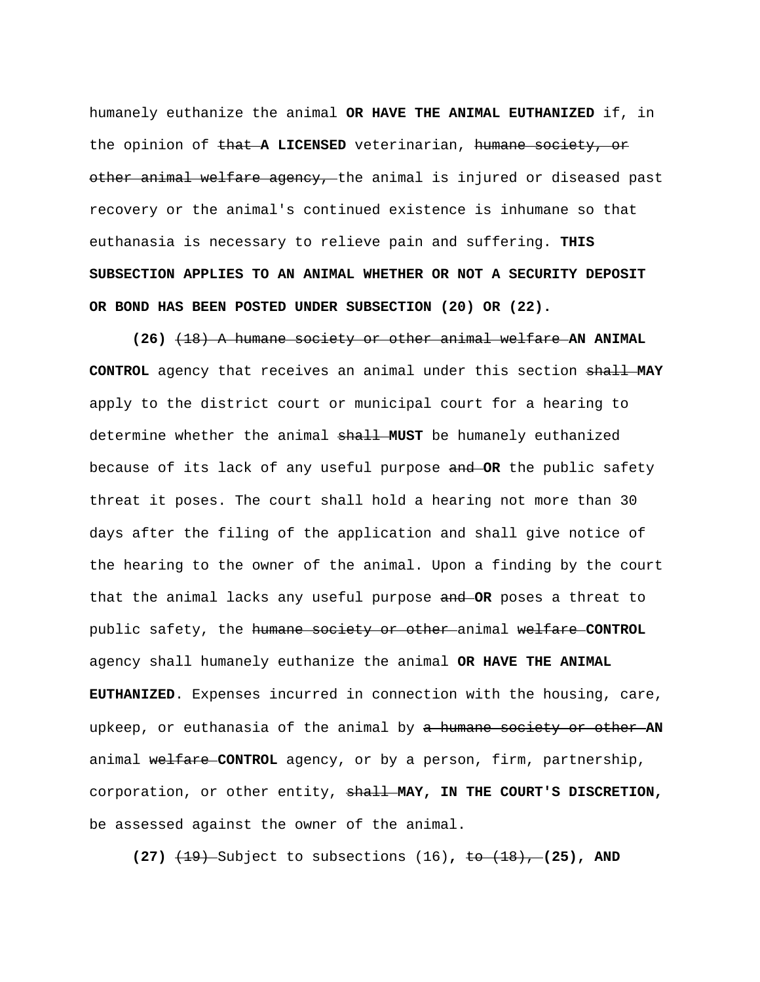humanely euthanize the animal **OR HAVE THE ANIMAL EUTHANIZED** if, in the opinion of that **A LICENSED** veterinarian, humane society, or other animal welfare agency, the animal is injured or diseased past recovery or the animal's continued existence is inhumane so that euthanasia is necessary to relieve pain and suffering. **THIS SUBSECTION APPLIES TO AN ANIMAL WHETHER OR NOT A SECURITY DEPOSIT OR BOND HAS BEEN POSTED UNDER SUBSECTION (20) OR (22).** 

 **(26)** (18) A humane society or other animal welfare **AN ANIMAL CONTROL** agency that receives an animal under this section shall **MAY**  apply to the district court or municipal court for a hearing to determine whether the animal shall **MUST** be humanely euthanized because of its lack of any useful purpose and **OR** the public safety threat it poses. The court shall hold a hearing not more than 30 days after the filing of the application and shall give notice of the hearing to the owner of the animal. Upon a finding by the court that the animal lacks any useful purpose and **OR** poses a threat to public safety, the humane society or other animal welfare **CONTROL**  agency shall humanely euthanize the animal **OR HAVE THE ANIMAL EUTHANIZED**. Expenses incurred in connection with the housing, care, upkeep, or euthanasia of the animal by a humane society or other **AN**  animal welfare **CONTROL** agency, or by a person, firm, partnership, corporation, or other entity, shall **MAY, IN THE COURT'S DISCRETION,**  be assessed against the owner of the animal.

**(27)** (19) Subject to subsections (16)**,** to (18), **(25), AND**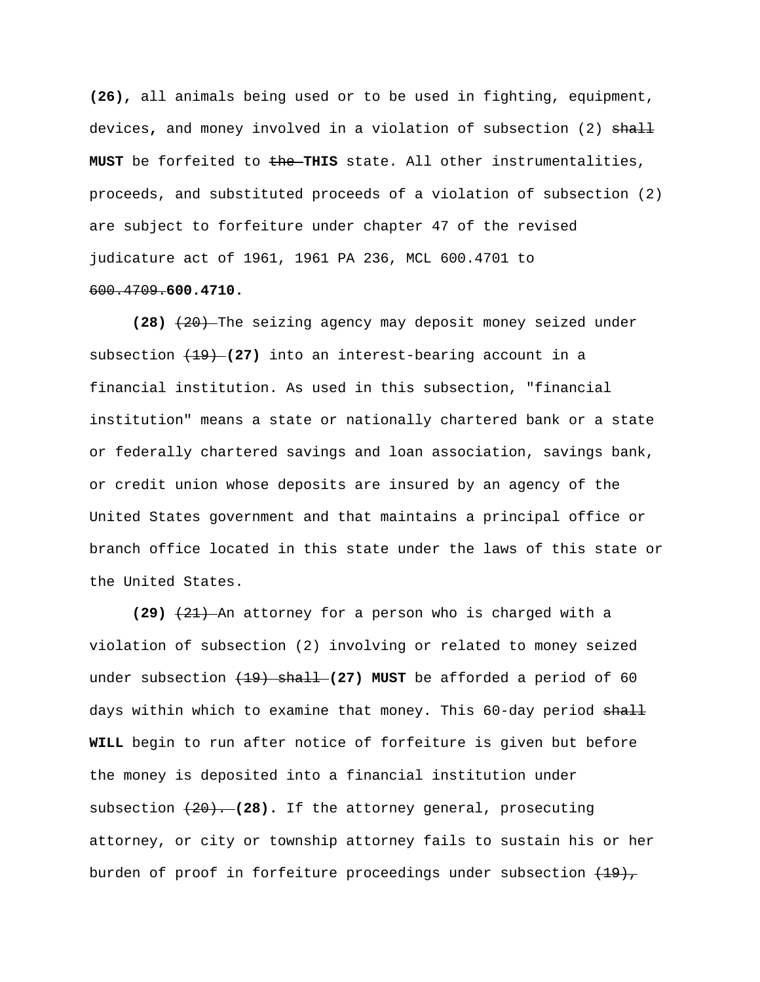**(26),** all animals being used or to be used in fighting, equipment, devices**,** and money involved in a violation of subsection (2) shall **MUST** be forfeited to the **THIS** state. All other instrumentalities, proceeds, and substituted proceeds of a violation of subsection (2) are subject to forfeiture under chapter 47 of the revised judicature act of 1961, 1961 PA 236, MCL 600.4701 to 600.4709.**600.4710.** 

 **(28)** (20) The seizing agency may deposit money seized under subsection (19) **(27)** into an interest-bearing account in a financial institution. As used in this subsection, "financial institution" means a state or nationally chartered bank or a state or federally chartered savings and loan association, savings bank, or credit union whose deposits are insured by an agency of the United States government and that maintains a principal office or branch office located in this state under the laws of this state or the United States.

 **(29)** (21) An attorney for a person who is charged with a violation of subsection (2) involving or related to money seized under subsection (19) shall **(27) MUST** be afforded a period of 60 days within which to examine that money. This 60-day period shall **WILL** begin to run after notice of forfeiture is given but before the money is deposited into a financial institution under subsection (20). **(28).** If the attorney general, prosecuting attorney, or city or township attorney fails to sustain his or her burden of proof in forfeiture proceedings under subsection  $(19)$ ,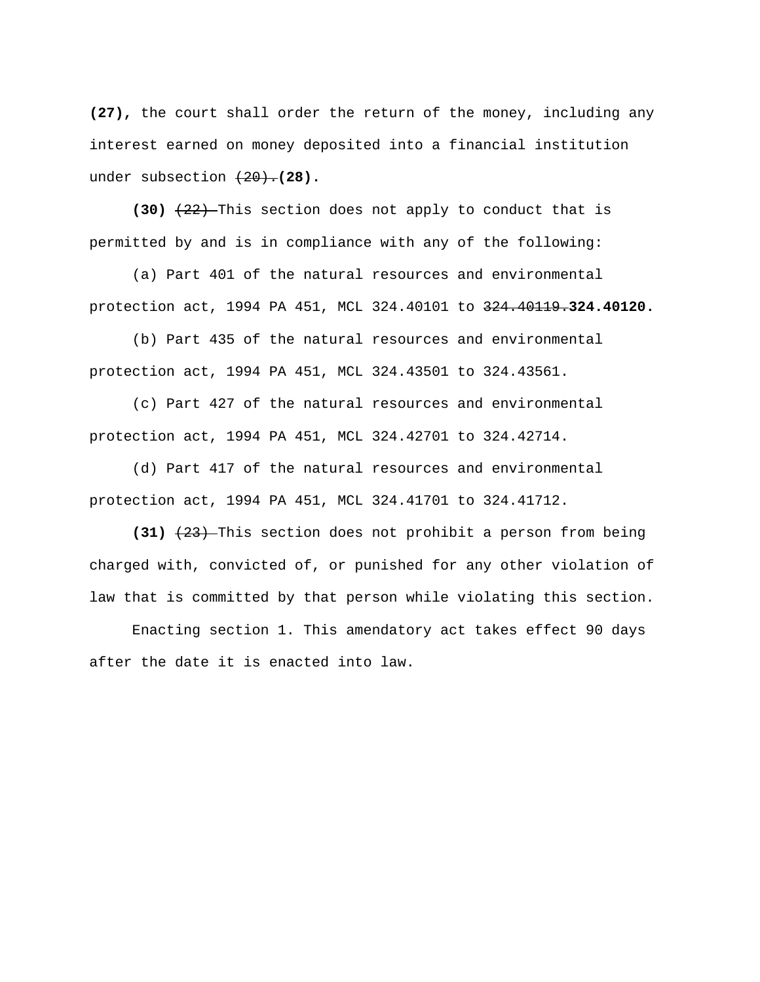**(27),** the court shall order the return of the money, including any interest earned on money deposited into a financial institution under subsection  $(20)$ . (28).

 **(30)** (22) This section does not apply to conduct that is permitted by and is in compliance with any of the following:

 (a) Part 401 of the natural resources and environmental protection act, 1994 PA 451, MCL 324.40101 to 324.40119.**324.40120.** 

 (b) Part 435 of the natural resources and environmental protection act, 1994 PA 451, MCL 324.43501 to 324.43561.

 (c) Part 427 of the natural resources and environmental protection act, 1994 PA 451, MCL 324.42701 to 324.42714.

 (d) Part 417 of the natural resources and environmental protection act, 1994 PA 451, MCL 324.41701 to 324.41712.

 **(31)** (23) This section does not prohibit a person from being charged with, convicted of, or punished for any other violation of law that is committed by that person while violating this section.

 Enacting section 1. This amendatory act takes effect 90 days after the date it is enacted into law.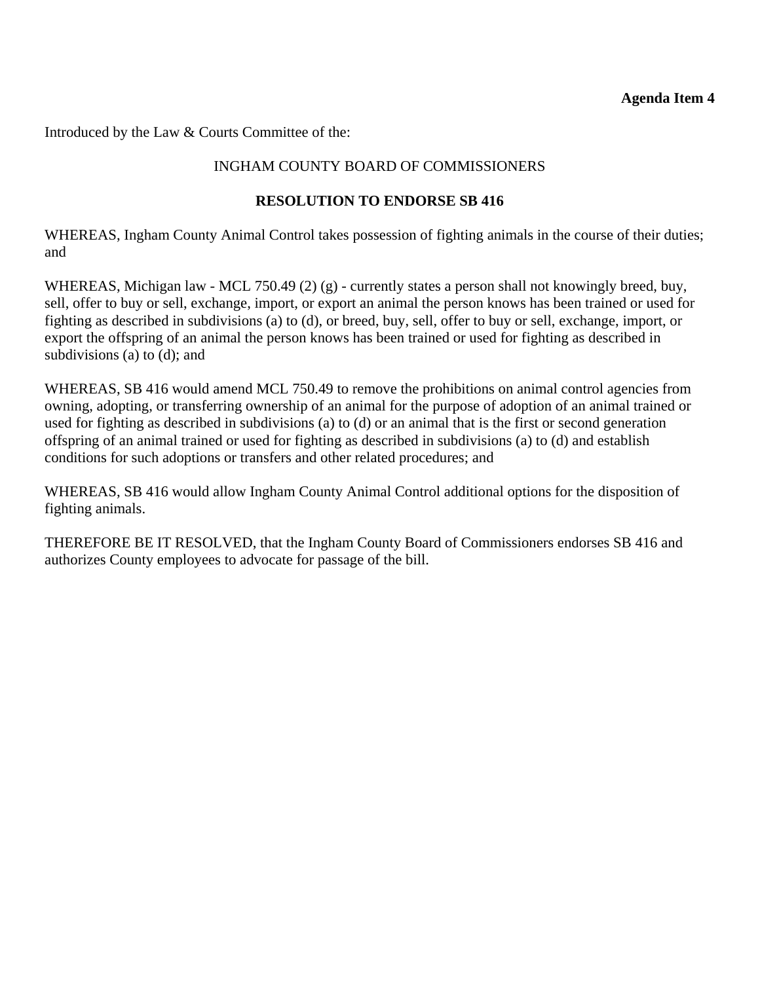#### **Agenda Item 4**

Introduced by the Law & Courts Committee of the:

#### INGHAM COUNTY BOARD OF COMMISSIONERS

#### **RESOLUTION TO ENDORSE SB 416**

WHEREAS, Ingham County Animal Control takes possession of fighting animals in the course of their duties; and

WHEREAS, Michigan law - MCL 750.49 (2) (g) - currently states a person shall not knowingly breed, buy, sell, offer to buy or sell, exchange, import, or export an animal the person knows has been trained or used for fighting as described in subdivisions (a) to (d), or breed, buy, sell, offer to buy or sell, exchange, import, or export the offspring of an animal the person knows has been trained or used for fighting as described in subdivisions (a) to (d); and

WHEREAS, SB 416 would amend MCL 750.49 to remove the prohibitions on animal control agencies from owning, adopting, or transferring ownership of an animal for the purpose of adoption of an animal trained or used for fighting as described in subdivisions (a) to (d) or an animal that is the first or second generation offspring of an animal trained or used for fighting as described in subdivisions (a) to (d) and establish conditions for such adoptions or transfers and other related procedures; and

WHEREAS, SB 416 would allow Ingham County Animal Control additional options for the disposition of fighting animals.

THEREFORE BE IT RESOLVED, that the Ingham County Board of Commissioners endorses SB 416 and authorizes County employees to advocate for passage of the bill.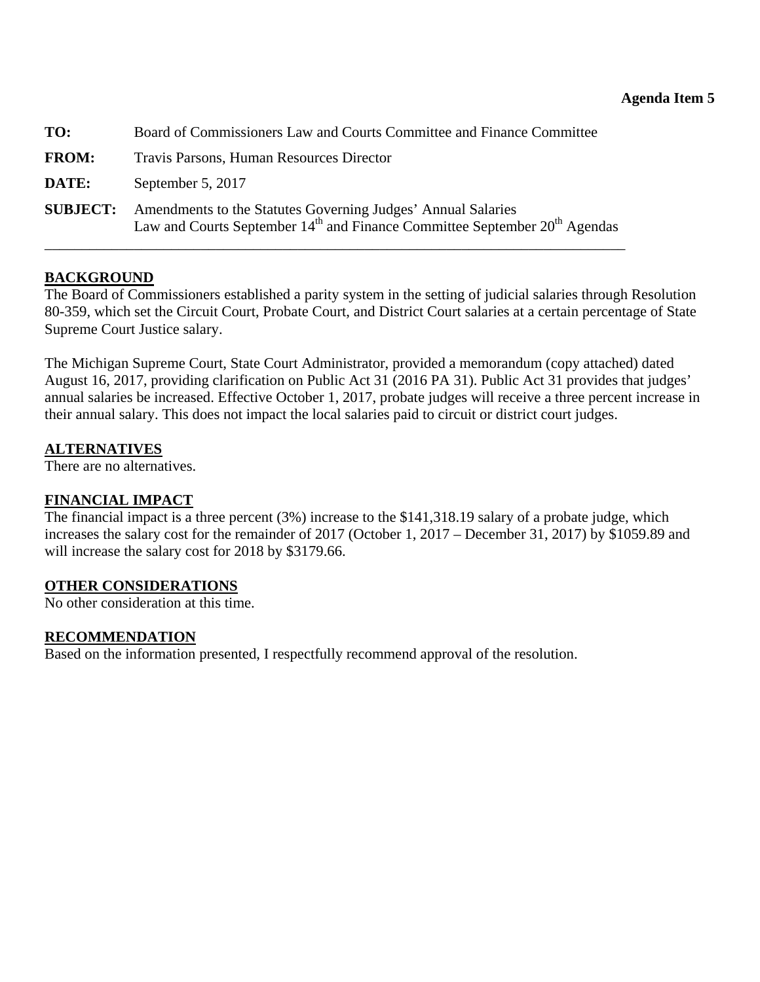<span id="page-52-0"></span>

| TO:             | Board of Commissioners Law and Courts Committee and Finance Committee                                                                                              |
|-----------------|--------------------------------------------------------------------------------------------------------------------------------------------------------------------|
| <b>FROM:</b>    | Travis Parsons, Human Resources Director                                                                                                                           |
| DATE:           | September 5, 2017                                                                                                                                                  |
| <b>SUBJECT:</b> | Amendments to the Statutes Governing Judges' Annual Salaries<br>Law and Courts September 14 <sup>th</sup> and Finance Committee September 20 <sup>th</sup> Agendas |

#### **BACKGROUND**

The Board of Commissioners established a parity system in the setting of judicial salaries through Resolution 80-359, which set the Circuit Court, Probate Court, and District Court salaries at a certain percentage of State Supreme Court Justice salary.

The Michigan Supreme Court, State Court Administrator, provided a memorandum (copy attached) dated August 16, 2017, providing clarification on Public Act 31 (2016 PA 31). Public Act 31 provides that judges' annual salaries be increased. Effective October 1, 2017, probate judges will receive a three percent increase in their annual salary. This does not impact the local salaries paid to circuit or district court judges.

#### **ALTERNATIVES**

There are no alternatives.

#### **FINANCIAL IMPACT**

The financial impact is a three percent (3%) increase to the \$141,318.19 salary of a probate judge, which increases the salary cost for the remainder of 2017 (October 1, 2017 – December 31, 2017) by \$1059.89 and will increase the salary cost for 2018 by \$3179.66.

#### **OTHER CONSIDERATIONS**

No other consideration at this time.

#### **RECOMMENDATION**

Based on the information presented, I respectfully recommend approval of the resolution.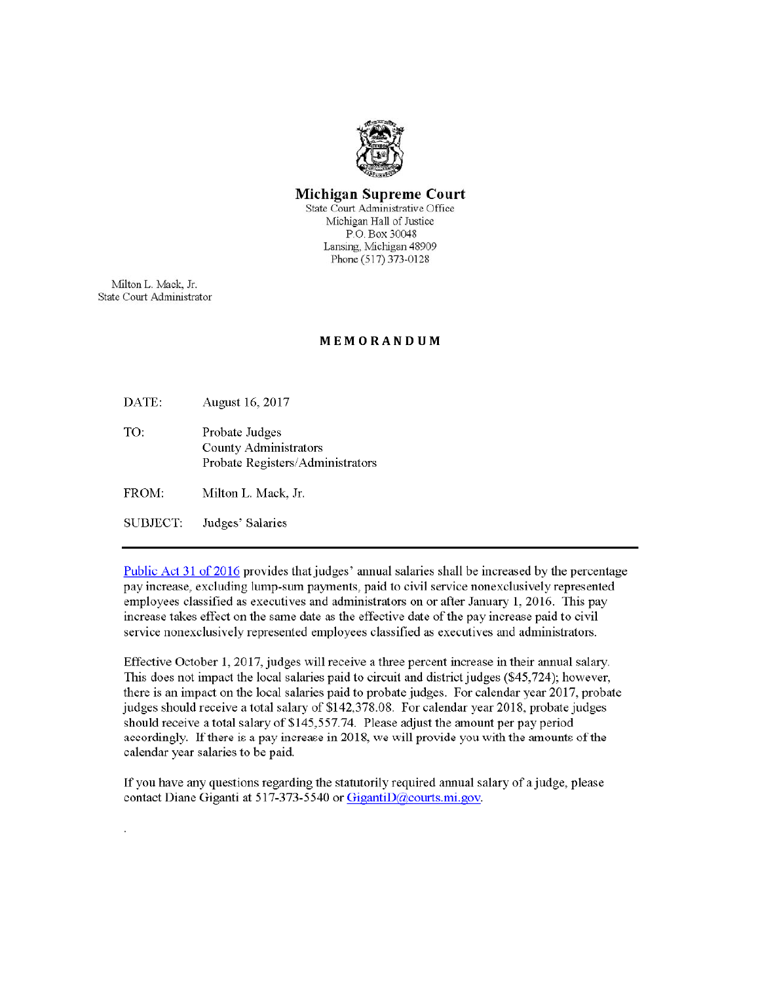

#### Michigan Supreme Court

State Court Administrative Office Michigan Hall of Justice P.O. Box 30048 Lansing, Michigan 48909 Phone (517) 373-0128

Milton L. Mack, Jr. State Court Administrator

#### MEMORANDUM

DATE: August 16, 2017

TO: Probate Judges **County Administrators** Probate Registers/Administrators

FROM: Milton L. Mack, Jr.

SUBJECT. Judges' Salaries

Public Act 31 of 2016 provides that judges' annual salaries shall be increased by the percentage pay increase, excluding lump-sum payments, paid to civil service nonexclusively represented employees classified as executives and administrators on or after January 1, 2016. This pay increase takes effect on the same date as the effective date of the pay increase paid to civil service nonexclusively represented employees classified as executives and administrators.

Effective October 1, 2017, judges will receive a three percent increase in their annual salary. This does not impact the local salaries paid to circuit and district judges (\$45,724); however, there is an impact on the local salaries paid to probate judges. For calendar year 2017, probate judges should receive a total salary of \$142,378.08. For calendar year 2018, probate judges should receive a total salary of \$145,557.74. Please adjust the amount per pay period accordingly. If there is a pay increase in 2018, we will provide you with the amounts of the calendar year salaries to be paid.

If you have any questions regarding the statutorily required annual salary of a judge, please contact Diane Giganti at 517-373-5540 or GigantiD@courts.mi.gov.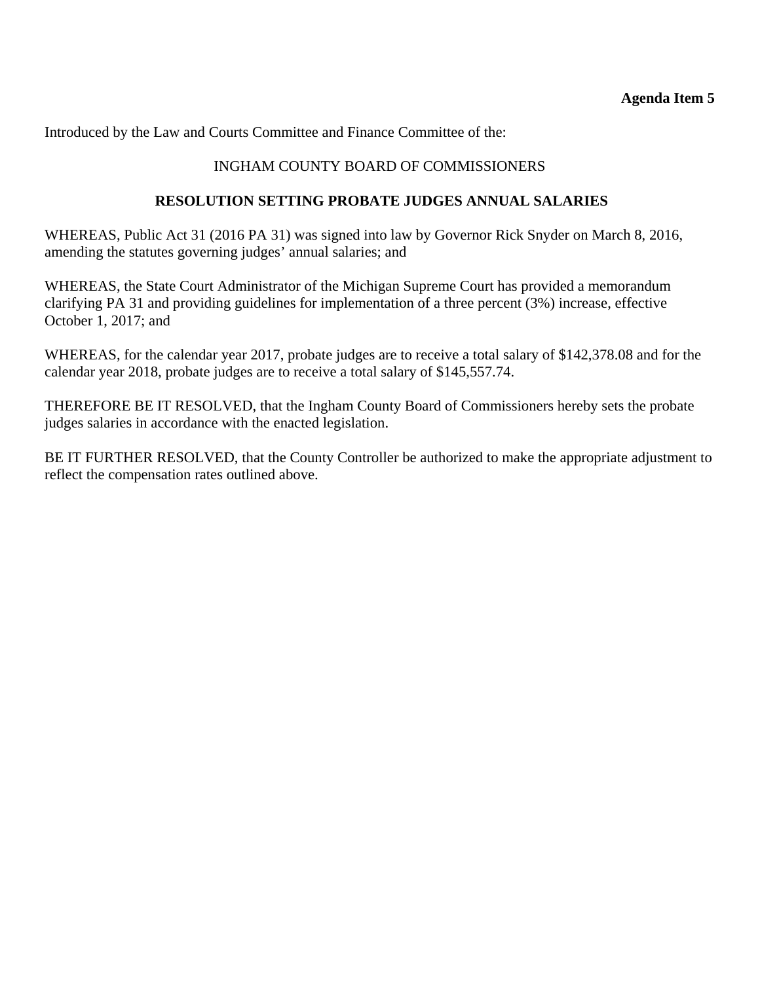Introduced by the Law and Courts Committee and Finance Committee of the:

### INGHAM COUNTY BOARD OF COMMISSIONERS

#### **RESOLUTION SETTING PROBATE JUDGES ANNUAL SALARIES**

WHEREAS, Public Act 31 (2016 PA 31) was signed into law by Governor Rick Snyder on March 8, 2016, amending the statutes governing judges' annual salaries; and

WHEREAS, the State Court Administrator of the Michigan Supreme Court has provided a memorandum clarifying PA 31 and providing guidelines for implementation of a three percent (3%) increase, effective October 1, 2017; and

WHEREAS, for the calendar year 2017, probate judges are to receive a total salary of \$142,378.08 and for the calendar year 2018, probate judges are to receive a total salary of \$145,557.74.

THEREFORE BE IT RESOLVED, that the Ingham County Board of Commissioners hereby sets the probate judges salaries in accordance with the enacted legislation.

BE IT FURTHER RESOLVED, that the County Controller be authorized to make the appropriate adjustment to reflect the compensation rates outlined above.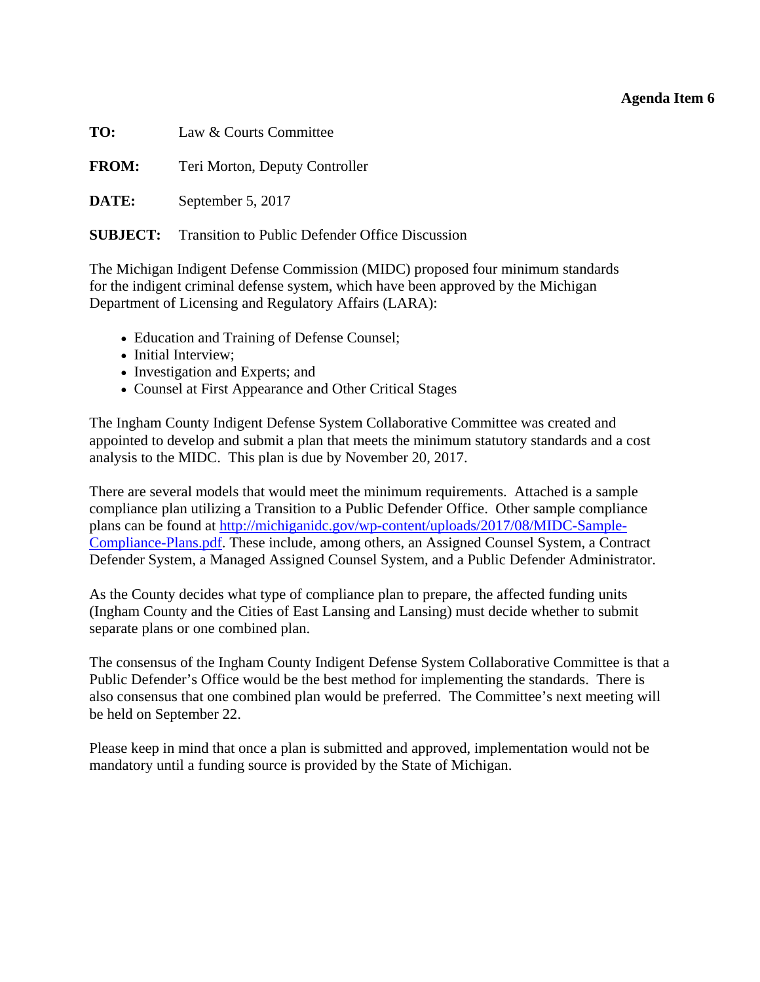#### **Agenda Item 6**

<span id="page-55-0"></span>

| TO:<br>Law & Courts Committee |  |
|-------------------------------|--|
|-------------------------------|--|

**FROM:** Teri Morton, Deputy Controller

**DATE:** September 5, 2017

**SUBJECT:** Transition to Public Defender Office Discussion

The Michigan Indigent Defense Commission (MIDC) proposed four minimum standards for the indigent criminal defense system, which have been approved by the Michigan Department of Licensing and Regulatory Affairs (LARA):

- Education and Training of Defense Counsel;
- Initial Interview;
- Investigation and Experts; and
- Counsel at First Appearance and Other Critical Stages

The Ingham County Indigent Defense System Collaborative Committee was created and appointed to develop and submit a plan that meets the minimum statutory standards and a cost analysis to the MIDC. This plan is due by November 20, 2017.

There are several models that would meet the minimum requirements. Attached is a sample compliance plan utilizing a Transition to a Public Defender Office. Other sample compliance plans can be found at http://michiganidc.gov/wp-content/uploads/2017/08/MIDC-Sample-Compliance-Plans.pdf. These include, among others, an Assigned Counsel System, a Contract Defender System, a Managed Assigned Counsel System, and a Public Defender Administrator.

As the County decides what type of compliance plan to prepare, the affected funding units (Ingham County and the Cities of East Lansing and Lansing) must decide whether to submit separate plans or one combined plan.

The consensus of the Ingham County Indigent Defense System Collaborative Committee is that a Public Defender's Office would be the best method for implementing the standards. There is also consensus that one combined plan would be preferred. The Committee's next meeting will be held on September 22.

Please keep in mind that once a plan is submitted and approved, implementation would not be mandatory until a funding source is provided by the State of Michigan.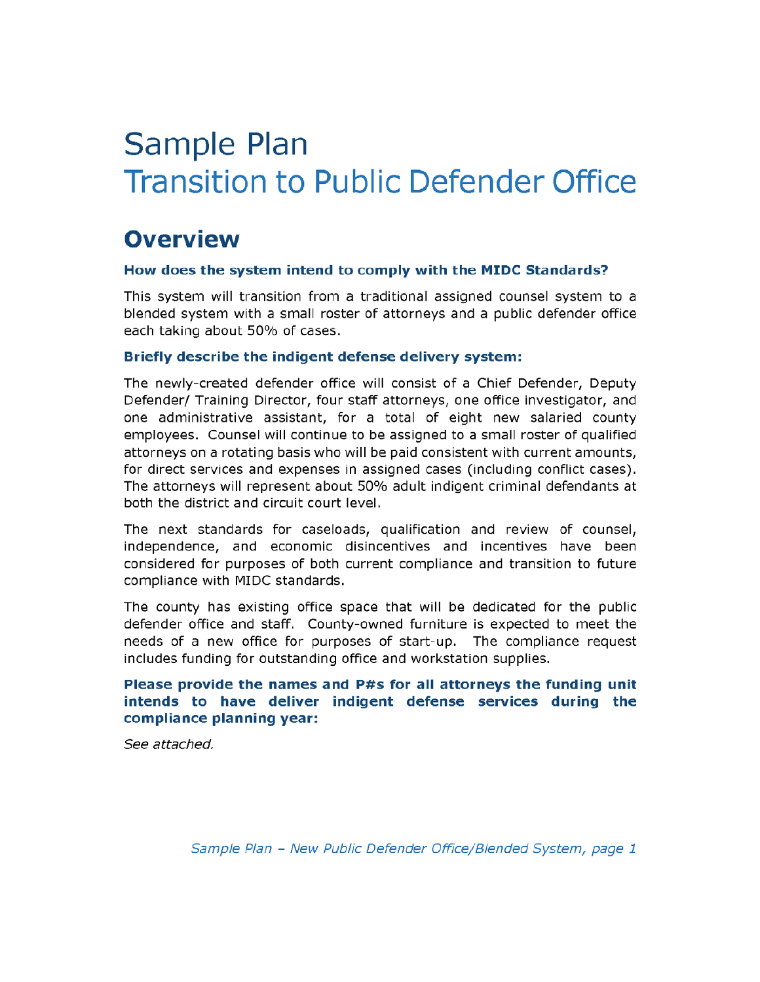# Sample Plan **Transition to Public Defender Office**

# **Overview**

#### How does the system intend to comply with the MIDC Standards?

This system will transition from a traditional assigned counsel system to a blended system with a small roster of attorneys and a public defender office each taking about 50% of cases.

#### Briefly describe the indigent defense delivery system:

The newly-created defender office will consist of a Chief Defender, Deputy Defender/ Training Director, four staff attorneys, one office investigator, and one administrative assistant, for a total of eight new salaried county employees. Counsel will continue to be assigned to a small roster of qualified attorneys on a rotating basis who will be paid consistent with current amounts, for direct services and expenses in assigned cases (including conflict cases). The attorneys will represent about 50% adult indigent criminal defendants at both the district and circuit court level.

The next standards for caseloads, qualification and review of counsel, independence, and economic disincentives and incentives have been considered for purposes of both current compliance and transition to future compliance with MIDC standards.

The county has existing office space that will be dedicated for the public defender office and staff. County-owned furniture is expected to meet the needs of a new office for purposes of start-up. The compliance request includes funding for outstanding office and workstation supplies.

#### Please provide the names and P#s for all attorneys the funding unit intends to have deliver indigent defense services during the compliance planning year:

See attached.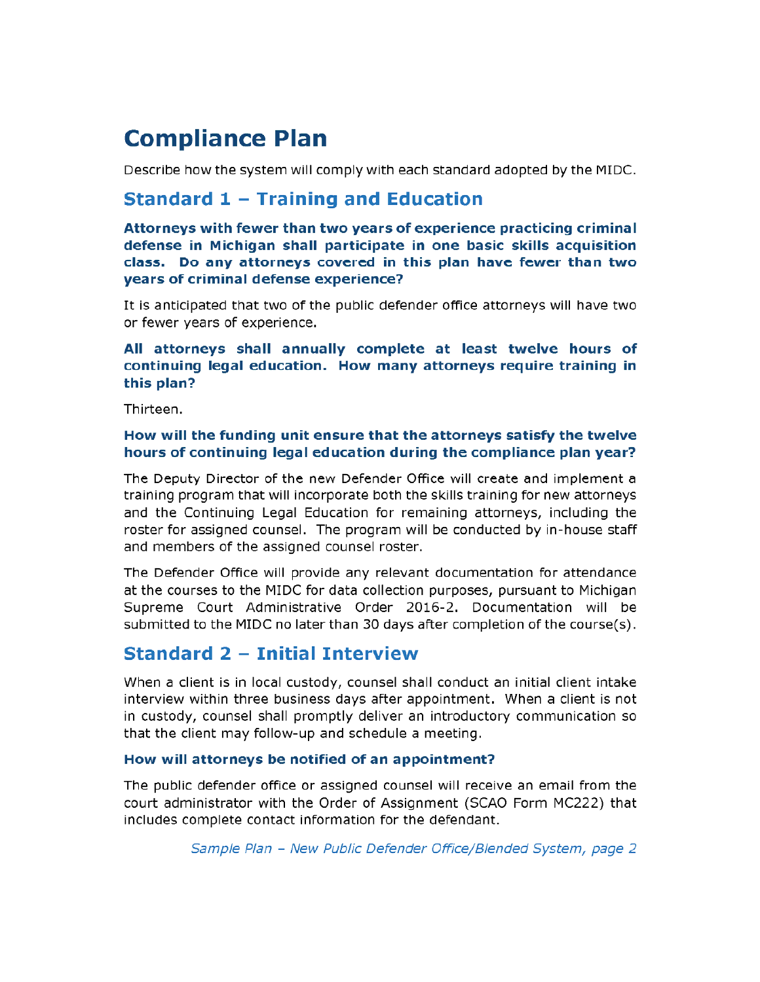# **Compliance Plan**

Describe how the system will comply with each standard adopted by the MIDC.

# **Standard 1 - Training and Education**

Attorneys with fewer than two years of experience practicing criminal defense in Michigan shall participate in one basic skills acquisition class. Do any attorneys covered in this plan have fewer than two years of criminal defense experience?

It is anticipated that two of the public defender office attorneys will have two or fewer years of experience.

All attorneys shall annually complete at least twelve hours of continuing legal education. How many attorneys require training in this plan?

Thirteen.

#### How will the funding unit ensure that the attorneys satisfy the twelve hours of continuing legal education during the compliance plan year?

The Deputy Director of the new Defender Office will create and implement a training program that will incorporate both the skills training for new attorneys and the Continuing Legal Education for remaining attorneys, including the roster for assigned counsel. The program will be conducted by in-house staff and members of the assigned counsel roster.

The Defender Office will provide any relevant documentation for attendance at the courses to the MIDC for data collection purposes, pursuant to Michigan Supreme Court Administrative Order 2016-2. Documentation will be submitted to the MIDC no later than 30 days after completion of the course(s).

# **Standard 2 - Initial Interview**

When a client is in local custody, counsel shall conduct an initial client intake interview within three business days after appointment. When a client is not in custody, counsel shall promptly deliver an introductory communication so that the client may follow-up and schedule a meeting.

#### How will attorneys be notified of an appointment?

The public defender office or assigned counsel will receive an email from the court administrator with the Order of Assignment (SCAO Form MC222) that includes complete contact information for the defendant.

Sample Plan - New Public Defender Office/Blended System, page 2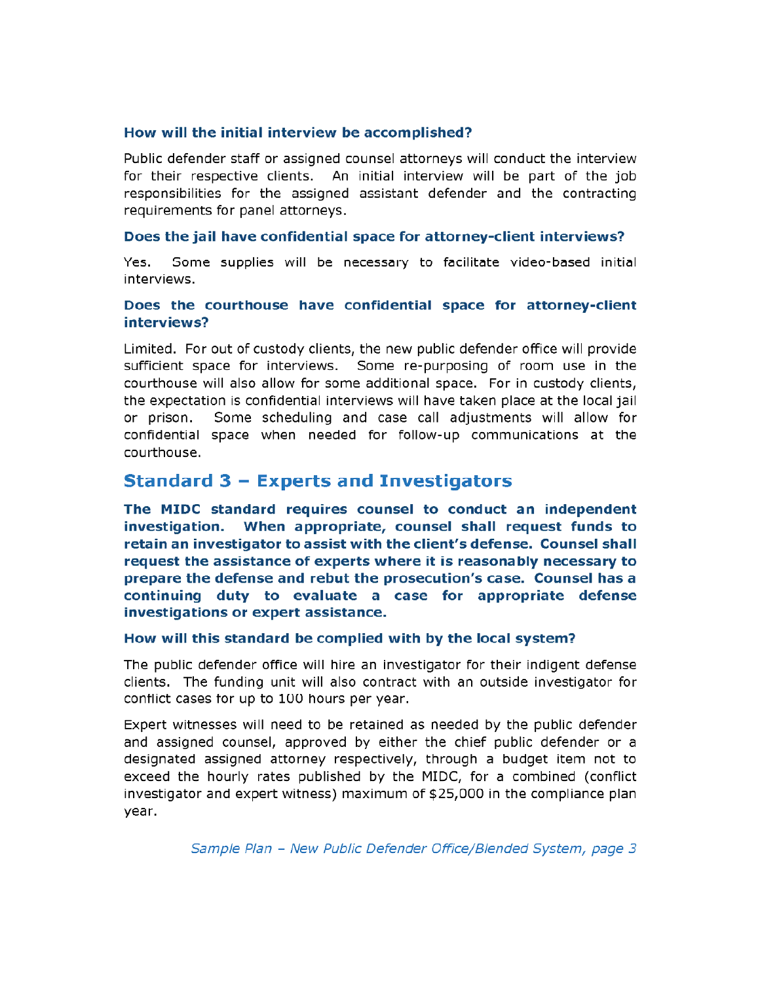#### How will the initial interview be accomplished?

Public defender staff or assigned counsel attorneys will conduct the interview for their respective clients. An initial interview will be part of the job responsibilities for the assigned assistant defender and the contracting requirements for panel attorneys.

#### Does the jail have confidential space for attorney-client interviews?

Some supplies will be necessary to facilitate video-based initial Yes. interviews.

#### Does the courthouse have confidential space for attorney-client interviews?

Limited. For out of custody clients, the new public defender office will provide sufficient space for interviews. Some re-purposing of room use in the courthouse will also allow for some additional space. For in custody clients, the expectation is confidential interviews will have taken place at the local jail Some scheduling and case call adjustments will allow for or prison. confidential space when needed for follow-up communications at the courthouse.

# **Standard 3 - Experts and Investigators**

The MIDC standard requires counsel to conduct an independent investigation. When appropriate, counsel shall request funds to retain an investigator to assist with the client's defense. Counsel shall request the assistance of experts where it is reasonably necessary to prepare the defense and rebut the prosecution's case. Counsel has a continuing duty to evaluate a case for appropriate defense investigations or expert assistance.

#### How will this standard be complied with by the local system?

The public defender office will hire an investigator for their indigent defense clients. The funding unit will also contract with an outside investigator for conflict cases for up to 100 hours per year.

Expert witnesses will need to be retained as needed by the public defender and assigned counsel, approved by either the chief public defender or a designated assigned attorney respectively, through a budget item not to exceed the hourly rates published by the MIDC, for a combined (conflict investigator and expert witness) maximum of \$25,000 in the compliance plan year.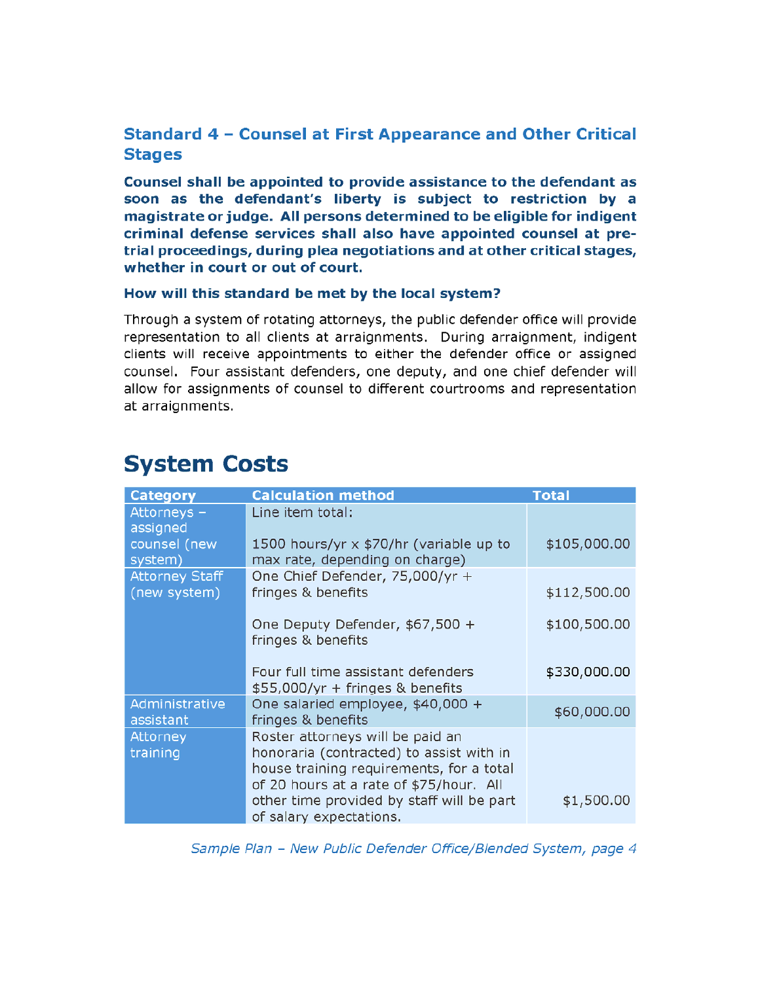# Standard 4 - Counsel at First Appearance and Other Critical **Stages**

Counsel shall be appointed to provide assistance to the defendant as soon as the defendant's liberty is subject to restriction by a magistrate or judge. All persons determined to be eligible for indigent criminal defense services shall also have appointed counsel at pretrial proceedings, during plea negotiations and at other critical stages, whether in court or out of court.

#### How will this standard be met by the local system?

Through a system of rotating attorneys, the public defender office will provide representation to all clients at arraignments. During arraignment, indigent clients will receive appointments to either the defender office or assigned counsel. Four assistant defenders, one deputy, and one chief defender will allow for assignments of counsel to different courtrooms and representation at arraignments.

# **System Costs**

| <b>Category</b>             | <b>Calculation method</b>                                                                                                                                                                                                                   | <b>Total</b> |
|-----------------------------|---------------------------------------------------------------------------------------------------------------------------------------------------------------------------------------------------------------------------------------------|--------------|
| Attorneys -<br>assigned     | Line item total:                                                                                                                                                                                                                            |              |
| counsel (new<br>system)     | 1500 hours/yr x \$70/hr (variable up to<br>max rate, depending on charge)                                                                                                                                                                   | \$105,000.00 |
| <b>Attorney Staff</b>       | One Chief Defender, 75,000/yr +                                                                                                                                                                                                             |              |
| (new system)                | fringes & benefits                                                                                                                                                                                                                          | \$112,500.00 |
|                             | One Deputy Defender, \$67,500 +<br>fringes & benefits                                                                                                                                                                                       | \$100,500.00 |
|                             | Four full time assistant defenders<br>\$55,000/yr + fringes & benefits                                                                                                                                                                      | \$330,000.00 |
| Administrative<br>assistant | One salaried employee, \$40,000 +<br>fringes & benefits                                                                                                                                                                                     | \$60,000.00  |
| Attorney<br>training        | Roster attorneys will be paid an<br>honoraria (contracted) to assist with in<br>house training requirements, for a total<br>of 20 hours at a rate of \$75/hour. All<br>other time provided by staff will be part<br>of salary expectations. | \$1,500.00   |

Sample Plan - New Public Defender Office/Blended System, page 4